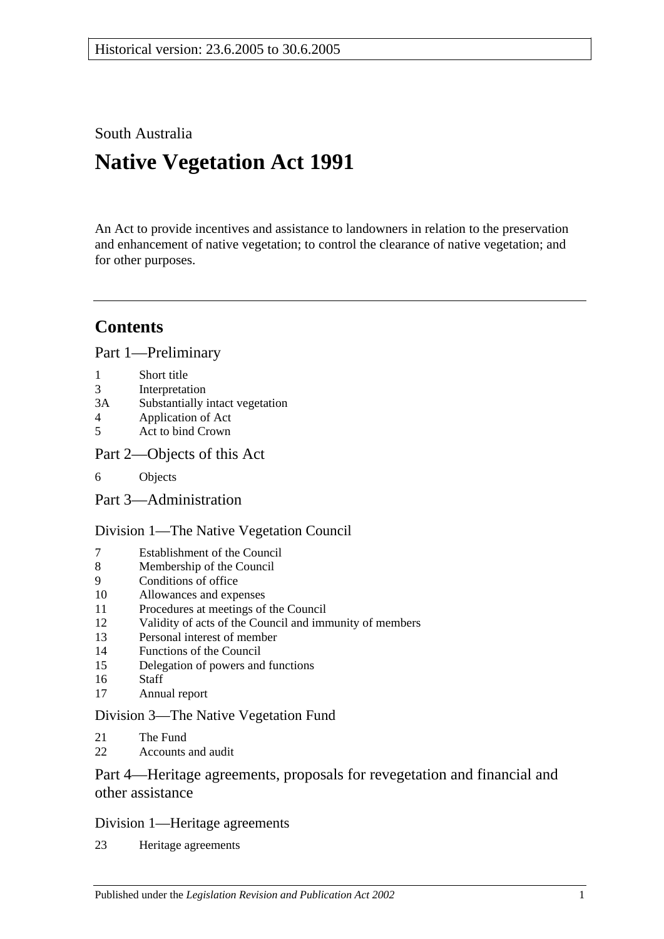South Australia

# **Native Vegetation Act 1991**

An Act to provide incentives and assistance to landowners in relation to the preservation and enhancement of native vegetation; to control the clearance of native vegetation; and for other purposes.

# **Contents**

[Part 1—Preliminary](#page-2-0)

- 1 [Short title](#page-2-1)
- 3 [Interpretation](#page-2-2)
- 3A [Substantially intact vegetation](#page-4-0)
- 4 [Application of Act](#page-5-0)
- 5 [Act to bind Crown](#page-6-0)
- [Part 2—Objects of this Act](#page-6-1)
- 6 [Objects](#page-6-2)

[Part 3—Administration](#page-7-0)

## [Division 1—The Native Vegetation Council](#page-7-1)

- 7 [Establishment of the Council](#page-7-2)<br>8 Membership of the Council
- [Membership of the Council](#page-7-3)
- 9 [Conditions of office](#page-8-0)
- 10 [Allowances and expenses](#page-8-1)
- 11 [Procedures at meetings of the Council](#page-8-2)
- 12 [Validity of acts of the Council and immunity of members](#page-8-3)
- 13 [Personal interest of member](#page-9-0)
- 14 [Functions of the Council](#page-9-1)
- 15 [Delegation of powers and functions](#page-10-0)
- 16 [Staff](#page-11-0)
- 17 [Annual report](#page-11-1)

## [Division 3—The Native Vegetation Fund](#page-11-2)

- 21 [The Fund](#page-11-3)
- 22 [Accounts and audit](#page-12-0)

## [Part 4—Heritage agreements, proposals for revegetation and financial and](#page-12-1)  [other assistance](#page-12-1)

## [Division 1—Heritage agreements](#page-12-2)

23 [Heritage agreements](#page-12-3)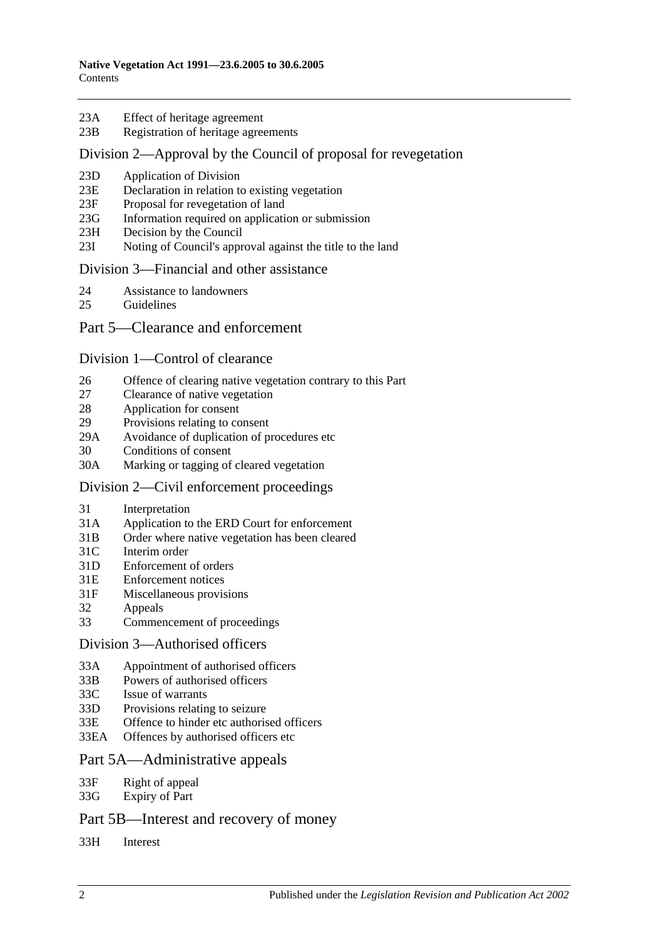- 23A [Effect of heritage agreement](#page-13-0)
- 23B [Registration of heritage agreements](#page-14-0)

#### [Division 2—Approval by the Council of proposal for revegetation](#page-14-1)

- 23D [Application of Division](#page-14-2)
- 23E [Declaration in relation to existing vegetation](#page-14-3)
- 23F [Proposal for revegetation of land](#page-14-4)
- 23G [Information required on application or submission](#page-14-5)
- 23H [Decision by the Council](#page-14-6)
- 23I [Noting of Council's approval against the title to the land](#page-15-0)

#### [Division 3—Financial and other assistance](#page-15-1)

- 24 [Assistance to landowners](#page-15-2)
- 25 [Guidelines](#page-16-0)

#### [Part 5—Clearance and enforcement](#page-17-0)

#### [Division 1—Control of clearance](#page-17-1)

- 26 [Offence of clearing native vegetation contrary to this Part](#page-17-2)
- 27 [Clearance of native vegetation](#page-19-0)
- 28 [Application for consent](#page-19-1)
- 29 [Provisions relating to consent](#page-20-0)
- 29A [Avoidance of duplication of procedures etc](#page-23-0)
- 30 [Conditions of consent](#page-25-0)
- 30A [Marking or tagging of cleared vegetation](#page-26-0)

#### [Division 2—Civil enforcement proceedings](#page-26-1)

- 31 [Interpretation](#page-26-2)
- 31A [Application to the ERD Court for enforcement](#page-26-3)
- 31B [Order where native vegetation has been cleared](#page-28-0)
- 31C [Interim order](#page-29-0)
- 31D [Enforcement of orders](#page-30-0)
- 31E [Enforcement notices](#page-30-1)
- 31F [Miscellaneous provisions](#page-31-0)
- 32 [Appeals](#page-32-0)
- 33 [Commencement of proceedings](#page-32-1)

#### [Division 3—Authorised officers](#page-32-2)

- 33A [Appointment of authorised officers](#page-32-3)
- 33B [Powers of authorised officers](#page-33-0)
- 33C [Issue of warrants](#page-35-0)
- 33D [Provisions relating to seizure](#page-37-0)
- 33E [Offence to hinder etc authorised officers](#page-37-1)
- 33EA [Offences by authorised officers etc](#page-38-0)

## [Part 5A—Administrative appeals](#page-38-1)

- 33F [Right of appeal](#page-38-2)
- 33G [Expiry of Part](#page-39-0)

## [Part 5B—Interest and recovery of money](#page-39-1)

33H [Interest](#page-39-2)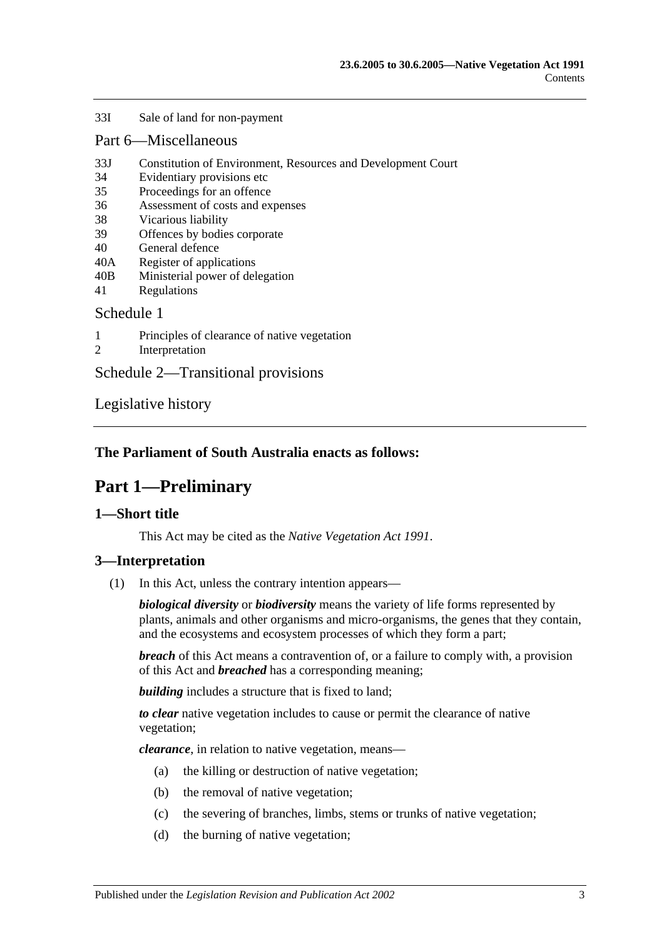#### 33I [Sale of land for non-payment](#page-39-3)

#### [Part 6—Miscellaneous](#page-41-0)

- 33J [Constitution of Environment, Resources and Development Court](#page-41-1)
- 34 [Evidentiary provisions etc](#page-42-0)
- 35 [Proceedings for an offence](#page-42-1)
- 36 [Assessment of costs and expenses](#page-43-0)
- 38 [Vicarious liability](#page-43-1)
- 39 [Offences by bodies corporate](#page-43-2)
- 40 [General defence](#page-43-3)
- 40A [Register of applications](#page-43-4)
- 40B [Ministerial power of delegation](#page-44-0)
- 41 [Regulations](#page-44-1)

#### [Schedule 1](#page-45-0)

- 1 [Principles of clearance of native vegetation](#page-45-1)
- 2 [Interpretation](#page-45-2)

[Schedule 2—Transitional provisions](#page-46-0)

[Legislative history](#page-47-0)

## <span id="page-2-0"></span>**The Parliament of South Australia enacts as follows:**

# **Part 1—Preliminary**

## <span id="page-2-1"></span>**1—Short title**

This Act may be cited as the *Native Vegetation Act 1991*.

#### <span id="page-2-2"></span>**3—Interpretation**

(1) In this Act, unless the contrary intention appears—

*biological diversity* or *biodiversity* means the variety of life forms represented by plants, animals and other organisms and micro-organisms, the genes that they contain, and the ecosystems and ecosystem processes of which they form a part;

*breach* of this Act means a contravention of, or a failure to comply with, a provision of this Act and *breached* has a corresponding meaning;

*building* includes a structure that is fixed to land:

*to clear* native vegetation includes to cause or permit the clearance of native vegetation;

*clearance*, in relation to native vegetation, means—

- (a) the killing or destruction of native vegetation;
- (b) the removal of native vegetation;
- (c) the severing of branches, limbs, stems or trunks of native vegetation;
- (d) the burning of native vegetation;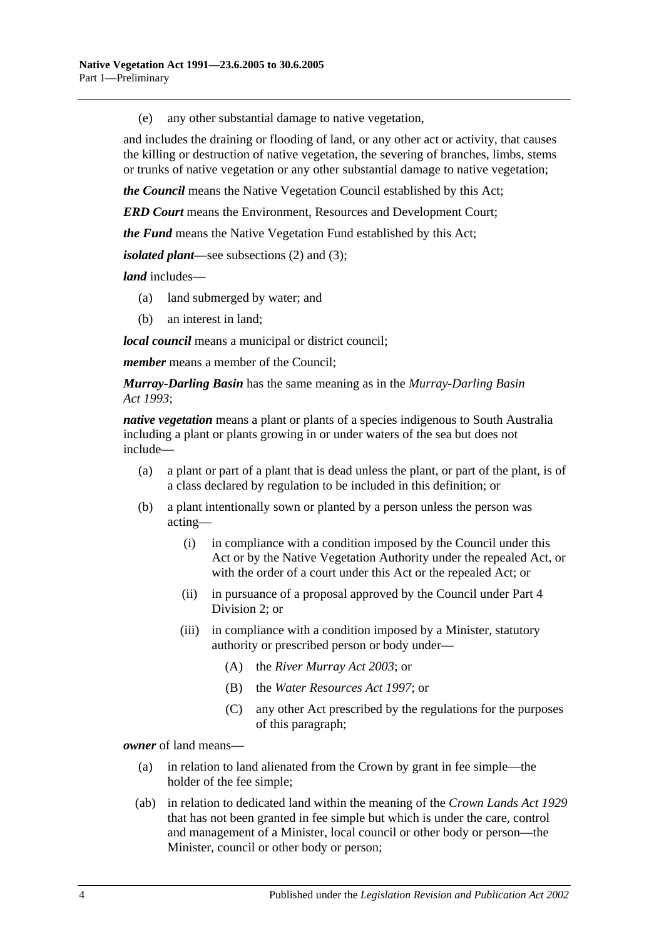(e) any other substantial damage to native vegetation,

and includes the draining or flooding of land, or any other act or activity, that causes the killing or destruction of native vegetation, the severing of branches, limbs, stems or trunks of native vegetation or any other substantial damage to native vegetation;

*the Council* means the Native Vegetation Council established by this Act;

*ERD Court* means the Environment, Resources and Development Court;

*the Fund* means the Native Vegetation Fund established by this Act;

*isolated plant*—see [subsections](#page-4-1) (2) and [\(3\);](#page-4-2)

*land* includes—

- (a) land submerged by water; and
- (b) an interest in land;

*local council* means a municipal or district council;

*member* means a member of the Council;

*Murray-Darling Basin* has the same meaning as in the *[Murray-Darling Basin](http://www.legislation.sa.gov.au/index.aspx?action=legref&type=act&legtitle=Murray-Darling%20Basin%20Act%201993)  Act [1993](http://www.legislation.sa.gov.au/index.aspx?action=legref&type=act&legtitle=Murray-Darling%20Basin%20Act%201993)*;

*native vegetation* means a plant or plants of a species indigenous to South Australia including a plant or plants growing in or under waters of the sea but does not include—

- (a) a plant or part of a plant that is dead unless the plant, or part of the plant, is of a class declared by regulation to be included in this definition; or
- (b) a plant intentionally sown or planted by a person unless the person was acting—
	- (i) in compliance with a condition imposed by the Council under this Act or by the Native Vegetation Authority under the repealed Act, or with the order of a court under this Act or the repealed Act; or
	- (ii) in pursuance of a proposal approved by the Council under [Part 4](#page-14-1)  [Division 2;](#page-14-1) or
	- (iii) in compliance with a condition imposed by a Minister, statutory authority or prescribed person or body under—
		- (A) the *[River Murray Act](http://www.legislation.sa.gov.au/index.aspx?action=legref&type=act&legtitle=River%20Murray%20Act%202003) 2003*; or
		- (B) the *[Water Resources Act](http://www.legislation.sa.gov.au/index.aspx?action=legref&type=act&legtitle=Water%20Resources%20Act%201997) 1997*; or
		- (C) any other Act prescribed by the regulations for the purposes of this paragraph;

*owner* of land means—

- (a) in relation to land alienated from the Crown by grant in fee simple—the holder of the fee simple;
- (ab) in relation to dedicated land within the meaning of the *[Crown Lands Act](http://www.legislation.sa.gov.au/index.aspx?action=legref&type=act&legtitle=Crown%20Lands%20Act%201929) 1929* that has not been granted in fee simple but which is under the care, control and management of a Minister, local council or other body or person—the Minister, council or other body or person;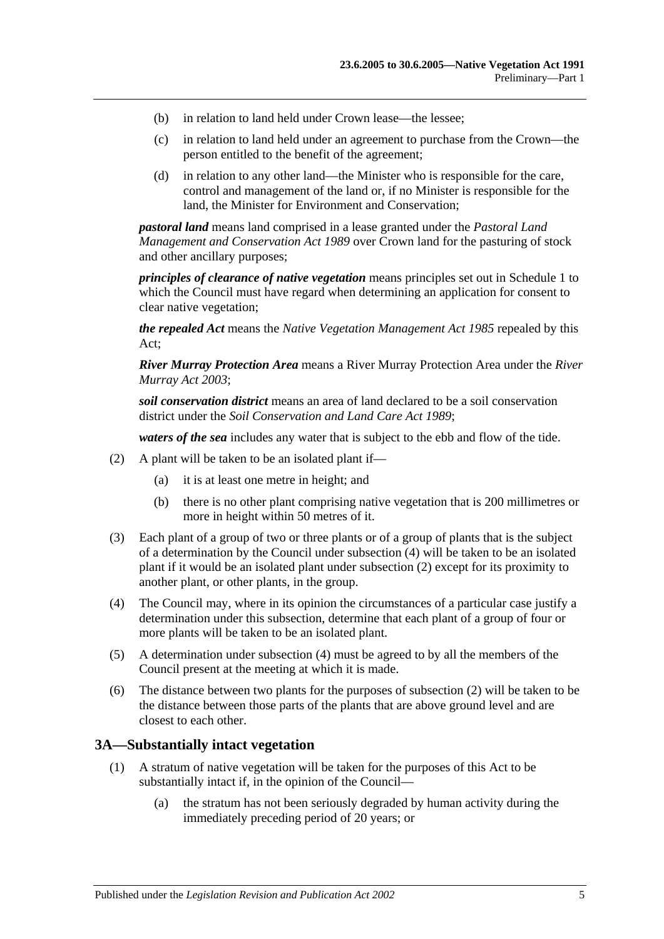- (b) in relation to land held under Crown lease—the lessee;
- (c) in relation to land held under an agreement to purchase from the Crown—the person entitled to the benefit of the agreement;
- (d) in relation to any other land—the Minister who is responsible for the care, control and management of the land or, if no Minister is responsible for the land, the Minister for Environment and Conservation;

*pastoral land* means land comprised in a lease granted under the *[Pastoral Land](http://www.legislation.sa.gov.au/index.aspx?action=legref&type=act&legtitle=Pastoral%20Land%20Management%20and%20Conservation%20Act%201989)  [Management and Conservation Act](http://www.legislation.sa.gov.au/index.aspx?action=legref&type=act&legtitle=Pastoral%20Land%20Management%20and%20Conservation%20Act%201989) 1989* over Crown land for the pasturing of stock and other ancillary purposes;

*principles of clearance of native vegetation* means principles set out in [Schedule 1](#page-45-0) to which the Council must have regard when determining an application for consent to clear native vegetation;

*the repealed Act* means the *[Native Vegetation Management Act](http://www.legislation.sa.gov.au/index.aspx?action=legref&type=act&legtitle=Native%20Vegetation%20Management%20Act%201985) 1985* repealed by this Act;

*River Murray Protection Area* means a River Murray Protection Area under the *[River](http://www.legislation.sa.gov.au/index.aspx?action=legref&type=act&legtitle=River%20Murray%20Act%202003)  [Murray Act](http://www.legislation.sa.gov.au/index.aspx?action=legref&type=act&legtitle=River%20Murray%20Act%202003) 2003*;

*soil conservation district* means an area of land declared to be a soil conservation district under the *[Soil Conservation and Land Care Act](http://www.legislation.sa.gov.au/index.aspx?action=legref&type=act&legtitle=Soil%20Conservation%20and%20Land%20Care%20Act%201989) 1989*;

*waters of the sea* includes any water that is subject to the ebb and flow of the tide.

- <span id="page-4-1"></span>(2) A plant will be taken to be an isolated plant if—
	- (a) it is at least one metre in height; and
	- (b) there is no other plant comprising native vegetation that is 200 millimetres or more in height within 50 metres of it.
- <span id="page-4-2"></span>(3) Each plant of a group of two or three plants or of a group of plants that is the subject of a determination by the Council under [subsection](#page-4-3) (4) will be taken to be an isolated plant if it would be an isolated plant under [subsection](#page-4-1) (2) except for its proximity to another plant, or other plants, in the group.
- <span id="page-4-3"></span>(4) The Council may, where in its opinion the circumstances of a particular case justify a determination under this subsection, determine that each plant of a group of four or more plants will be taken to be an isolated plant.
- (5) A determination under [subsection](#page-4-3) (4) must be agreed to by all the members of the Council present at the meeting at which it is made.
- (6) The distance between two plants for the purposes of [subsection](#page-4-1) (2) will be taken to be the distance between those parts of the plants that are above ground level and are closest to each other.

#### <span id="page-4-0"></span>**3A—Substantially intact vegetation**

- (1) A stratum of native vegetation will be taken for the purposes of this Act to be substantially intact if, in the opinion of the Council—
	- (a) the stratum has not been seriously degraded by human activity during the immediately preceding period of 20 years; or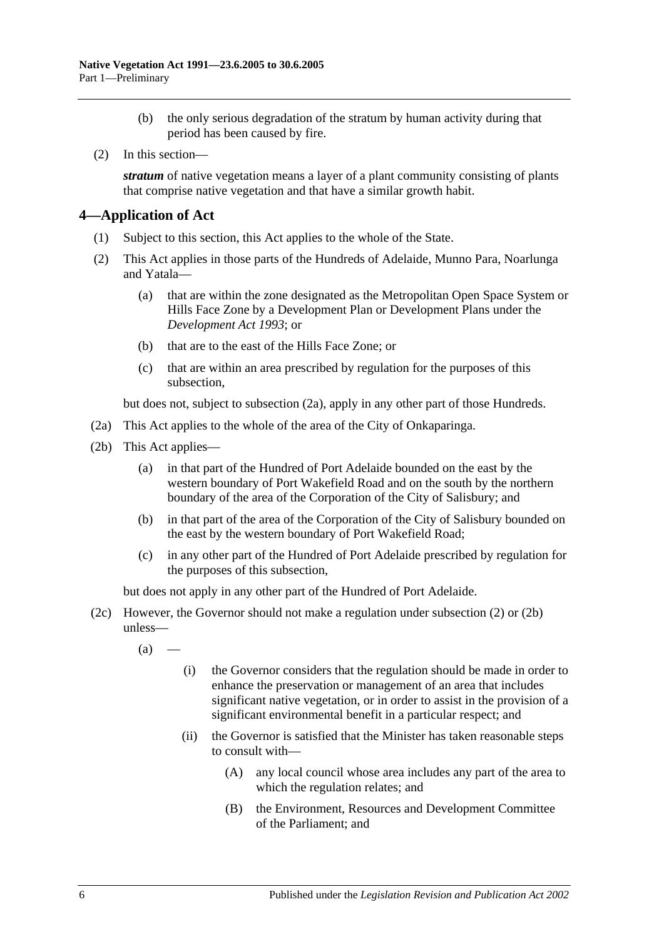- (b) the only serious degradation of the stratum by human activity during that period has been caused by fire.
- (2) In this section—

*stratum* of native vegetation means a layer of a plant community consisting of plants that comprise native vegetation and that have a similar growth habit.

## <span id="page-5-0"></span>**4—Application of Act**

- (1) Subject to this section, this Act applies to the whole of the State.
- <span id="page-5-2"></span>(2) This Act applies in those parts of the Hundreds of Adelaide, Munno Para, Noarlunga and Yatala—
	- (a) that are within the zone designated as the Metropolitan Open Space System or Hills Face Zone by a Development Plan or Development Plans under the *[Development Act](http://www.legislation.sa.gov.au/index.aspx?action=legref&type=act&legtitle=Development%20Act%201993) 1993*; or
	- (b) that are to the east of the Hills Face Zone; or
	- (c) that are within an area prescribed by regulation for the purposes of this subsection,

but does not, subject to [subsection](#page-5-1) (2a), apply in any other part of those Hundreds.

- <span id="page-5-1"></span>(2a) This Act applies to the whole of the area of the City of Onkaparinga.
- <span id="page-5-3"></span>(2b) This Act applies—
	- (a) in that part of the Hundred of Port Adelaide bounded on the east by the western boundary of Port Wakefield Road and on the south by the northern boundary of the area of the Corporation of the City of Salisbury; and
	- (b) in that part of the area of the Corporation of the City of Salisbury bounded on the east by the western boundary of Port Wakefield Road;
	- (c) in any other part of the Hundred of Port Adelaide prescribed by regulation for the purposes of this subsection,

but does not apply in any other part of the Hundred of Port Adelaide.

- <span id="page-5-4"></span>(2c) However, the Governor should not make a regulation under [subsection](#page-5-2) (2) or [\(2b\)](#page-5-3) unless—
	- $(a)$ 
		- (i) the Governor considers that the regulation should be made in order to enhance the preservation or management of an area that includes significant native vegetation, or in order to assist in the provision of a significant environmental benefit in a particular respect; and
		- (ii) the Governor is satisfied that the Minister has taken reasonable steps to consult with—
			- (A) any local council whose area includes any part of the area to which the regulation relates; and
			- (B) the Environment, Resources and Development Committee of the Parliament; and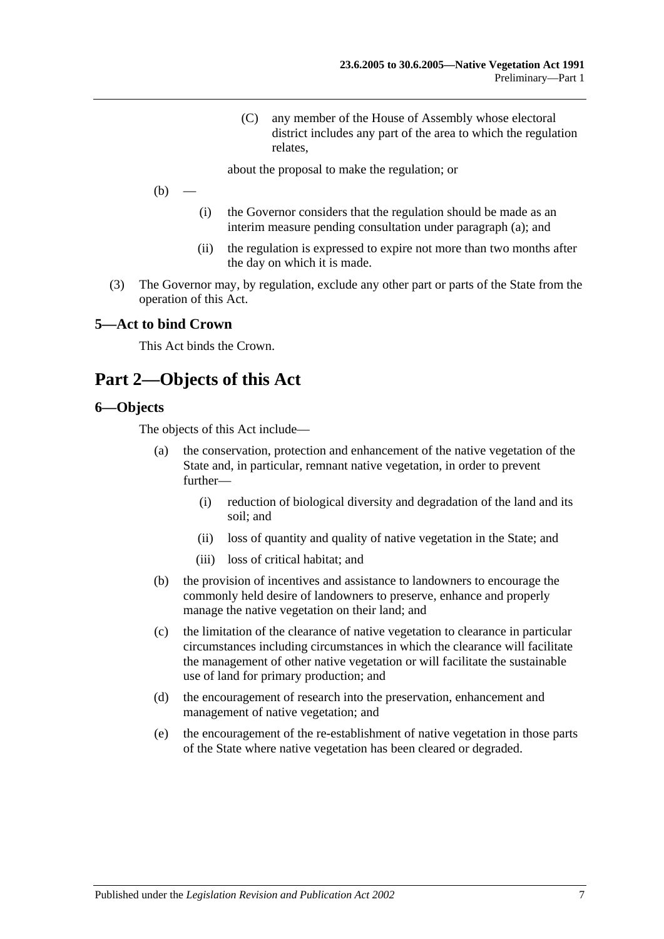(C) any member of the House of Assembly whose electoral district includes any part of the area to which the regulation relates,

about the proposal to make the regulation; or

 $(b)$ 

- (i) the Governor considers that the regulation should be made as an interim measure pending consultation under [paragraph](#page-5-4) (a); and
- (ii) the regulation is expressed to expire not more than two months after the day on which it is made.
- (3) The Governor may, by regulation, exclude any other part or parts of the State from the operation of this Act.

#### <span id="page-6-0"></span>**5—Act to bind Crown**

This Act binds the Crown.

# <span id="page-6-1"></span>**Part 2—Objects of this Act**

#### <span id="page-6-2"></span>**6—Objects**

The objects of this Act include—

- (a) the conservation, protection and enhancement of the native vegetation of the State and, in particular, remnant native vegetation, in order to prevent further—
	- (i) reduction of biological diversity and degradation of the land and its soil; and
	- (ii) loss of quantity and quality of native vegetation in the State; and
	- (iii) loss of critical habitat; and
- (b) the provision of incentives and assistance to landowners to encourage the commonly held desire of landowners to preserve, enhance and properly manage the native vegetation on their land; and
- (c) the limitation of the clearance of native vegetation to clearance in particular circumstances including circumstances in which the clearance will facilitate the management of other native vegetation or will facilitate the sustainable use of land for primary production; and
- (d) the encouragement of research into the preservation, enhancement and management of native vegetation; and
- (e) the encouragement of the re-establishment of native vegetation in those parts of the State where native vegetation has been cleared or degraded.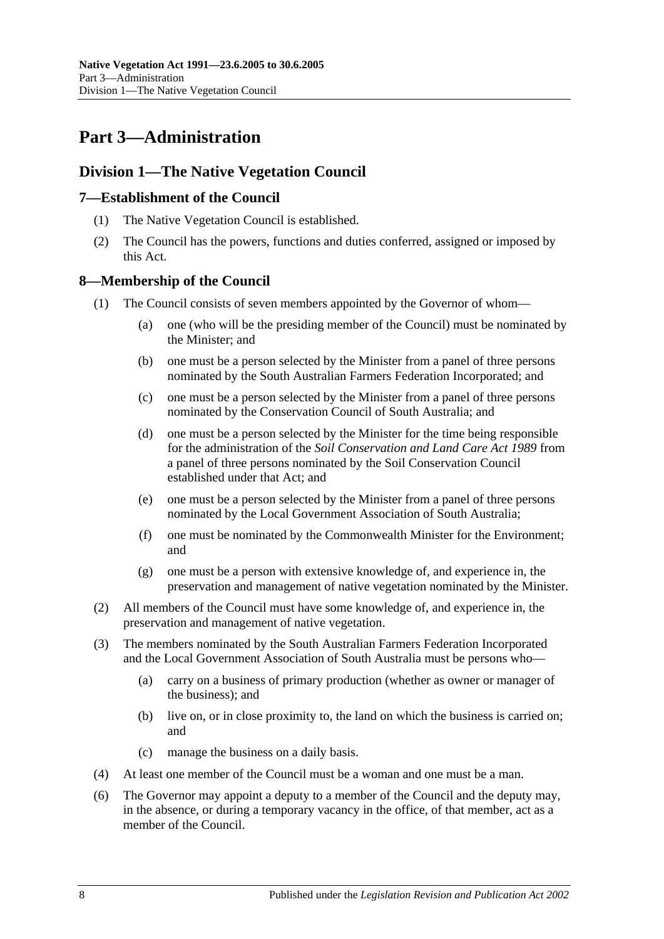# <span id="page-7-0"></span>**Part 3—Administration**

## <span id="page-7-1"></span>**Division 1—The Native Vegetation Council**

## <span id="page-7-2"></span>**7—Establishment of the Council**

- (1) The Native Vegetation Council is established.
- (2) The Council has the powers, functions and duties conferred, assigned or imposed by this Act.

## <span id="page-7-3"></span>**8—Membership of the Council**

- (1) The Council consists of seven members appointed by the Governor of whom—
	- (a) one (who will be the presiding member of the Council) must be nominated by the Minister; and
	- (b) one must be a person selected by the Minister from a panel of three persons nominated by the South Australian Farmers Federation Incorporated; and
	- (c) one must be a person selected by the Minister from a panel of three persons nominated by the Conservation Council of South Australia; and
	- (d) one must be a person selected by the Minister for the time being responsible for the administration of the *[Soil Conservation and Land Care Act](http://www.legislation.sa.gov.au/index.aspx?action=legref&type=act&legtitle=Soil%20Conservation%20and%20Land%20Care%20Act%201989) 1989* from a panel of three persons nominated by the Soil Conservation Council established under that Act; and
	- (e) one must be a person selected by the Minister from a panel of three persons nominated by the Local Government Association of South Australia;
	- (f) one must be nominated by the Commonwealth Minister for the Environment; and
	- (g) one must be a person with extensive knowledge of, and experience in, the preservation and management of native vegetation nominated by the Minister.
- (2) All members of the Council must have some knowledge of, and experience in, the preservation and management of native vegetation.
- (3) The members nominated by the South Australian Farmers Federation Incorporated and the Local Government Association of South Australia must be persons who—
	- (a) carry on a business of primary production (whether as owner or manager of the business); and
	- (b) live on, or in close proximity to, the land on which the business is carried on; and
	- (c) manage the business on a daily basis.
- (4) At least one member of the Council must be a woman and one must be a man.
- (6) The Governor may appoint a deputy to a member of the Council and the deputy may, in the absence, or during a temporary vacancy in the office, of that member, act as a member of the Council.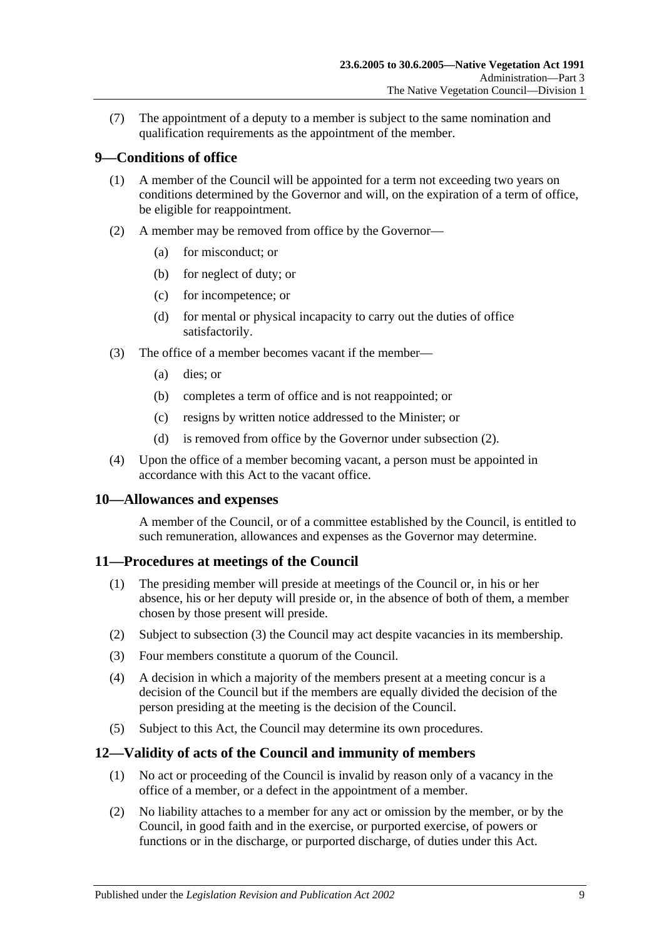(7) The appointment of a deputy to a member is subject to the same nomination and qualification requirements as the appointment of the member.

## <span id="page-8-0"></span>**9—Conditions of office**

- (1) A member of the Council will be appointed for a term not exceeding two years on conditions determined by the Governor and will, on the expiration of a term of office, be eligible for reappointment.
- <span id="page-8-4"></span>(2) A member may be removed from office by the Governor—
	- (a) for misconduct; or
	- (b) for neglect of duty; or
	- (c) for incompetence; or
	- (d) for mental or physical incapacity to carry out the duties of office satisfactorily.
- (3) The office of a member becomes vacant if the member—
	- (a) dies; or
	- (b) completes a term of office and is not reappointed; or
	- (c) resigns by written notice addressed to the Minister; or
	- (d) is removed from office by the Governor under [subsection](#page-8-4) (2).
- (4) Upon the office of a member becoming vacant, a person must be appointed in accordance with this Act to the vacant office.

#### <span id="page-8-1"></span>**10—Allowances and expenses**

A member of the Council, or of a committee established by the Council, is entitled to such remuneration, allowances and expenses as the Governor may determine.

#### <span id="page-8-2"></span>**11—Procedures at meetings of the Council**

- (1) The presiding member will preside at meetings of the Council or, in his or her absence, his or her deputy will preside or, in the absence of both of them, a member chosen by those present will preside.
- (2) Subject to [subsection](#page-8-5) (3) the Council may act despite vacancies in its membership.
- <span id="page-8-5"></span>(3) Four members constitute a quorum of the Council.
- (4) A decision in which a majority of the members present at a meeting concur is a decision of the Council but if the members are equally divided the decision of the person presiding at the meeting is the decision of the Council.
- (5) Subject to this Act, the Council may determine its own procedures.

## <span id="page-8-3"></span>**12—Validity of acts of the Council and immunity of members**

- (1) No act or proceeding of the Council is invalid by reason only of a vacancy in the office of a member, or a defect in the appointment of a member.
- <span id="page-8-6"></span>(2) No liability attaches to a member for any act or omission by the member, or by the Council, in good faith and in the exercise, or purported exercise, of powers or functions or in the discharge, or purported discharge, of duties under this Act.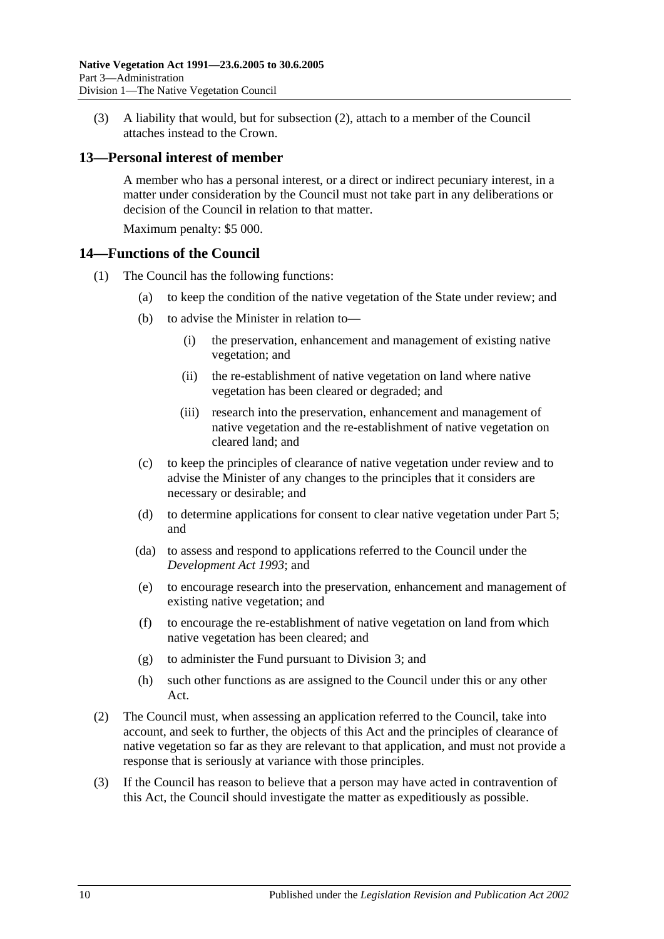(3) A liability that would, but for [subsection](#page-8-6) (2), attach to a member of the Council attaches instead to the Crown.

#### <span id="page-9-0"></span>**13—Personal interest of member**

A member who has a personal interest, or a direct or indirect pecuniary interest, in a matter under consideration by the Council must not take part in any deliberations or decision of the Council in relation to that matter.

Maximum penalty: \$5 000.

#### <span id="page-9-1"></span>**14—Functions of the Council**

- (1) The Council has the following functions:
	- (a) to keep the condition of the native vegetation of the State under review; and
	- (b) to advise the Minister in relation to—
		- (i) the preservation, enhancement and management of existing native vegetation; and
		- (ii) the re-establishment of native vegetation on land where native vegetation has been cleared or degraded; and
		- (iii) research into the preservation, enhancement and management of native vegetation and the re-establishment of native vegetation on cleared land; and
	- (c) to keep the principles of clearance of native vegetation under review and to advise the Minister of any changes to the principles that it considers are necessary or desirable; and
	- (d) to determine applications for consent to clear native vegetation under [Part 5;](#page-17-0) and
	- (da) to assess and respond to applications referred to the Council under the *[Development Act](http://www.legislation.sa.gov.au/index.aspx?action=legref&type=act&legtitle=Development%20Act%201993) 1993*; and
	- (e) to encourage research into the preservation, enhancement and management of existing native vegetation; and
	- (f) to encourage the re-establishment of native vegetation on land from which native vegetation has been cleared; and
	- (g) to administer the Fund pursuant to [Division 3;](#page-11-2) and
	- (h) such other functions as are assigned to the Council under this or any other Act.
- (2) The Council must, when assessing an application referred to the Council, take into account, and seek to further, the objects of this Act and the principles of clearance of native vegetation so far as they are relevant to that application, and must not provide a response that is seriously at variance with those principles.
- (3) If the Council has reason to believe that a person may have acted in contravention of this Act, the Council should investigate the matter as expeditiously as possible.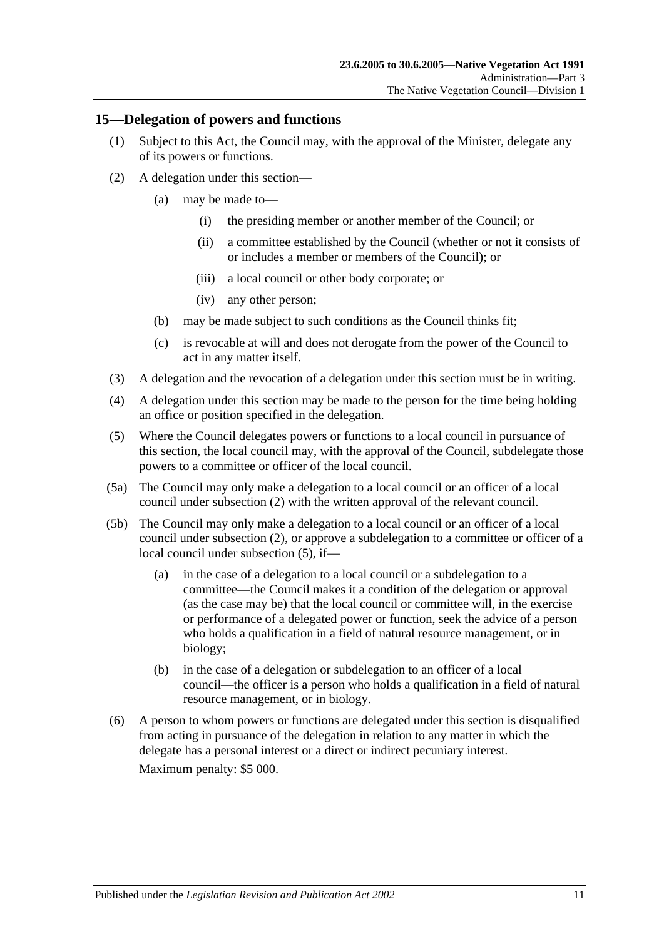#### <span id="page-10-0"></span>**15—Delegation of powers and functions**

- (1) Subject to this Act, the Council may, with the approval of the Minister, delegate any of its powers or functions.
- <span id="page-10-1"></span>(2) A delegation under this section—
	- (a) may be made to—
		- (i) the presiding member or another member of the Council; or
		- (ii) a committee established by the Council (whether or not it consists of or includes a member or members of the Council); or
		- (iii) a local council or other body corporate; or
		- (iv) any other person;
	- (b) may be made subject to such conditions as the Council thinks fit;
	- (c) is revocable at will and does not derogate from the power of the Council to act in any matter itself.
- (3) A delegation and the revocation of a delegation under this section must be in writing.
- (4) A delegation under this section may be made to the person for the time being holding an office or position specified in the delegation.
- <span id="page-10-2"></span>(5) Where the Council delegates powers or functions to a local council in pursuance of this section, the local council may, with the approval of the Council, subdelegate those powers to a committee or officer of the local council.
- (5a) The Council may only make a delegation to a local council or an officer of a local council under [subsection](#page-10-1) (2) with the written approval of the relevant council.
- (5b) The Council may only make a delegation to a local council or an officer of a local council under [subsection](#page-10-1) (2), or approve a subdelegation to a committee or officer of a local council under [subsection](#page-10-2) (5), if—
	- (a) in the case of a delegation to a local council or a subdelegation to a committee—the Council makes it a condition of the delegation or approval (as the case may be) that the local council or committee will, in the exercise or performance of a delegated power or function, seek the advice of a person who holds a qualification in a field of natural resource management, or in biology;
	- (b) in the case of a delegation or subdelegation to an officer of a local council—the officer is a person who holds a qualification in a field of natural resource management, or in biology.
- (6) A person to whom powers or functions are delegated under this section is disqualified from acting in pursuance of the delegation in relation to any matter in which the delegate has a personal interest or a direct or indirect pecuniary interest.

Maximum penalty: \$5 000.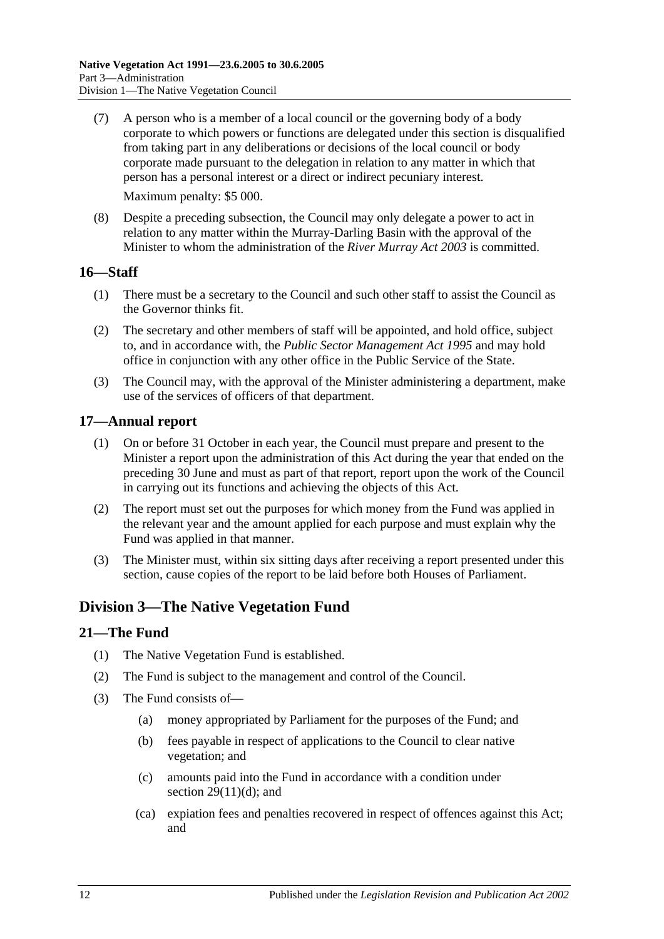- (7) A person who is a member of a local council or the governing body of a body corporate to which powers or functions are delegated under this section is disqualified from taking part in any deliberations or decisions of the local council or body corporate made pursuant to the delegation in relation to any matter in which that person has a personal interest or a direct or indirect pecuniary interest. Maximum penalty: \$5 000.
- (8) Despite a preceding subsection, the Council may only delegate a power to act in relation to any matter within the Murray-Darling Basin with the approval of the Minister to whom the administration of the *[River Murray Act](http://www.legislation.sa.gov.au/index.aspx?action=legref&type=act&legtitle=River%20Murray%20Act%202003) 2003* is committed.

## <span id="page-11-0"></span>**16—Staff**

- (1) There must be a secretary to the Council and such other staff to assist the Council as the Governor thinks fit.
- (2) The secretary and other members of staff will be appointed, and hold office, subject to, and in accordance with, the *[Public Sector Management Act](http://www.legislation.sa.gov.au/index.aspx?action=legref&type=act&legtitle=Public%20Sector%20Management%20Act%201995) 1995* and may hold office in conjunction with any other office in the Public Service of the State.
- (3) The Council may, with the approval of the Minister administering a department, make use of the services of officers of that department.

## <span id="page-11-1"></span>**17—Annual report**

- (1) On or before 31 October in each year, the Council must prepare and present to the Minister a report upon the administration of this Act during the year that ended on the preceding 30 June and must as part of that report, report upon the work of the Council in carrying out its functions and achieving the objects of this Act.
- (2) The report must set out the purposes for which money from the Fund was applied in the relevant year and the amount applied for each purpose and must explain why the Fund was applied in that manner.
- (3) The Minister must, within six sitting days after receiving a report presented under this section, cause copies of the report to be laid before both Houses of Parliament.

## <span id="page-11-2"></span>**Division 3—The Native Vegetation Fund**

## <span id="page-11-3"></span>**21—The Fund**

- (1) The Native Vegetation Fund is established.
- (2) The Fund is subject to the management and control of the Council.
- <span id="page-11-5"></span><span id="page-11-4"></span>(3) The Fund consists of—
	- (a) money appropriated by Parliament for the purposes of the Fund; and
	- (b) fees payable in respect of applications to the Council to clear native vegetation; and
	- (c) amounts paid into the Fund in accordance with a condition under section  $29(11)(d)$ ; and
	- (ca) expiation fees and penalties recovered in respect of offences against this Act; and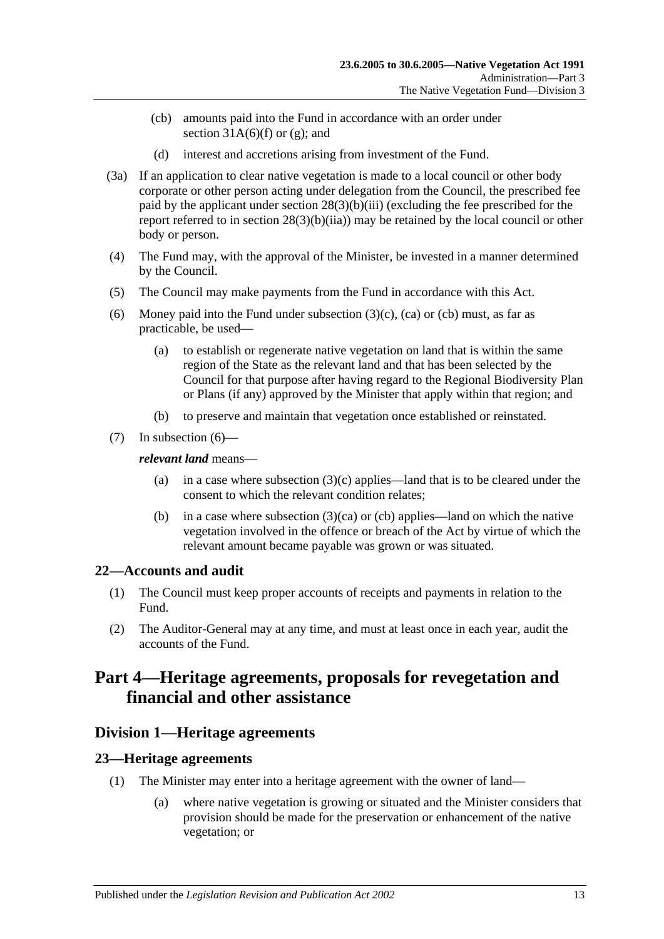- <span id="page-12-4"></span>(cb) amounts paid into the Fund in accordance with an order under section  $31A(6)(f)$  or [\(g\);](#page-27-1) and
- (d) interest and accretions arising from investment of the Fund.
- (3a) If an application to clear native vegetation is made to a local council or other body corporate or other person acting under delegation from the Council, the prescribed fee paid by the applicant under section [28\(3\)\(b\)\(iii\)](#page-20-1) (excluding the fee prescribed for the report referred to in section [28\(3\)\(b\)\(iia\)\)](#page-20-2) may be retained by the local council or other body or person.
- (4) The Fund may, with the approval of the Minister, be invested in a manner determined by the Council.
- (5) The Council may make payments from the Fund in accordance with this Act.
- <span id="page-12-5"></span>(6) Money paid into the Fund under [subsection](#page-11-4)  $(3)(c)$ ,  $(ca)$  or  $(cb)$  must, as far as practicable, be used—
	- (a) to establish or regenerate native vegetation on land that is within the same region of the State as the relevant land and that has been selected by the Council for that purpose after having regard to the Regional Biodiversity Plan or Plans (if any) approved by the Minister that apply within that region; and
	- (b) to preserve and maintain that vegetation once established or reinstated.
- (7) In [subsection](#page-12-5) (6)—

#### *relevant land* means—

- (a) in a case where [subsection](#page-11-4)  $(3)(c)$  applies—land that is to be cleared under the consent to which the relevant condition relates;
- (b) in a case where [subsection](#page-11-5)  $(3)(ca)$  or [\(cb\)](#page-12-4) applies—land on which the native vegetation involved in the offence or breach of the Act by virtue of which the relevant amount became payable was grown or was situated.

## <span id="page-12-0"></span>**22—Accounts and audit**

- (1) The Council must keep proper accounts of receipts and payments in relation to the Fund.
- (2) The Auditor-General may at any time, and must at least once in each year, audit the accounts of the Fund.

# <span id="page-12-1"></span>**Part 4—Heritage agreements, proposals for revegetation and financial and other assistance**

## <span id="page-12-2"></span>**Division 1—Heritage agreements**

## <span id="page-12-3"></span>**23—Heritage agreements**

- (1) The Minister may enter into a heritage agreement with the owner of land—
	- (a) where native vegetation is growing or situated and the Minister considers that provision should be made for the preservation or enhancement of the native vegetation; or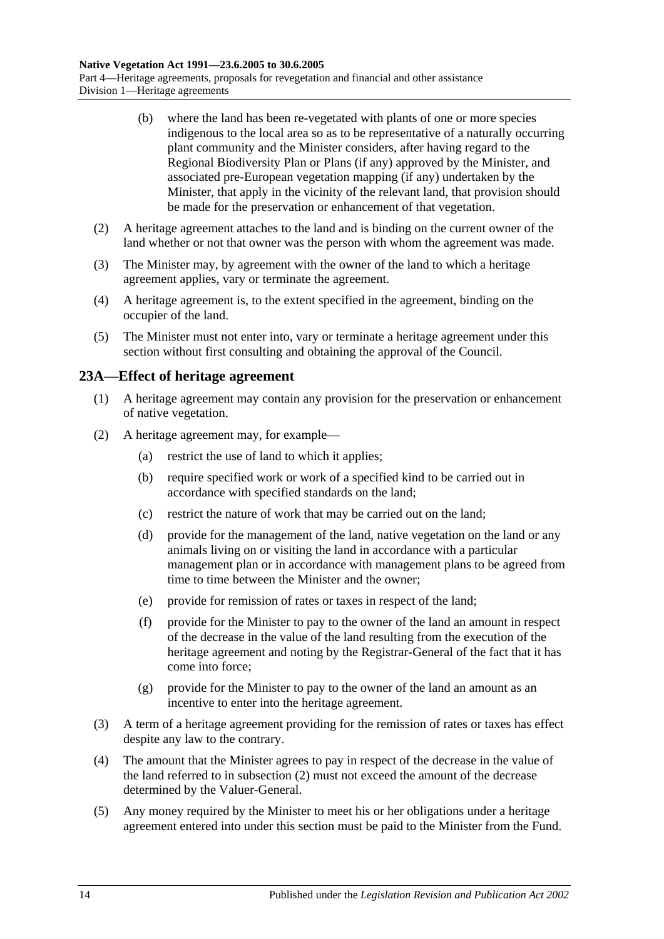- (b) where the land has been re-vegetated with plants of one or more species indigenous to the local area so as to be representative of a naturally occurring plant community and the Minister considers, after having regard to the Regional Biodiversity Plan or Plans (if any) approved by the Minister, and associated pre-European vegetation mapping (if any) undertaken by the Minister, that apply in the vicinity of the relevant land, that provision should be made for the preservation or enhancement of that vegetation.
- (2) A heritage agreement attaches to the land and is binding on the current owner of the land whether or not that owner was the person with whom the agreement was made.
- (3) The Minister may, by agreement with the owner of the land to which a heritage agreement applies, vary or terminate the agreement.
- (4) A heritage agreement is, to the extent specified in the agreement, binding on the occupier of the land.
- (5) The Minister must not enter into, vary or terminate a heritage agreement under this section without first consulting and obtaining the approval of the Council.

## <span id="page-13-0"></span>**23A—Effect of heritage agreement**

- (1) A heritage agreement may contain any provision for the preservation or enhancement of native vegetation.
- <span id="page-13-1"></span>(2) A heritage agreement may, for example—
	- (a) restrict the use of land to which it applies;
	- (b) require specified work or work of a specified kind to be carried out in accordance with specified standards on the land;
	- (c) restrict the nature of work that may be carried out on the land;
	- (d) provide for the management of the land, native vegetation on the land or any animals living on or visiting the land in accordance with a particular management plan or in accordance with management plans to be agreed from time to time between the Minister and the owner;
	- (e) provide for remission of rates or taxes in respect of the land;
	- (f) provide for the Minister to pay to the owner of the land an amount in respect of the decrease in the value of the land resulting from the execution of the heritage agreement and noting by the Registrar-General of the fact that it has come into force;
	- (g) provide for the Minister to pay to the owner of the land an amount as an incentive to enter into the heritage agreement.
- (3) A term of a heritage agreement providing for the remission of rates or taxes has effect despite any law to the contrary.
- (4) The amount that the Minister agrees to pay in respect of the decrease in the value of the land referred to in [subsection](#page-13-1) (2) must not exceed the amount of the decrease determined by the Valuer-General.
- (5) Any money required by the Minister to meet his or her obligations under a heritage agreement entered into under this section must be paid to the Minister from the Fund.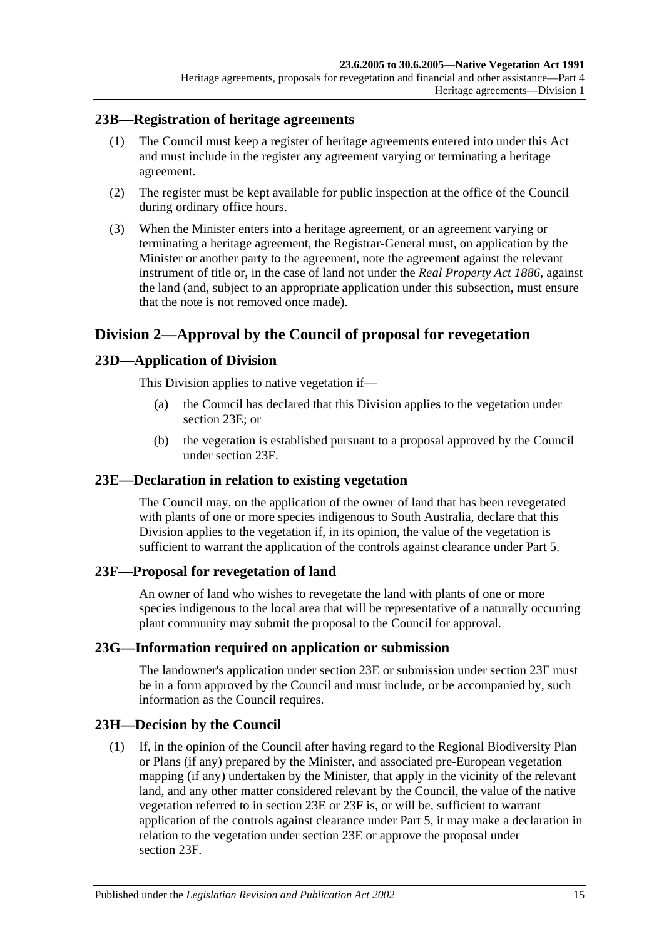#### <span id="page-14-0"></span>**23B—Registration of heritage agreements**

- (1) The Council must keep a register of heritage agreements entered into under this Act and must include in the register any agreement varying or terminating a heritage agreement.
- (2) The register must be kept available for public inspection at the office of the Council during ordinary office hours.
- (3) When the Minister enters into a heritage agreement, or an agreement varying or terminating a heritage agreement, the Registrar-General must, on application by the Minister or another party to the agreement, note the agreement against the relevant instrument of title or, in the case of land not under the *[Real Property Act](http://www.legislation.sa.gov.au/index.aspx?action=legref&type=act&legtitle=Real%20Property%20Act%201886) 1886*, against the land (and, subject to an appropriate application under this subsection, must ensure that the note is not removed once made).

## <span id="page-14-1"></span>**Division 2—Approval by the Council of proposal for revegetation**

## <span id="page-14-2"></span>**23D—Application of Division**

This Division applies to native vegetation if—

- (a) the Council has declared that this Division applies to the vegetation under [section](#page-14-3) 23E; or
- (b) the vegetation is established pursuant to a proposal approved by the Council under [section](#page-14-4) 23F.

## <span id="page-14-3"></span>**23E—Declaration in relation to existing vegetation**

The Council may, on the application of the owner of land that has been revegetated with plants of one or more species indigenous to South Australia, declare that this Division applies to the vegetation if, in its opinion, the value of the vegetation is sufficient to warrant the application of the controls against clearance under [Part 5.](#page-17-0)

#### <span id="page-14-4"></span>**23F—Proposal for revegetation of land**

An owner of land who wishes to revegetate the land with plants of one or more species indigenous to the local area that will be representative of a naturally occurring plant community may submit the proposal to the Council for approval.

#### <span id="page-14-5"></span>**23G—Information required on application or submission**

The landowner's application under [section](#page-14-3) 23E or submission under [section](#page-14-4) 23F must be in a form approved by the Council and must include, or be accompanied by, such information as the Council requires.

## <span id="page-14-6"></span>**23H—Decision by the Council**

(1) If, in the opinion of the Council after having regard to the Regional Biodiversity Plan or Plans (if any) prepared by the Minister, and associated pre-European vegetation mapping (if any) undertaken by the Minister, that apply in the vicinity of the relevant land, and any other matter considered relevant by the Council, the value of the native vegetation referred to in [section](#page-14-3) 23E or [23F](#page-14-4) is, or will be, sufficient to warrant application of the controls against clearance under [Part 5,](#page-17-0) it may make a declaration in relation to the vegetation under [section](#page-14-3) 23E or approve the proposal under [section](#page-14-4) 23F.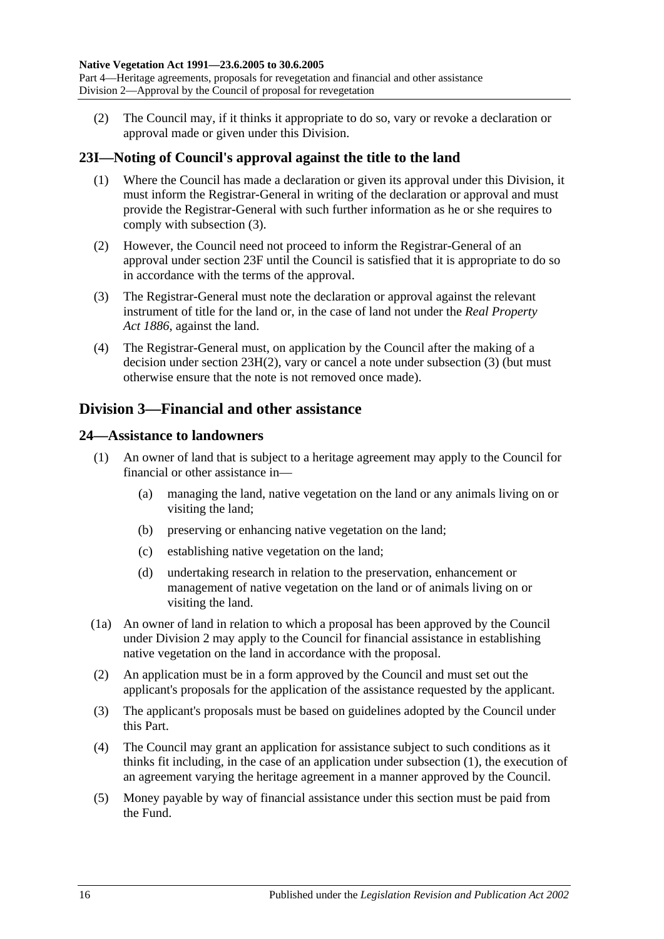<span id="page-15-4"></span>(2) The Council may, if it thinks it appropriate to do so, vary or revoke a declaration or approval made or given under this Division.

## <span id="page-15-0"></span>**23I—Noting of Council's approval against the title to the land**

- (1) Where the Council has made a declaration or given its approval under this Division, it must inform the Registrar-General in writing of the declaration or approval and must provide the Registrar-General with such further information as he or she requires to comply with [subsection](#page-15-3) (3).
- (2) However, the Council need not proceed to inform the Registrar-General of an approval under [section](#page-14-4) 23F until the Council is satisfied that it is appropriate to do so in accordance with the terms of the approval.
- <span id="page-15-3"></span>(3) The Registrar-General must note the declaration or approval against the relevant instrument of title for the land or, in the case of land not under the *Real [Property](http://www.legislation.sa.gov.au/index.aspx?action=legref&type=act&legtitle=Real%20Property%20Act%201886)  Act [1886](http://www.legislation.sa.gov.au/index.aspx?action=legref&type=act&legtitle=Real%20Property%20Act%201886)*, against the land.
- (4) The Registrar-General must, on application by the Council after the making of a decision under section [23H\(2\),](#page-15-4) vary or cancel a note under [subsection](#page-15-3) (3) (but must otherwise ensure that the note is not removed once made).

## <span id="page-15-1"></span>**Division 3—Financial and other assistance**

## <span id="page-15-5"></span><span id="page-15-2"></span>**24—Assistance to landowners**

- (1) An owner of land that is subject to a heritage agreement may apply to the Council for financial or other assistance in—
	- (a) managing the land, native vegetation on the land or any animals living on or visiting the land;
	- (b) preserving or enhancing native vegetation on the land;
	- (c) establishing native vegetation on the land;
	- (d) undertaking research in relation to the preservation, enhancement or management of native vegetation on the land or of animals living on or visiting the land.
- (1a) An owner of land in relation to which a proposal has been approved by the Council under [Division 2](#page-14-1) may apply to the Council for financial assistance in establishing native vegetation on the land in accordance with the proposal.
- (2) An application must be in a form approved by the Council and must set out the applicant's proposals for the application of the assistance requested by the applicant.
- (3) The applicant's proposals must be based on guidelines adopted by the Council under this Part.
- (4) The Council may grant an application for assistance subject to such conditions as it thinks fit including, in the case of an application under [subsection](#page-15-5) (1), the execution of an agreement varying the heritage agreement in a manner approved by the Council.
- (5) Money payable by way of financial assistance under this section must be paid from the Fund.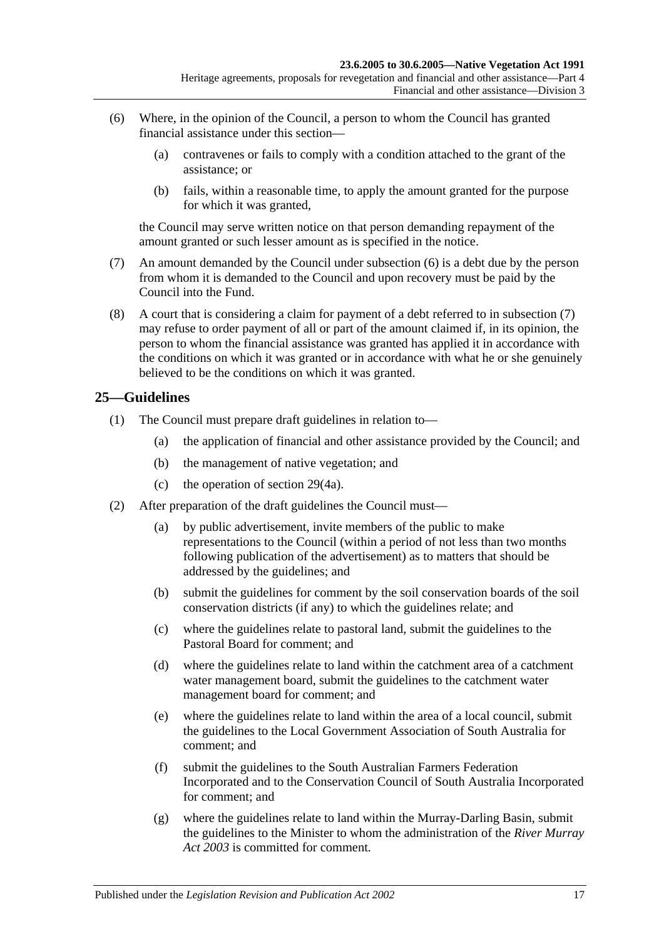- <span id="page-16-1"></span>(6) Where, in the opinion of the Council, a person to whom the Council has granted financial assistance under this section—
	- (a) contravenes or fails to comply with a condition attached to the grant of the assistance; or
	- (b) fails, within a reasonable time, to apply the amount granted for the purpose for which it was granted,

the Council may serve written notice on that person demanding repayment of the amount granted or such lesser amount as is specified in the notice.

- <span id="page-16-2"></span>(7) An amount demanded by the Council under [subsection](#page-16-1) (6) is a debt due by the person from whom it is demanded to the Council and upon recovery must be paid by the Council into the Fund.
- (8) A court that is considering a claim for payment of a debt referred to in [subsection](#page-16-2) (7) may refuse to order payment of all or part of the amount claimed if, in its opinion, the person to whom the financial assistance was granted has applied it in accordance with the conditions on which it was granted or in accordance with what he or she genuinely believed to be the conditions on which it was granted.

## <span id="page-16-0"></span>**25—Guidelines**

- (1) The Council must prepare draft guidelines in relation to—
	- (a) the application of financial and other assistance provided by the Council; and
	- (b) the management of native vegetation; and
	- (c) the operation of [section](#page-21-0) 29(4a).
- <span id="page-16-9"></span><span id="page-16-8"></span><span id="page-16-7"></span><span id="page-16-6"></span><span id="page-16-5"></span><span id="page-16-4"></span><span id="page-16-3"></span>(2) After preparation of the draft guidelines the Council must—
	- (a) by public advertisement, invite members of the public to make representations to the Council (within a period of not less than two months following publication of the advertisement) as to matters that should be addressed by the guidelines; and
	- (b) submit the guidelines for comment by the soil conservation boards of the soil conservation districts (if any) to which the guidelines relate; and
	- (c) where the guidelines relate to pastoral land, submit the guidelines to the Pastoral Board for comment; and
	- (d) where the guidelines relate to land within the catchment area of a catchment water management board, submit the guidelines to the catchment water management board for comment; and
	- (e) where the guidelines relate to land within the area of a local council, submit the guidelines to the Local Government Association of South Australia for comment; and
	- (f) submit the guidelines to the South Australian Farmers Federation Incorporated and to the Conservation Council of South Australia Incorporated for comment; and
	- (g) where the guidelines relate to land within the Murray-Darling Basin, submit the guidelines to the Minister to whom the administration of the *[River Murray](http://www.legislation.sa.gov.au/index.aspx?action=legref&type=act&legtitle=River%20Murray%20Act%202003)  Act [2003](http://www.legislation.sa.gov.au/index.aspx?action=legref&type=act&legtitle=River%20Murray%20Act%202003)* is committed for comment.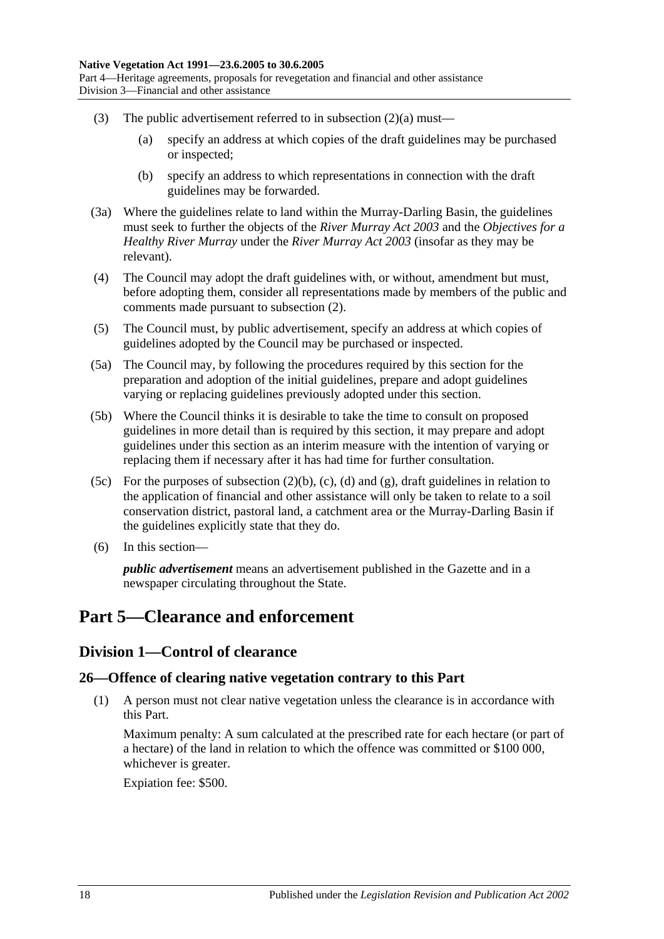- (3) The public advertisement referred to in [subsection](#page-16-3)  $(2)(a)$  must—
	- (a) specify an address at which copies of the draft guidelines may be purchased or inspected;
	- (b) specify an address to which representations in connection with the draft guidelines may be forwarded.
- (3a) Where the guidelines relate to land within the Murray-Darling Basin, the guidelines must seek to further the objects of the *[River Murray Act](http://www.legislation.sa.gov.au/index.aspx?action=legref&type=act&legtitle=River%20Murray%20Act%202003) 2003* and the *Objectives for a Healthy River Murray* under the *[River Murray Act](http://www.legislation.sa.gov.au/index.aspx?action=legref&type=act&legtitle=River%20Murray%20Act%202003) 2003* (insofar as they may be relevant).
- (4) The Council may adopt the draft guidelines with, or without, amendment but must, before adopting them, consider all representations made by members of the public and comments made pursuant to [subsection](#page-16-4) (2).
- (5) The Council must, by public advertisement, specify an address at which copies of guidelines adopted by the Council may be purchased or inspected.
- (5a) The Council may, by following the procedures required by this section for the preparation and adoption of the initial guidelines, prepare and adopt guidelines varying or replacing guidelines previously adopted under this section.
- (5b) Where the Council thinks it is desirable to take the time to consult on proposed guidelines in more detail than is required by this section, it may prepare and adopt guidelines under this section as an interim measure with the intention of varying or replacing them if necessary after it has had time for further consultation.
- (5c) For the purposes of [subsection](#page-16-5)  $(2)(b)$ ,  $(c)$ ,  $(d)$  and  $(g)$ , draft guidelines in relation to the application of financial and other assistance will only be taken to relate to a soil conservation district, pastoral land, a catchment area or the Murray-Darling Basin if the guidelines explicitly state that they do.
- (6) In this section—

*public advertisement* means an advertisement published in the Gazette and in a newspaper circulating throughout the State.

# <span id="page-17-1"></span><span id="page-17-0"></span>**Part 5—Clearance and enforcement**

## **Division 1—Control of clearance**

## <span id="page-17-3"></span><span id="page-17-2"></span>**26—Offence of clearing native vegetation contrary to this Part**

(1) A person must not clear native vegetation unless the clearance is in accordance with this Part.

Maximum penalty: A sum calculated at the prescribed rate for each hectare (or part of a hectare) of the land in relation to which the offence was committed or \$100 000, whichever is greater.

Expiation fee: \$500.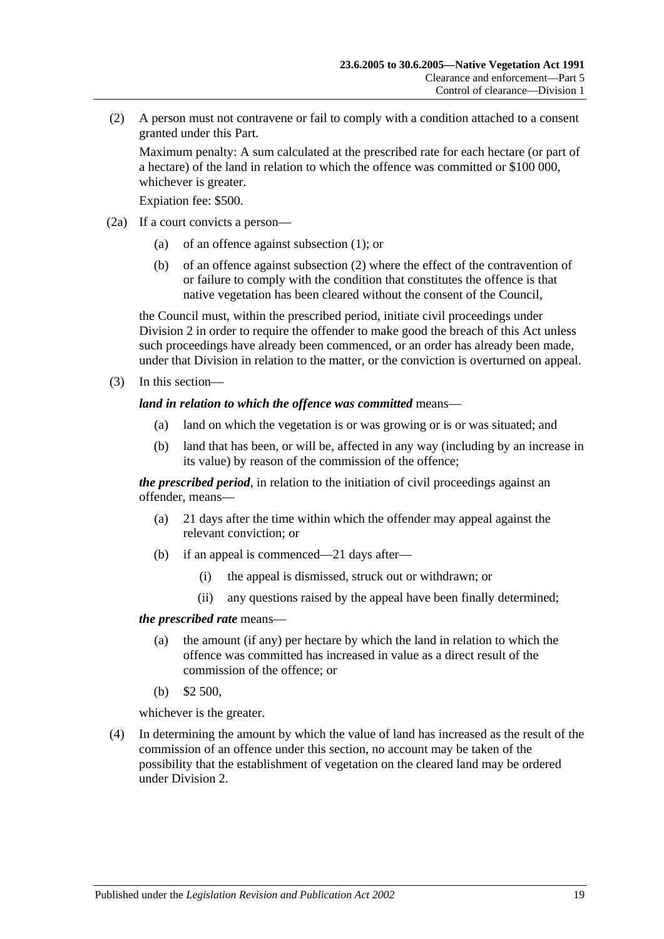<span id="page-18-0"></span>(2) A person must not contravene or fail to comply with a condition attached to a consent granted under this Part.

Maximum penalty: A sum calculated at the prescribed rate for each hectare (or part of a hectare) of the land in relation to which the offence was committed or \$100 000, whichever is greater.

Expiation fee: \$500.

- (2a) If a court convicts a person—
	- (a) of an offence against [subsection](#page-17-3) (1); or
	- (b) of an offence against [subsection](#page-18-0) (2) where the effect of the contravention of or failure to comply with the condition that constitutes the offence is that native vegetation has been cleared without the consent of the Council,

the Council must, within the prescribed period, initiate civil proceedings under [Division 2](#page-26-1) in order to require the offender to make good the breach of this Act unless such proceedings have already been commenced, or an order has already been made, under that Division in relation to the matter, or the conviction is overturned on appeal.

(3) In this section—

#### *land in relation to which the offence was committed* means—

- (a) land on which the vegetation is or was growing or is or was situated; and
- (b) land that has been, or will be, affected in any way (including by an increase in its value) by reason of the commission of the offence;

*the prescribed period*, in relation to the initiation of civil proceedings against an offender, means—

- (a) 21 days after the time within which the offender may appeal against the relevant conviction; or
- (b) if an appeal is commenced—21 days after—
	- (i) the appeal is dismissed, struck out or withdrawn; or
	- (ii) any questions raised by the appeal have been finally determined;

#### *the prescribed rate* means—

- (a) the amount (if any) per hectare by which the land in relation to which the offence was committed has increased in value as a direct result of the commission of the offence; or
- (b) \$2 500,

whichever is the greater.

(4) In determining the amount by which the value of land has increased as the result of the commission of an offence under this section, no account may be taken of the possibility that the establishment of vegetation on the cleared land may be ordered under [Division 2.](#page-26-1)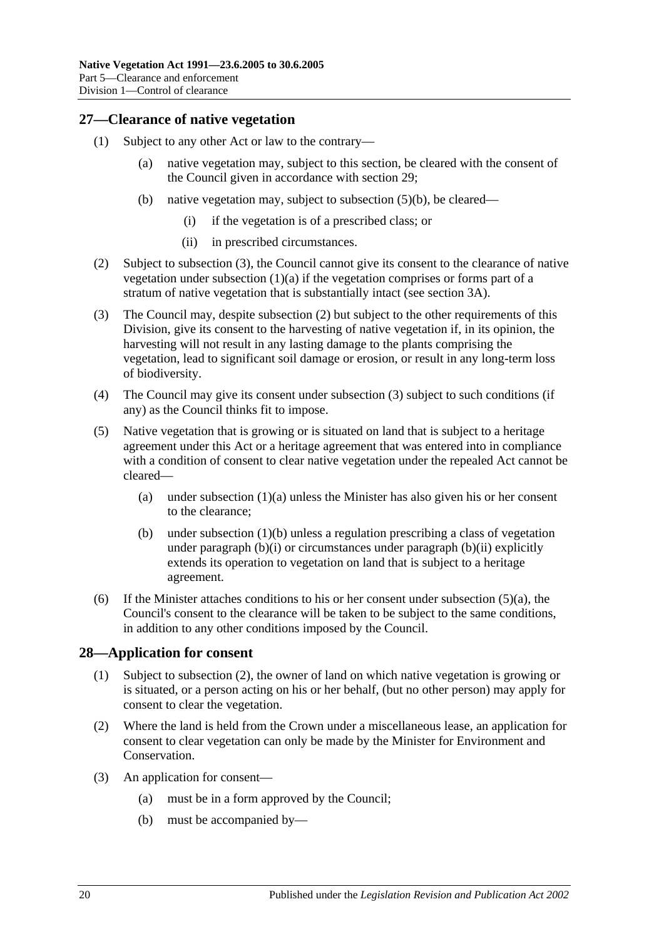## <span id="page-19-0"></span>**27—Clearance of native vegetation**

- <span id="page-19-6"></span><span id="page-19-4"></span>(1) Subject to any other Act or law to the contrary—
	- (a) native vegetation may, subject to this section, be cleared with the consent of the Council given in accordance with [section](#page-20-0) 29;
	- (b) native vegetation may, subject to [subsection](#page-19-2) (5)(b), be cleared—
		- (i) if the vegetation is of a prescribed class; or
		- (ii) in prescribed circumstances.
- <span id="page-19-8"></span><span id="page-19-7"></span><span id="page-19-5"></span>(2) Subject to [subsection](#page-19-3) (3), the Council cannot give its consent to the clearance of native vegetation under [subsection](#page-19-4) (1)(a) if the vegetation comprises or forms part of a stratum of native vegetation that is substantially intact (see [section](#page-4-0) 3A).
- <span id="page-19-3"></span>(3) The Council may, despite [subsection](#page-19-5) (2) but subject to the other requirements of this Division, give its consent to the harvesting of native vegetation if, in its opinion, the harvesting will not result in any lasting damage to the plants comprising the vegetation, lead to significant soil damage or erosion, or result in any long-term loss of biodiversity.
- (4) The Council may give its consent under [subsection](#page-19-3) (3) subject to such conditions (if any) as the Council thinks fit to impose.
- <span id="page-19-9"></span>(5) Native vegetation that is growing or is situated on land that is subject to a heritage agreement under this Act or a heritage agreement that was entered into in compliance with a condition of consent to clear native vegetation under the repealed Act cannot be cleared
	- (a) under [subsection](#page-19-4)  $(1)(a)$  unless the Minister has also given his or her consent to the clearance;
	- (b) under [subsection](#page-19-6) (1)(b) unless a regulation prescribing a class of vegetation under [paragraph](#page-19-8)  $(b)(i)$  or circumstances under paragraph  $(b)(ii)$  explicitly extends its operation to vegetation on land that is subject to a heritage agreement.
- <span id="page-19-2"></span>(6) If the Minister attaches conditions to his or her consent under [subsection](#page-19-9)  $(5)(a)$ , the Council's consent to the clearance will be taken to be subject to the same conditions, in addition to any other conditions imposed by the Council.

## <span id="page-19-1"></span>**28—Application for consent**

- (1) Subject to [subsection](#page-19-10) (2), the owner of land on which native vegetation is growing or is situated, or a person acting on his or her behalf, (but no other person) may apply for consent to clear the vegetation.
- <span id="page-19-10"></span>(2) Where the land is held from the Crown under a miscellaneous lease, an application for consent to clear vegetation can only be made by the Minister for Environment and Conservation.
- (3) An application for consent—
	- (a) must be in a form approved by the Council;
	- (b) must be accompanied by—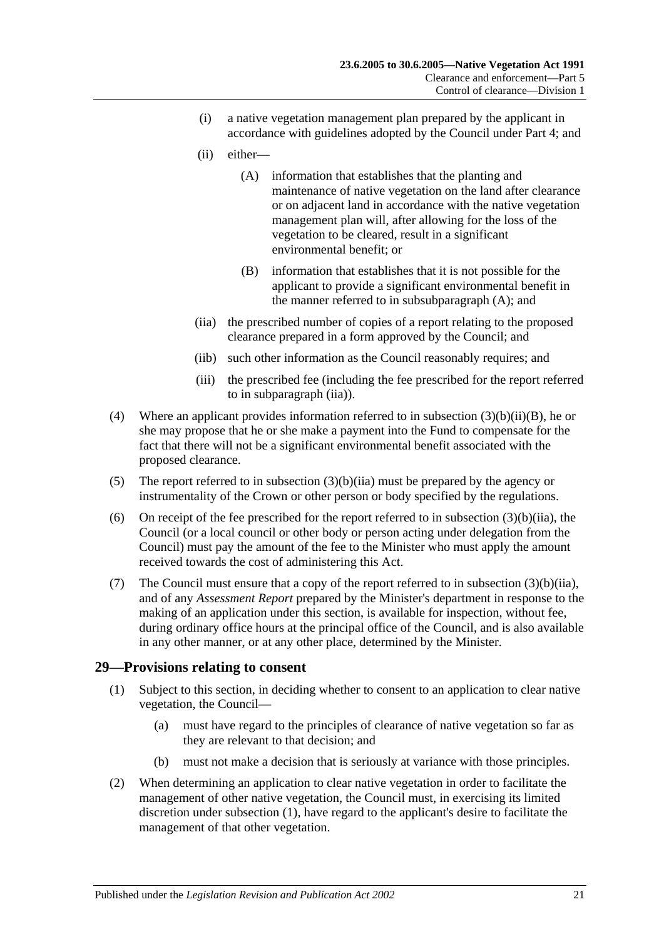- <span id="page-20-9"></span>(i) a native vegetation management plan prepared by the applicant in accordance with guidelines adopted by the Council under [Part 4;](#page-12-1) and
- <span id="page-20-3"></span>(ii) either—
	- (A) information that establishes that the planting and maintenance of native vegetation on the land after clearance or on adjacent land in accordance with the native vegetation management plan will, after allowing for the loss of the vegetation to be cleared, result in a significant environmental benefit; or
	- (B) information that establishes that it is not possible for the applicant to provide a significant environmental benefit in the manner referred to in [subsubparagraph](#page-20-3) (A); and
- <span id="page-20-4"></span><span id="page-20-2"></span>(iia) the prescribed number of copies of a report relating to the proposed clearance prepared in a form approved by the Council; and
- (iib) such other information as the Council reasonably requires; and
- (iii) the prescribed fee (including the fee prescribed for the report referred to in [subparagraph](#page-20-2) (iia)).
- <span id="page-20-7"></span><span id="page-20-1"></span>(4) Where an applicant provides information referred to in subsection  $(3)(b)(ii)(B)$ , he or she may propose that he or she make a payment into the Fund to compensate for the fact that there will not be a significant environmental benefit associated with the proposed clearance.
- <span id="page-20-8"></span>(5) The report referred to in [subsection](#page-20-2) (3)(b)(iia) must be prepared by the agency or instrumentality of the Crown or other person or body specified by the regulations.
- (6) On receipt of the fee prescribed for the report referred to in [subsection](#page-20-2)  $(3)(b)(ii)$ , the Council (or a local council or other body or person acting under delegation from the Council) must pay the amount of the fee to the Minister who must apply the amount received towards the cost of administering this Act.
- (7) The Council must ensure that a copy of the report referred to in [subsection](#page-20-2)  $(3)(b)(iia)$ , and of any *Assessment Report* prepared by the Minister's department in response to the making of an application under this section, is available for inspection, without fee, during ordinary office hours at the principal office of the Council, and is also available in any other manner, or at any other place, determined by the Minister.

## <span id="page-20-5"></span><span id="page-20-0"></span>**29—Provisions relating to consent**

- (1) Subject to this section, in deciding whether to consent to an application to clear native vegetation, the Council—
	- (a) must have regard to the principles of clearance of native vegetation so far as they are relevant to that decision; and
	- (b) must not make a decision that is seriously at variance with those principles.
- <span id="page-20-6"></span>(2) When determining an application to clear native vegetation in order to facilitate the management of other native vegetation, the Council must, in exercising its limited discretion under [subsection](#page-20-5) (1), have regard to the applicant's desire to facilitate the management of that other vegetation.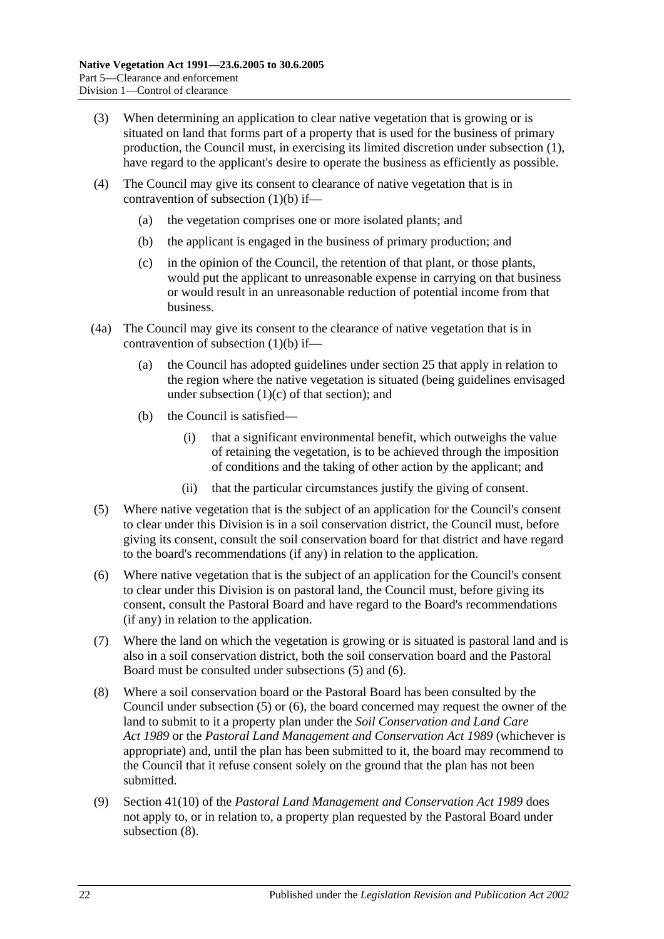- (3) When determining an application to clear native vegetation that is growing or is situated on land that forms part of a property that is used for the business of primary production, the Council must, in exercising its limited discretion under [subsection](#page-20-5) (1), have regard to the applicant's desire to operate the business as efficiently as possible.
- (4) The Council may give its consent to clearance of native vegetation that is in contravention of [subsection](#page-20-6) (1)(b) if—
	- (a) the vegetation comprises one or more isolated plants; and
	- (b) the applicant is engaged in the business of primary production; and
	- (c) in the opinion of the Council, the retention of that plant, or those plants, would put the applicant to unreasonable expense in carrying on that business or would result in an unreasonable reduction of potential income from that business.
- <span id="page-21-0"></span>(4a) The Council may give its consent to the clearance of native vegetation that is in contravention of [subsection](#page-20-6)  $(1)(b)$  if—
	- (a) the Council has adopted guidelines under [section](#page-16-0) 25 that apply in relation to the region where the native vegetation is situated (being guidelines envisaged under [subsection](#page-16-9)  $(1)(c)$  of that section); and
	- (b) the Council is satisfied—
		- (i) that a significant environmental benefit, which outweighs the value of retaining the vegetation, is to be achieved through the imposition of conditions and the taking of other action by the applicant; and
		- (ii) that the particular circumstances justify the giving of consent.
- <span id="page-21-1"></span>(5) Where native vegetation that is the subject of an application for the Council's consent to clear under this Division is in a soil conservation district, the Council must, before giving its consent, consult the soil conservation board for that district and have regard to the board's recommendations (if any) in relation to the application.
- <span id="page-21-2"></span>(6) Where native vegetation that is the subject of an application for the Council's consent to clear under this Division is on pastoral land, the Council must, before giving its consent, consult the Pastoral Board and have regard to the Board's recommendations (if any) in relation to the application.
- (7) Where the land on which the vegetation is growing or is situated is pastoral land and is also in a soil conservation district, both the soil conservation board and the Pastoral Board must be consulted under [subsections](#page-21-1) (5) and [\(6\).](#page-21-2)
- <span id="page-21-3"></span>(8) Where a soil conservation board or the Pastoral Board has been consulted by the Council under [subsection](#page-21-1) (5) or [\(6\),](#page-21-2) the board concerned may request the owner of the land to submit to it a property plan under the *[Soil Conservation and Land Care](http://www.legislation.sa.gov.au/index.aspx?action=legref&type=act&legtitle=Soil%20Conservation%20and%20Land%20Care%20Act%201989)  Act [1989](http://www.legislation.sa.gov.au/index.aspx?action=legref&type=act&legtitle=Soil%20Conservation%20and%20Land%20Care%20Act%201989)* or the *[Pastoral Land Management and Conservation Act](http://www.legislation.sa.gov.au/index.aspx?action=legref&type=act&legtitle=Pastoral%20Land%20Management%20and%20Conservation%20Act%201989) 1989* (whichever is appropriate) and, until the plan has been submitted to it, the board may recommend to the Council that it refuse consent solely on the ground that the plan has not been submitted.
- (9) Section 41(10) of the *[Pastoral Land Management and Conservation Act](http://www.legislation.sa.gov.au/index.aspx?action=legref&type=act&legtitle=Pastoral%20Land%20Management%20and%20Conservation%20Act%201989) 1989* does not apply to, or in relation to, a property plan requested by the Pastoral Board under [subsection](#page-21-3) (8).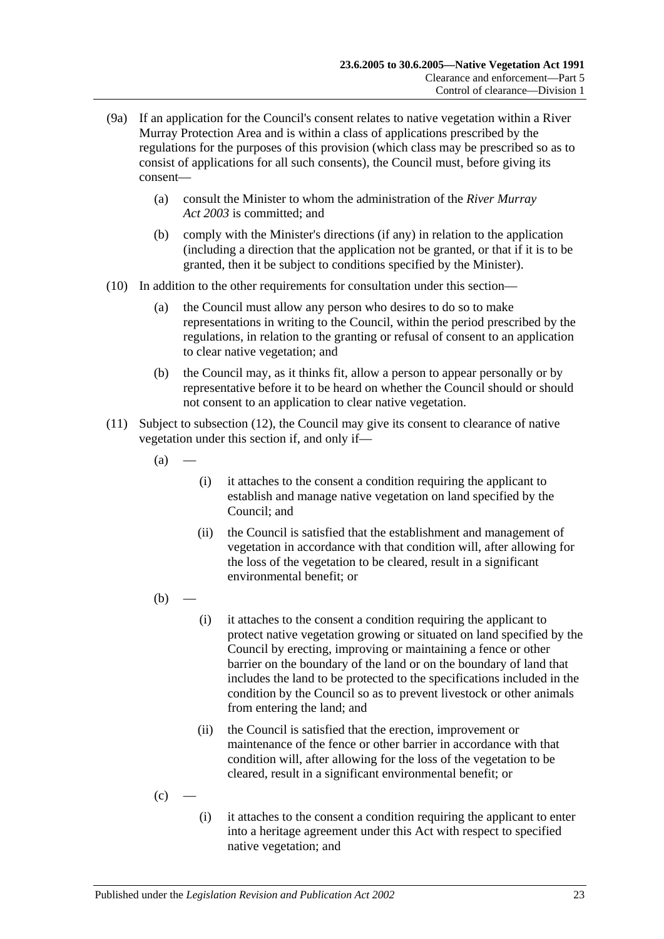- (9a) If an application for the Council's consent relates to native vegetation within a River Murray Protection Area and is within a class of applications prescribed by the regulations for the purposes of this provision (which class may be prescribed so as to consist of applications for all such consents), the Council must, before giving its consent—
	- (a) consult the Minister to whom the administration of the *[River Murray](http://www.legislation.sa.gov.au/index.aspx?action=legref&type=act&legtitle=River%20Murray%20Act%202003)  Act [2003](http://www.legislation.sa.gov.au/index.aspx?action=legref&type=act&legtitle=River%20Murray%20Act%202003)* is committed; and
	- (b) comply with the Minister's directions (if any) in relation to the application (including a direction that the application not be granted, or that if it is to be granted, then it be subject to conditions specified by the Minister).
- (10) In addition to the other requirements for consultation under this section—
	- (a) the Council must allow any person who desires to do so to make representations in writing to the Council, within the period prescribed by the regulations, in relation to the granting or refusal of consent to an application to clear native vegetation; and
	- (b) the Council may, as it thinks fit, allow a person to appear personally or by representative before it to be heard on whether the Council should or should not consent to an application to clear native vegetation.
- <span id="page-22-0"></span>(11) Subject to [subsection](#page-23-2) (12), the Council may give its consent to clearance of native vegetation under this section if, and only if—
	- $(a)$
- (i) it attaches to the consent a condition requiring the applicant to establish and manage native vegetation on land specified by the Council; and
- (ii) the Council is satisfied that the establishment and management of vegetation in accordance with that condition will, after allowing for the loss of the vegetation to be cleared, result in a significant environmental benefit; or
- $(h)$ 
	- (i) it attaches to the consent a condition requiring the applicant to protect native vegetation growing or situated on land specified by the Council by erecting, improving or maintaining a fence or other barrier on the boundary of the land or on the boundary of land that includes the land to be protected to the specifications included in the condition by the Council so as to prevent livestock or other animals from entering the land; and
	- (ii) the Council is satisfied that the erection, improvement or maintenance of the fence or other barrier in accordance with that condition will, after allowing for the loss of the vegetation to be cleared, result in a significant environmental benefit; or
- $(c)$
- (i) it attaches to the consent a condition requiring the applicant to enter into a heritage agreement under this Act with respect to specified native vegetation; and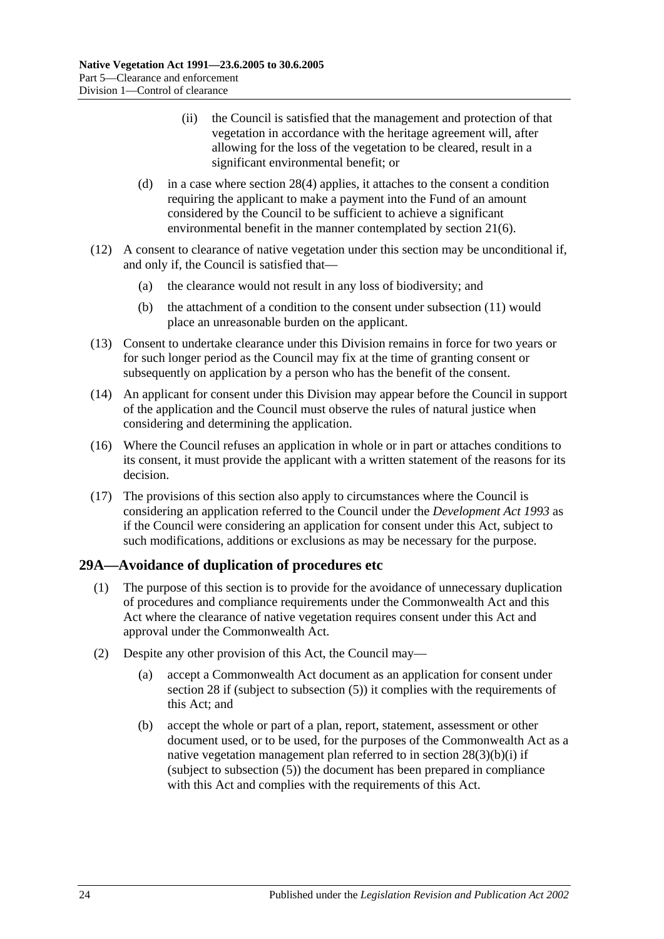- (ii) the Council is satisfied that the management and protection of that vegetation in accordance with the heritage agreement will, after allowing for the loss of the vegetation to be cleared, result in a significant environmental benefit; or
- <span id="page-23-1"></span>(d) in a case where [section](#page-20-7) 28(4) applies, it attaches to the consent a condition requiring the applicant to make a payment into the Fund of an amount considered by the Council to be sufficient to achieve a significant environmental benefit in the manner contemplated by [section](#page-12-5) 21(6).
- <span id="page-23-2"></span>(12) A consent to clearance of native vegetation under this section may be unconditional if, and only if, the Council is satisfied that—
	- (a) the clearance would not result in any loss of biodiversity; and
	- (b) the attachment of a condition to the consent under [subsection](#page-22-0) (11) would place an unreasonable burden on the applicant.
- (13) Consent to undertake clearance under this Division remains in force for two years or for such longer period as the Council may fix at the time of granting consent or subsequently on application by a person who has the benefit of the consent.
- (14) An applicant for consent under this Division may appear before the Council in support of the application and the Council must observe the rules of natural justice when considering and determining the application.
- (16) Where the Council refuses an application in whole or in part or attaches conditions to its consent, it must provide the applicant with a written statement of the reasons for its decision.
- (17) The provisions of this section also apply to circumstances where the Council is considering an application referred to the Council under the *[Development Act](http://www.legislation.sa.gov.au/index.aspx?action=legref&type=act&legtitle=Development%20Act%201993) 1993* as if the Council were considering an application for consent under this Act, subject to such modifications, additions or exclusions as may be necessary for the purpose.

## <span id="page-23-0"></span>**29A—Avoidance of duplication of procedures etc**

- (1) The purpose of this section is to provide for the avoidance of unnecessary duplication of procedures and compliance requirements under the Commonwealth Act and this Act where the clearance of native vegetation requires consent under this Act and approval under the Commonwealth Act.
- <span id="page-23-3"></span>(2) Despite any other provision of this Act, the Council may—
	- (a) accept a Commonwealth Act document as an application for consent under [section](#page-19-1) 28 if (subject to [subsection](#page-20-8) (5)) it complies with the requirements of this Act; and
	- (b) accept the whole or part of a plan, report, statement, assessment or other document used, or to be used, for the purposes of the Commonwealth Act as a native vegetation management plan referred to in section  $28(3)(b)(i)$  if (subject to [subsection](#page-20-8) (5)) the document has been prepared in compliance with this Act and complies with the requirements of this Act.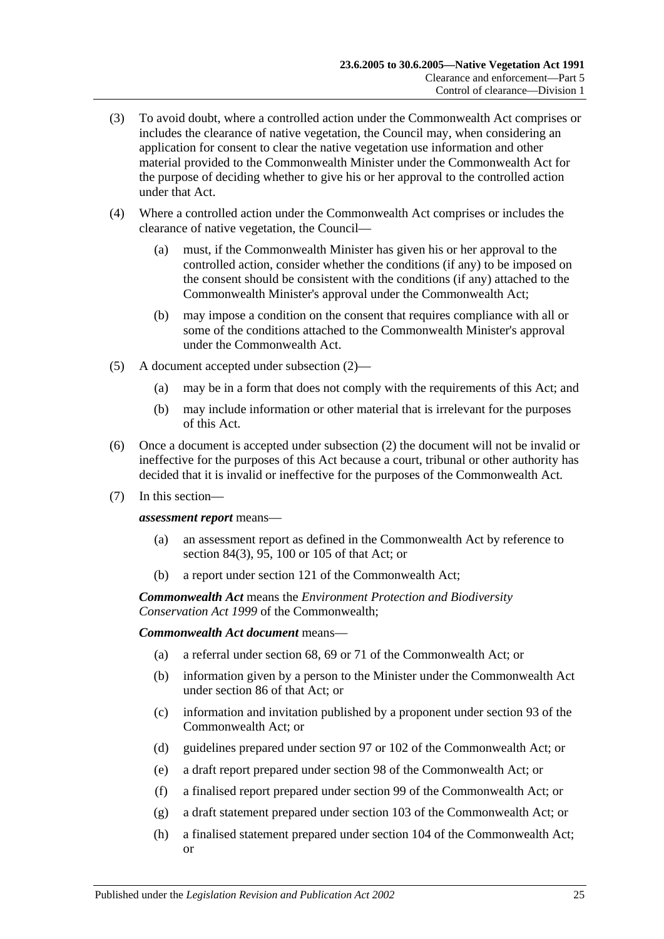- (3) To avoid doubt, where a controlled action under the Commonwealth Act comprises or includes the clearance of native vegetation, the Council may, when considering an application for consent to clear the native vegetation use information and other material provided to the Commonwealth Minister under the Commonwealth Act for the purpose of deciding whether to give his or her approval to the controlled action under that Act.
- (4) Where a controlled action under the Commonwealth Act comprises or includes the clearance of native vegetation, the Council—
	- (a) must, if the Commonwealth Minister has given his or her approval to the controlled action, consider whether the conditions (if any) to be imposed on the consent should be consistent with the conditions (if any) attached to the Commonwealth Minister's approval under the Commonwealth Act;
	- (b) may impose a condition on the consent that requires compliance with all or some of the conditions attached to the Commonwealth Minister's approval under the Commonwealth Act.
- (5) A document accepted under [subsection](#page-23-3) (2)—
	- (a) may be in a form that does not comply with the requirements of this Act; and
	- (b) may include information or other material that is irrelevant for the purposes of this Act.
- (6) Once a document is accepted under [subsection](#page-23-3) (2) the document will not be invalid or ineffective for the purposes of this Act because a court, tribunal or other authority has decided that it is invalid or ineffective for the purposes of the Commonwealth Act.
- (7) In this section—

*assessment report* means—

- (a) an assessment report as defined in the Commonwealth Act by reference to section 84(3), 95, 100 or 105 of that Act; or
- (b) a report under section 121 of the Commonwealth Act;

*Commonwealth Act* means the *Environment Protection and Biodiversity Conservation Act 1999* of the Commonwealth;

*Commonwealth Act document* means—

- (a) a referral under section 68, 69 or 71 of the Commonwealth Act; or
- (b) information given by a person to the Minister under the Commonwealth Act under section 86 of that Act; or
- (c) information and invitation published by a proponent under section 93 of the Commonwealth Act; or
- (d) guidelines prepared under section 97 or 102 of the Commonwealth Act; or
- (e) a draft report prepared under section 98 of the Commonwealth Act; or
- (f) a finalised report prepared under section 99 of the Commonwealth Act; or
- (g) a draft statement prepared under section 103 of the Commonwealth Act; or
- (h) a finalised statement prepared under section 104 of the Commonwealth Act; or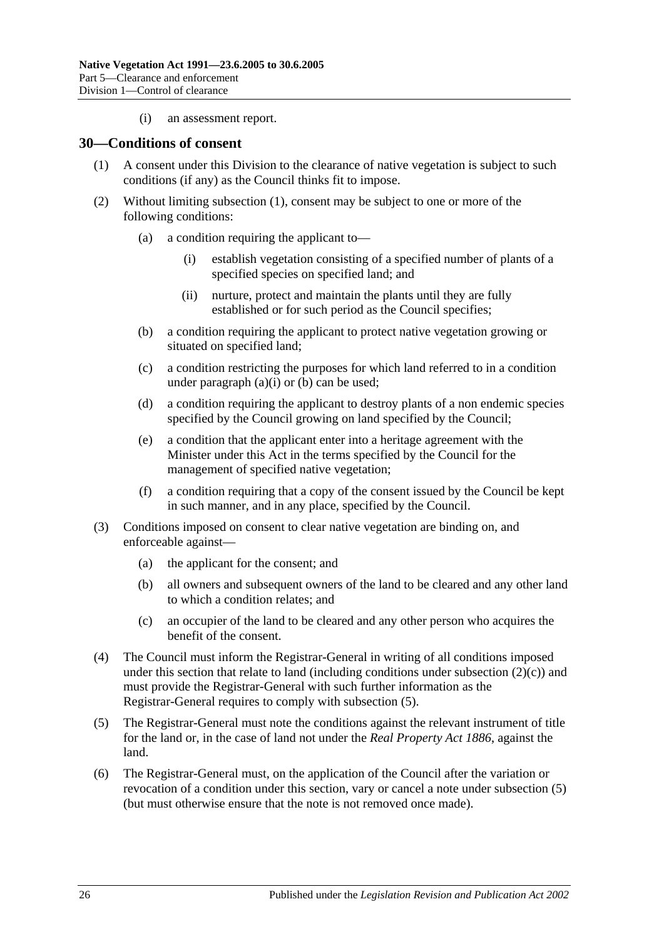(i) an assessment report.

#### <span id="page-25-1"></span><span id="page-25-0"></span>**30—Conditions of consent**

- (1) A consent under this Division to the clearance of native vegetation is subject to such conditions (if any) as the Council thinks fit to impose.
- <span id="page-25-6"></span><span id="page-25-4"></span><span id="page-25-3"></span><span id="page-25-2"></span>(2) Without limiting [subsection](#page-25-1) (1), consent may be subject to one or more of the following conditions:
	- (a) a condition requiring the applicant to—
		- (i) establish vegetation consisting of a specified number of plants of a specified species on specified land; and
		- (ii) nurture, protect and maintain the plants until they are fully established or for such period as the Council specifies;
	- (b) a condition requiring the applicant to protect native vegetation growing or situated on specified land;
	- (c) a condition restricting the purposes for which land referred to in a condition under [paragraph](#page-25-2)  $(a)(i)$  or  $(b)$  can be used;
	- (d) a condition requiring the applicant to destroy plants of a non endemic species specified by the Council growing on land specified by the Council;
	- (e) a condition that the applicant enter into a heritage agreement with the Minister under this Act in the terms specified by the Council for the management of specified native vegetation;
	- (f) a condition requiring that a copy of the consent issued by the Council be kept in such manner, and in any place, specified by the Council.
- (3) Conditions imposed on consent to clear native vegetation are binding on, and enforceable against—
	- (a) the applicant for the consent; and
	- (b) all owners and subsequent owners of the land to be cleared and any other land to which a condition relates; and
	- (c) an occupier of the land to be cleared and any other person who acquires the benefit of the consent.
- (4) The Council must inform the Registrar-General in writing of all conditions imposed under this section that relate to land (including conditions under [subsection](#page-25-4)  $(2)(c)$ ) and must provide the Registrar-General with such further information as the Registrar-General requires to comply with [subsection](#page-25-5) (5).
- <span id="page-25-5"></span>(5) The Registrar-General must note the conditions against the relevant instrument of title for the land or, in the case of land not under the *[Real Property Act](http://www.legislation.sa.gov.au/index.aspx?action=legref&type=act&legtitle=Real%20Property%20Act%201886) 1886*, against the land.
- (6) The Registrar-General must, on the application of the Council after the variation or revocation of a condition under this section, vary or cancel a note under [subsection](#page-25-5) (5) (but must otherwise ensure that the note is not removed once made).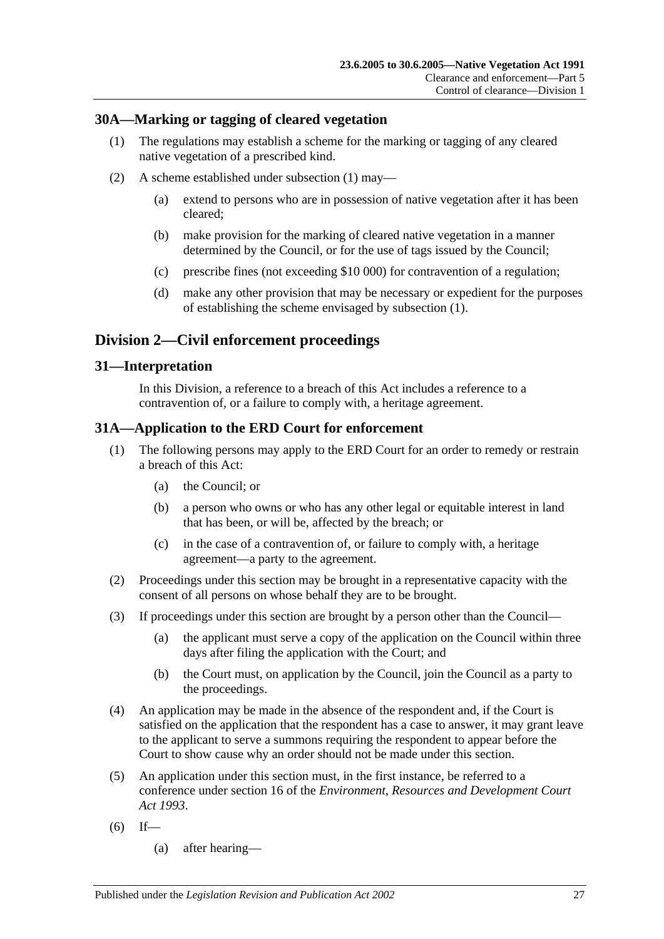## <span id="page-26-4"></span><span id="page-26-0"></span>**30A—Marking or tagging of cleared vegetation**

- (1) The regulations may establish a scheme for the marking or tagging of any cleared native vegetation of a prescribed kind.
- (2) A scheme established under [subsection](#page-26-4) (1) may—
	- (a) extend to persons who are in possession of native vegetation after it has been cleared;
	- (b) make provision for the marking of cleared native vegetation in a manner determined by the Council, or for the use of tags issued by the Council;
	- (c) prescribe fines (not exceeding \$10 000) for contravention of a regulation;
	- (d) make any other provision that may be necessary or expedient for the purposes of establishing the scheme envisaged by [subsection](#page-26-4) (1).

## <span id="page-26-1"></span>**Division 2—Civil enforcement proceedings**

## <span id="page-26-2"></span>**31—Interpretation**

In this Division, a reference to a breach of this Act includes a reference to a contravention of, or a failure to comply with, a heritage agreement.

## <span id="page-26-3"></span>**31A—Application to the ERD Court for enforcement**

- (1) The following persons may apply to the ERD Court for an order to remedy or restrain a breach of this Act:
	- (a) the Council; or
	- (b) a person who owns or who has any other legal or equitable interest in land that has been, or will be, affected by the breach; or
	- (c) in the case of a contravention of, or failure to comply with, a heritage agreement—a party to the agreement.
- (2) Proceedings under this section may be brought in a representative capacity with the consent of all persons on whose behalf they are to be brought.
- (3) If proceedings under this section are brought by a person other than the Council—
	- (a) the applicant must serve a copy of the application on the Council within three days after filing the application with the Court; and
	- (b) the Court must, on application by the Council, join the Council as a party to the proceedings.
- (4) An application may be made in the absence of the respondent and, if the Court is satisfied on the application that the respondent has a case to answer, it may grant leave to the applicant to serve a summons requiring the respondent to appear before the Court to show cause why an order should not be made under this section.
- <span id="page-26-5"></span>(5) An application under this section must, in the first instance, be referred to a conference under section 16 of the *[Environment, Resources and Development Court](http://www.legislation.sa.gov.au/index.aspx?action=legref&type=act&legtitle=Environment%20Resources%20and%20Development%20Court%20Act%201993)  Act [1993](http://www.legislation.sa.gov.au/index.aspx?action=legref&type=act&legtitle=Environment%20Resources%20and%20Development%20Court%20Act%201993)*.
- $(6)$  If—
	- (a) after hearing—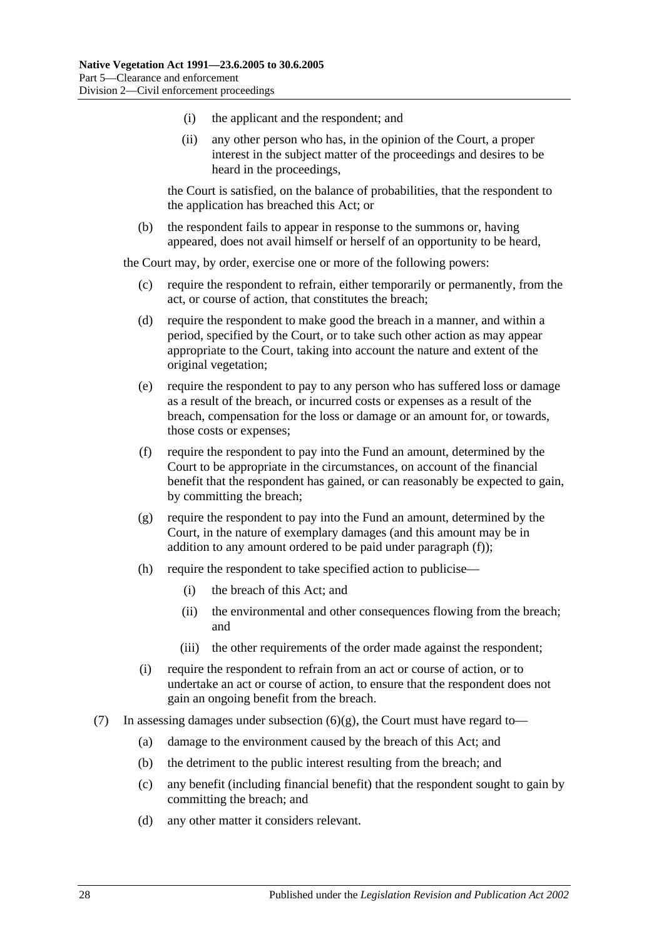- (i) the applicant and the respondent; and
- (ii) any other person who has, in the opinion of the Court, a proper interest in the subject matter of the proceedings and desires to be heard in the proceedings,

the Court is satisfied, on the balance of probabilities, that the respondent to the application has breached this Act; or

(b) the respondent fails to appear in response to the summons or, having appeared, does not avail himself or herself of an opportunity to be heard,

the Court may, by order, exercise one or more of the following powers:

- (c) require the respondent to refrain, either temporarily or permanently, from the act, or course of action, that constitutes the breach;
- <span id="page-27-2"></span>(d) require the respondent to make good the breach in a manner, and within a period, specified by the Court, or to take such other action as may appear appropriate to the Court, taking into account the nature and extent of the original vegetation;
- (e) require the respondent to pay to any person who has suffered loss or damage as a result of the breach, or incurred costs or expenses as a result of the breach, compensation for the loss or damage or an amount for, or towards, those costs or expenses;
- <span id="page-27-0"></span>(f) require the respondent to pay into the Fund an amount, determined by the Court to be appropriate in the circumstances, on account of the financial benefit that the respondent has gained, or can reasonably be expected to gain, by committing the breach;
- <span id="page-27-1"></span>(g) require the respondent to pay into the Fund an amount, determined by the Court, in the nature of exemplary damages (and this amount may be in addition to any amount ordered to be paid under [paragraph](#page-27-0) (f));
- (h) require the respondent to take specified action to publicise—
	- (i) the breach of this Act; and
	- (ii) the environmental and other consequences flowing from the breach; and
	- (iii) the other requirements of the order made against the respondent;
- (i) require the respondent to refrain from an act or course of action, or to undertake an act or course of action, to ensure that the respondent does not gain an ongoing benefit from the breach.
- (7) In assessing damages under [subsection](#page-27-1)  $(6)(g)$ , the Court must have regard to-
	- (a) damage to the environment caused by the breach of this Act; and
	- (b) the detriment to the public interest resulting from the breach; and
	- (c) any benefit (including financial benefit) that the respondent sought to gain by committing the breach; and
	- (d) any other matter it considers relevant.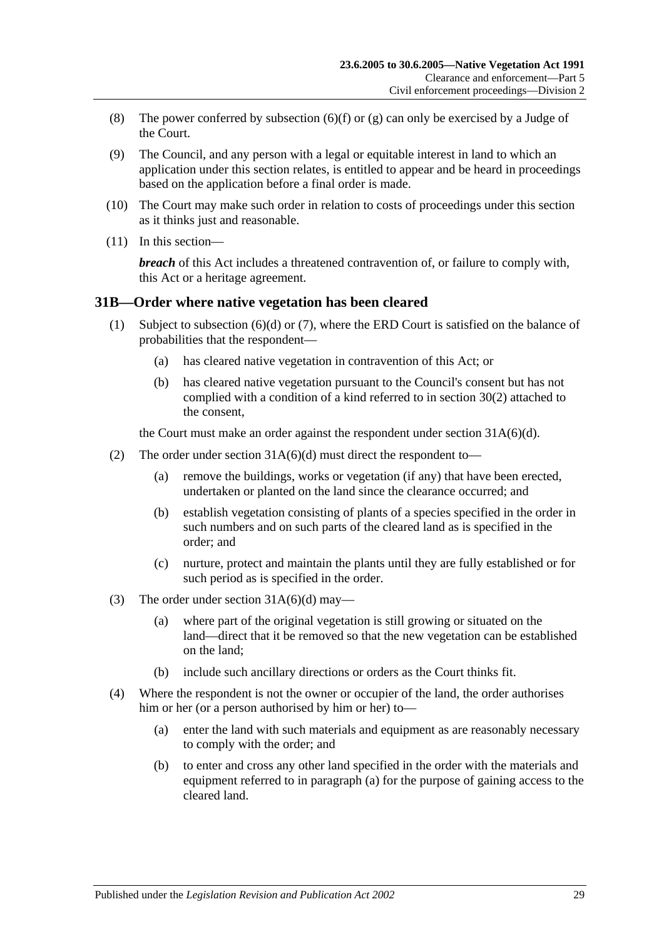- <span id="page-28-4"></span>(8) The power conferred by [subsection](#page-27-0) (6)(f) or [\(g\)](#page-27-1) can only be exercised by a Judge of the Court.
- (9) The Council, and any person with a legal or equitable interest in land to which an application under this section relates, is entitled to appear and be heard in proceedings based on the application before a final order is made.
- (10) The Court may make such order in relation to costs of proceedings under this section as it thinks just and reasonable.
- (11) In this section—

*breach* of this Act includes a threatened contravention of, or failure to comply with, this Act or a heritage agreement.

#### <span id="page-28-3"></span><span id="page-28-0"></span>**31B—Order where native vegetation has been cleared**

- (1) Subject to [subsection](#page-29-1) (6)(d) or [\(7\),](#page-29-2) where the ERD Court is satisfied on the balance of probabilities that the respondent—
	- (a) has cleared native vegetation in contravention of this Act; or
	- (b) has cleared native vegetation pursuant to the Council's consent but has not complied with a condition of a kind referred to in [section](#page-25-6) 30(2) attached to the consent,

the Court must make an order against the respondent under section [31A\(6\)\(d\).](#page-27-2)

- (2) The order under section  $31A(6)(d)$  must direct the respondent to—
	- (a) remove the buildings, works or vegetation (if any) that have been erected, undertaken or planted on the land since the clearance occurred; and
	- (b) establish vegetation consisting of plants of a species specified in the order in such numbers and on such parts of the cleared land as is specified in the order; and
	- (c) nurture, protect and maintain the plants until they are fully established or for such period as is specified in the order.
- (3) The order under section  $31A(6)(d)$  may—
	- (a) where part of the original vegetation is still growing or situated on the land—direct that it be removed so that the new vegetation can be established on the land;
	- (b) include such ancillary directions or orders as the Court thinks fit.
- <span id="page-28-2"></span><span id="page-28-1"></span>(4) Where the respondent is not the owner or occupier of the land, the order authorises him or her (or a person authorised by him or her) to—
	- (a) enter the land with such materials and equipment as are reasonably necessary to comply with the order; and
	- (b) to enter and cross any other land specified in the order with the materials and equipment referred to in [paragraph](#page-28-1) (a) for the purpose of gaining access to the cleared land.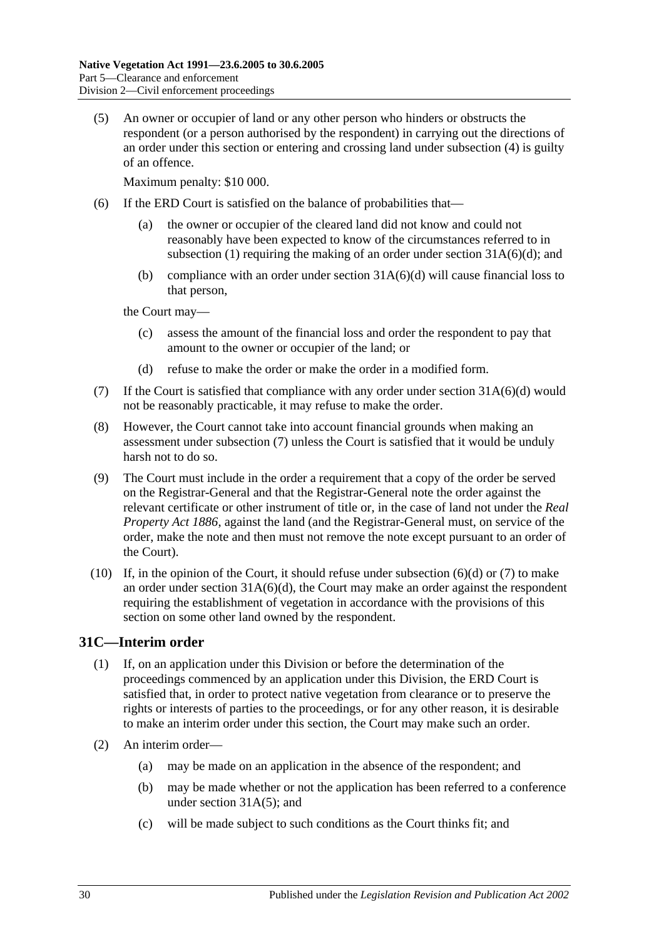<span id="page-29-3"></span>(5) An owner or occupier of land or any other person who hinders or obstructs the respondent (or a person authorised by the respondent) in carrying out the directions of an order under this section or entering and crossing land under [subsection](#page-28-2) (4) is guilty of an offence.

Maximum penalty: \$10 000.

- (6) If the ERD Court is satisfied on the balance of probabilities that—
	- (a) the owner or occupier of the cleared land did not know and could not reasonably have been expected to know of the circumstances referred to in [subsection](#page-28-3) (1) requiring the making of an order under section  $31A(6)(d)$ ; and
	- (b) compliance with an order under section [31A\(6\)\(d\)](#page-27-2) will cause financial loss to that person,

the Court may—

- (c) assess the amount of the financial loss and order the respondent to pay that amount to the owner or occupier of the land; or
- (d) refuse to make the order or make the order in a modified form.
- <span id="page-29-2"></span><span id="page-29-1"></span>(7) If the Court is satisfied that compliance with any order under section  $31A(6)(d)$  would not be reasonably practicable, it may refuse to make the order.
- (8) However, the Court cannot take into account financial grounds when making an assessment under [subsection](#page-29-2) (7) unless the Court is satisfied that it would be unduly harsh not to do so.
- (9) The Court must include in the order a requirement that a copy of the order be served on the Registrar-General and that the Registrar-General note the order against the relevant certificate or other instrument of title or, in the case of land not under the *[Real](http://www.legislation.sa.gov.au/index.aspx?action=legref&type=act&legtitle=Real%20Property%20Act%201886)  [Property Act](http://www.legislation.sa.gov.au/index.aspx?action=legref&type=act&legtitle=Real%20Property%20Act%201886) 1886*, against the land (and the Registrar-General must, on service of the order, make the note and then must not remove the note except pursuant to an order of the Court).
- (10) If, in the opinion of the Court, it should refuse under [subsection](#page-29-1)  $(6)(d)$  or  $(7)$  to make an order under section [31A\(6\)\(d\),](#page-27-2) the Court may make an order against the respondent requiring the establishment of vegetation in accordance with the provisions of this section on some other land owned by the respondent.

## <span id="page-29-0"></span>**31C—Interim order**

- (1) If, on an application under this Division or before the determination of the proceedings commenced by an application under this Division, the ERD Court is satisfied that, in order to protect native vegetation from clearance or to preserve the rights or interests of parties to the proceedings, or for any other reason, it is desirable to make an interim order under this section, the Court may make such an order.
- (2) An interim order—
	- (a) may be made on an application in the absence of the respondent; and
	- (b) may be made whether or not the application has been referred to a conference under section [31A\(5\);](#page-26-5) and
	- (c) will be made subject to such conditions as the Court thinks fit; and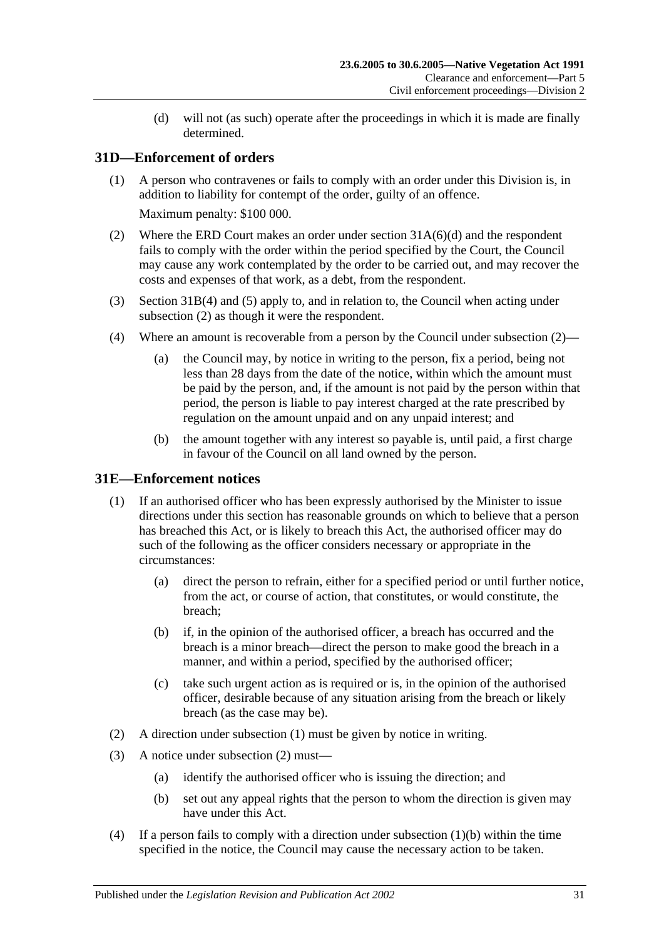(d) will not (as such) operate after the proceedings in which it is made are finally determined.

## <span id="page-30-0"></span>**31D—Enforcement of orders**

- (1) A person who contravenes or fails to comply with an order under this Division is, in addition to liability for contempt of the order, guilty of an offence. Maximum penalty: \$100 000.
- <span id="page-30-2"></span>(2) Where the ERD Court makes an order under section [31A\(6\)\(d\)](#page-27-2) and the respondent fails to comply with the order within the period specified by the Court, the Council may cause any work contemplated by the order to be carried out, and may recover the costs and expenses of that work, as a debt, from the respondent.
- (3) [Section](#page-28-2) 31B(4) and [\(5\)](#page-29-3) apply to, and in relation to, the Council when acting under [subsection](#page-30-2) (2) as though it were the respondent.
- <span id="page-30-7"></span>(4) Where an amount is recoverable from a person by the Council under [subsection](#page-30-2) (2)—
	- (a) the Council may, by notice in writing to the person, fix a period, being not less than 28 days from the date of the notice, within which the amount must be paid by the person, and, if the amount is not paid by the person within that period, the person is liable to pay interest charged at the rate prescribed by regulation on the amount unpaid and on any unpaid interest; and
	- (b) the amount together with any interest so payable is, until paid, a first charge in favour of the Council on all land owned by the person.

## <span id="page-30-3"></span><span id="page-30-1"></span>**31E—Enforcement notices**

- (1) If an authorised officer who has been expressly authorised by the Minister to issue directions under this section has reasonable grounds on which to believe that a person has breached this Act, or is likely to breach this Act, the authorised officer may do such of the following as the officer considers necessary or appropriate in the circumstances:
	- (a) direct the person to refrain, either for a specified period or until further notice, from the act, or course of action, that constitutes, or would constitute, the breach;
	- (b) if, in the opinion of the authorised officer, a breach has occurred and the breach is a minor breach—direct the person to make good the breach in a manner, and within a period, specified by the authorised officer;
	- (c) take such urgent action as is required or is, in the opinion of the authorised officer, desirable because of any situation arising from the breach or likely breach (as the case may be).
- <span id="page-30-5"></span><span id="page-30-4"></span>(2) A direction under [subsection](#page-30-3) (1) must be given by notice in writing.
- (3) A notice under [subsection](#page-30-4) (2) must—
	- (a) identify the authorised officer who is issuing the direction; and
	- (b) set out any appeal rights that the person to whom the direction is given may have under this Act.
- <span id="page-30-6"></span>(4) If a person fails to comply with a direction under [subsection](#page-30-5) (1)(b) within the time specified in the notice, the Council may cause the necessary action to be taken.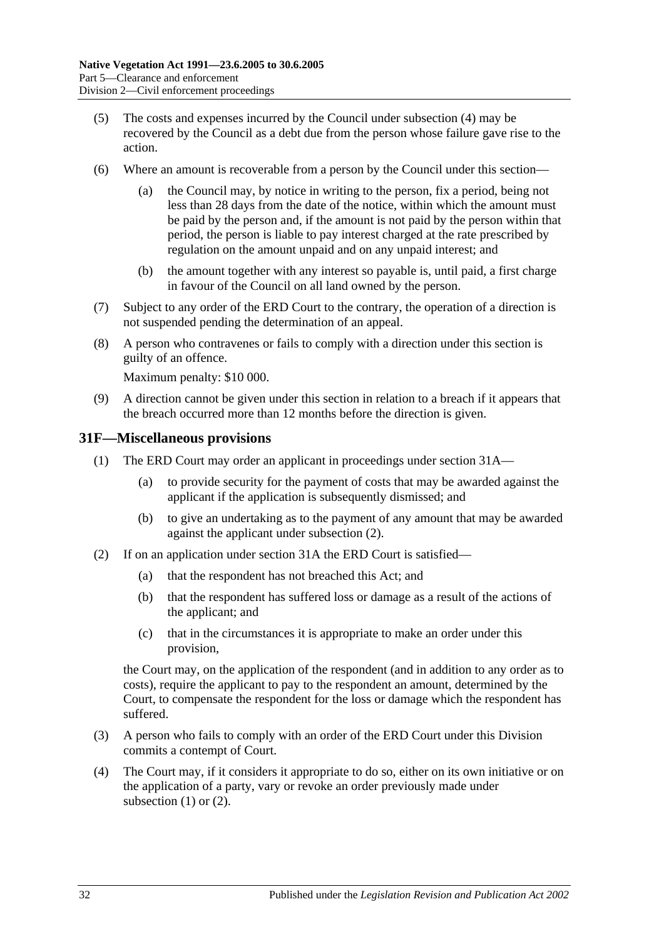- (5) The costs and expenses incurred by the Council under [subsection](#page-30-6) (4) may be recovered by the Council as a debt due from the person whose failure gave rise to the action.
- <span id="page-31-3"></span>(6) Where an amount is recoverable from a person by the Council under this section
	- the Council may, by notice in writing to the person, fix a period, being not less than 28 days from the date of the notice, within which the amount must be paid by the person and, if the amount is not paid by the person within that period, the person is liable to pay interest charged at the rate prescribed by regulation on the amount unpaid and on any unpaid interest; and
	- (b) the amount together with any interest so payable is, until paid, a first charge in favour of the Council on all land owned by the person.
- (7) Subject to any order of the ERD Court to the contrary, the operation of a direction is not suspended pending the determination of an appeal.
- (8) A person who contravenes or fails to comply with a direction under this section is guilty of an offence.

Maximum penalty: \$10 000.

(9) A direction cannot be given under this section in relation to a breach if it appears that the breach occurred more than 12 months before the direction is given.

#### <span id="page-31-2"></span><span id="page-31-0"></span>**31F—Miscellaneous provisions**

- (1) The ERD Court may order an applicant in proceedings under [section](#page-26-3) 31A—
	- (a) to provide security for the payment of costs that may be awarded against the applicant if the application is subsequently dismissed; and
	- (b) to give an undertaking as to the payment of any amount that may be awarded against the applicant under [subsection](#page-31-1) (2).
- <span id="page-31-1"></span>(2) If on an application under [section](#page-26-3) 31A the ERD Court is satisfied—
	- (a) that the respondent has not breached this Act; and
	- (b) that the respondent has suffered loss or damage as a result of the actions of the applicant; and
	- (c) that in the circumstances it is appropriate to make an order under this provision,

the Court may, on the application of the respondent (and in addition to any order as to costs), require the applicant to pay to the respondent an amount, determined by the Court, to compensate the respondent for the loss or damage which the respondent has suffered.

- (3) A person who fails to comply with an order of the ERD Court under this Division commits a contempt of Court.
- (4) The Court may, if it considers it appropriate to do so, either on its own initiative or on the application of a party, vary or revoke an order previously made under [subsection](#page-31-2) (1) or [\(2\).](#page-31-1)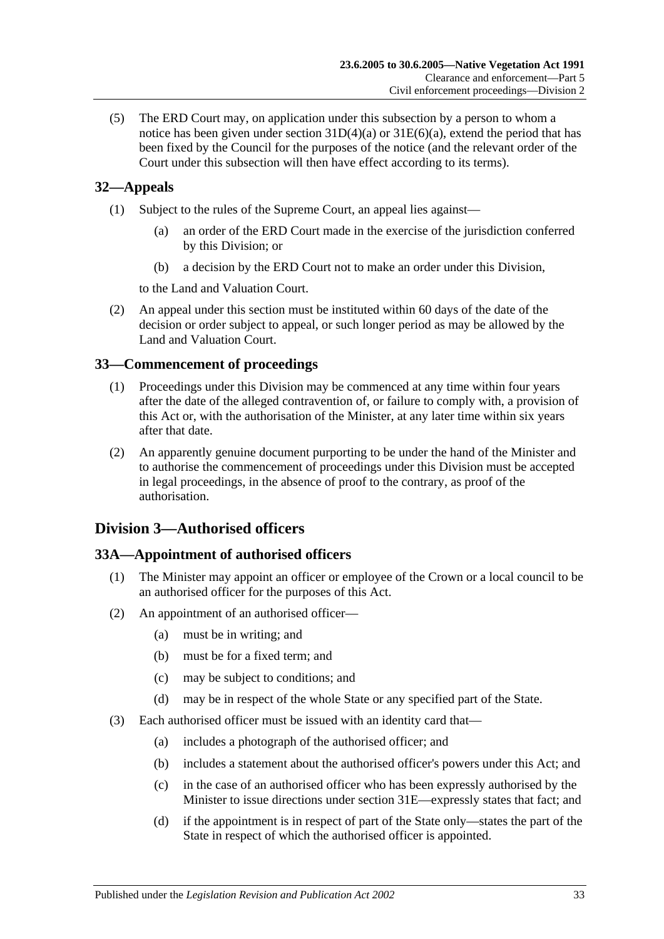(5) The ERD Court may, on application under this subsection by a person to whom a notice has been given under section  $31D(4)(a)$  or  $31E(6)(a)$ , extend the period that has been fixed by the Council for the purposes of the notice (and the relevant order of the Court under this subsection will then have effect according to its terms).

## <span id="page-32-0"></span>**32—Appeals**

- (1) Subject to the rules of the Supreme Court, an appeal lies against—
	- (a) an order of the ERD Court made in the exercise of the jurisdiction conferred by this Division; or
	- (b) a decision by the ERD Court not to make an order under this Division,

to the Land and Valuation Court.

(2) An appeal under this section must be instituted within 60 days of the date of the decision or order subject to appeal, or such longer period as may be allowed by the Land and Valuation Court.

## <span id="page-32-1"></span>**33—Commencement of proceedings**

- (1) Proceedings under this Division may be commenced at any time within four years after the date of the alleged contravention of, or failure to comply with, a provision of this Act or, with the authorisation of the Minister, at any later time within six years after that date.
- (2) An apparently genuine document purporting to be under the hand of the Minister and to authorise the commencement of proceedings under this Division must be accepted in legal proceedings, in the absence of proof to the contrary, as proof of the authorisation.

## <span id="page-32-2"></span>**Division 3—Authorised officers**

## <span id="page-32-3"></span>**33A—Appointment of authorised officers**

- (1) The Minister may appoint an officer or employee of the Crown or a local council to be an authorised officer for the purposes of this Act.
- (2) An appointment of an authorised officer—
	- (a) must be in writing; and
	- (b) must be for a fixed term; and
	- (c) may be subject to conditions; and
	- (d) may be in respect of the whole State or any specified part of the State.
- (3) Each authorised officer must be issued with an identity card that—
	- (a) includes a photograph of the authorised officer; and
	- (b) includes a statement about the authorised officer's powers under this Act; and
	- (c) in the case of an authorised officer who has been expressly authorised by the Minister to issue directions under [section](#page-30-1) 31E—expressly states that fact; and
	- (d) if the appointment is in respect of part of the State only—states the part of the State in respect of which the authorised officer is appointed.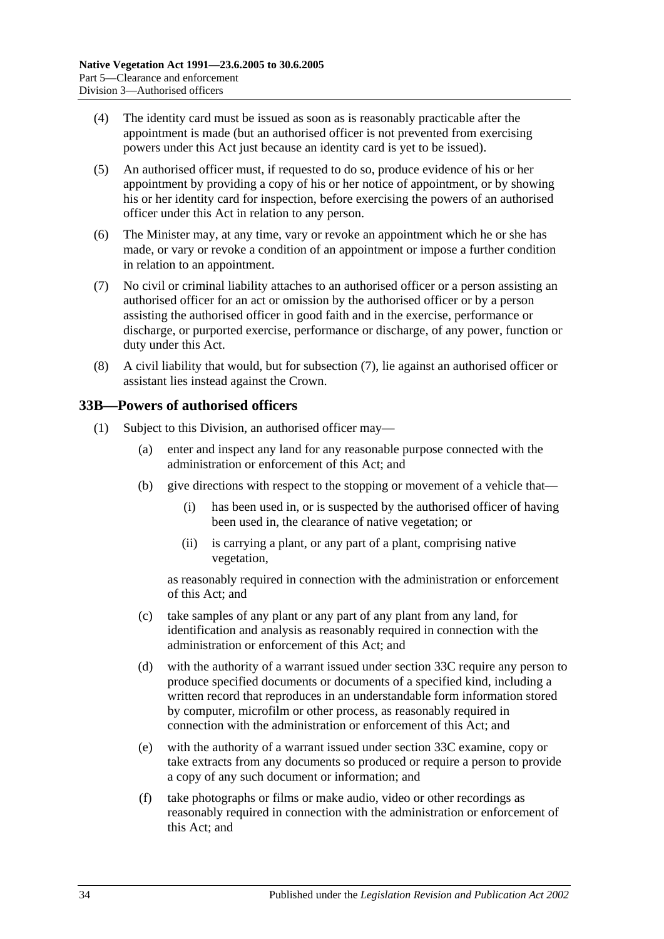- (4) The identity card must be issued as soon as is reasonably practicable after the appointment is made (but an authorised officer is not prevented from exercising powers under this Act just because an identity card is yet to be issued).
- (5) An authorised officer must, if requested to do so, produce evidence of his or her appointment by providing a copy of his or her notice of appointment, or by showing his or her identity card for inspection, before exercising the powers of an authorised officer under this Act in relation to any person.
- (6) The Minister may, at any time, vary or revoke an appointment which he or she has made, or vary or revoke a condition of an appointment or impose a further condition in relation to an appointment.
- <span id="page-33-1"></span>(7) No civil or criminal liability attaches to an authorised officer or a person assisting an authorised officer for an act or omission by the authorised officer or by a person assisting the authorised officer in good faith and in the exercise, performance or discharge, or purported exercise, performance or discharge, of any power, function or duty under this Act.
- (8) A civil liability that would, but for [subsection](#page-33-1) (7), lie against an authorised officer or assistant lies instead against the Crown.

## <span id="page-33-3"></span><span id="page-33-0"></span>**33B—Powers of authorised officers**

- <span id="page-33-2"></span>(1) Subject to this Division, an authorised officer may—
	- (a) enter and inspect any land for any reasonable purpose connected with the administration or enforcement of this Act; and
	- (b) give directions with respect to the stopping or movement of a vehicle that—
		- (i) has been used in, or is suspected by the authorised officer of having been used in, the clearance of native vegetation; or
		- (ii) is carrying a plant, or any part of a plant, comprising native vegetation,

as reasonably required in connection with the administration or enforcement of this Act; and

- (c) take samples of any plant or any part of any plant from any land, for identification and analysis as reasonably required in connection with the administration or enforcement of this Act; and
- <span id="page-33-4"></span>(d) with the authority of a warrant issued under [section](#page-35-0) 33C require any person to produce specified documents or documents of a specified kind, including a written record that reproduces in an understandable form information stored by computer, microfilm or other process, as reasonably required in connection with the administration or enforcement of this Act; and
- <span id="page-33-5"></span>(e) with the authority of a warrant issued under [section](#page-35-0) 33C examine, copy or take extracts from any documents so produced or require a person to provide a copy of any such document or information; and
- (f) take photographs or films or make audio, video or other recordings as reasonably required in connection with the administration or enforcement of this Act; and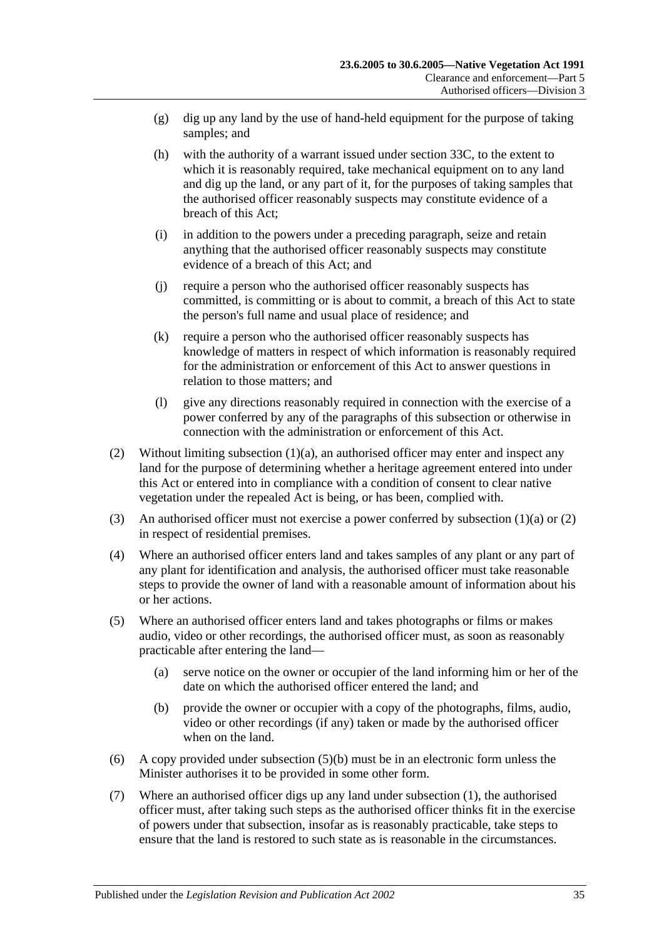- (g) dig up any land by the use of hand-held equipment for the purpose of taking samples; and
- <span id="page-34-3"></span>(h) with the authority of a warrant issued under [section](#page-35-0) 33C, to the extent to which it is reasonably required, take mechanical equipment on to any land and dig up the land, or any part of it, for the purposes of taking samples that the authorised officer reasonably suspects may constitute evidence of a breach of this Act;
- (i) in addition to the powers under a preceding paragraph, seize and retain anything that the authorised officer reasonably suspects may constitute evidence of a breach of this Act; and
- (j) require a person who the authorised officer reasonably suspects has committed, is committing or is about to commit, a breach of this Act to state the person's full name and usual place of residence; and
- <span id="page-34-2"></span>(k) require a person who the authorised officer reasonably suspects has knowledge of matters in respect of which information is reasonably required for the administration or enforcement of this Act to answer questions in relation to those matters; and
- (l) give any directions reasonably required in connection with the exercise of a power conferred by any of the paragraphs of this subsection or otherwise in connection with the administration or enforcement of this Act.
- <span id="page-34-0"></span>(2) Without limiting [subsection](#page-33-2) (1)(a), an authorised officer may enter and inspect any land for the purpose of determining whether a heritage agreement entered into under this Act or entered into in compliance with a condition of consent to clear native vegetation under the repealed Act is being, or has been, complied with.
- (3) An authorised officer must not exercise a power conferred by [subsection](#page-33-2)  $(1)(a)$  or  $(2)$ in respect of residential premises.
- (4) Where an authorised officer enters land and takes samples of any plant or any part of any plant for identification and analysis, the authorised officer must take reasonable steps to provide the owner of land with a reasonable amount of information about his or her actions.
- (5) Where an authorised officer enters land and takes photographs or films or makes audio, video or other recordings, the authorised officer must, as soon as reasonably practicable after entering the land—
	- (a) serve notice on the owner or occupier of the land informing him or her of the date on which the authorised officer entered the land; and
	- (b) provide the owner or occupier with a copy of the photographs, films, audio, video or other recordings (if any) taken or made by the authorised officer when on the land.
- <span id="page-34-1"></span>(6) A copy provided under [subsection](#page-34-1) (5)(b) must be in an electronic form unless the Minister authorises it to be provided in some other form.
- (7) Where an authorised officer digs up any land under [subsection](#page-33-3) (1), the authorised officer must, after taking such steps as the authorised officer thinks fit in the exercise of powers under that subsection, insofar as is reasonably practicable, take steps to ensure that the land is restored to such state as is reasonable in the circumstances.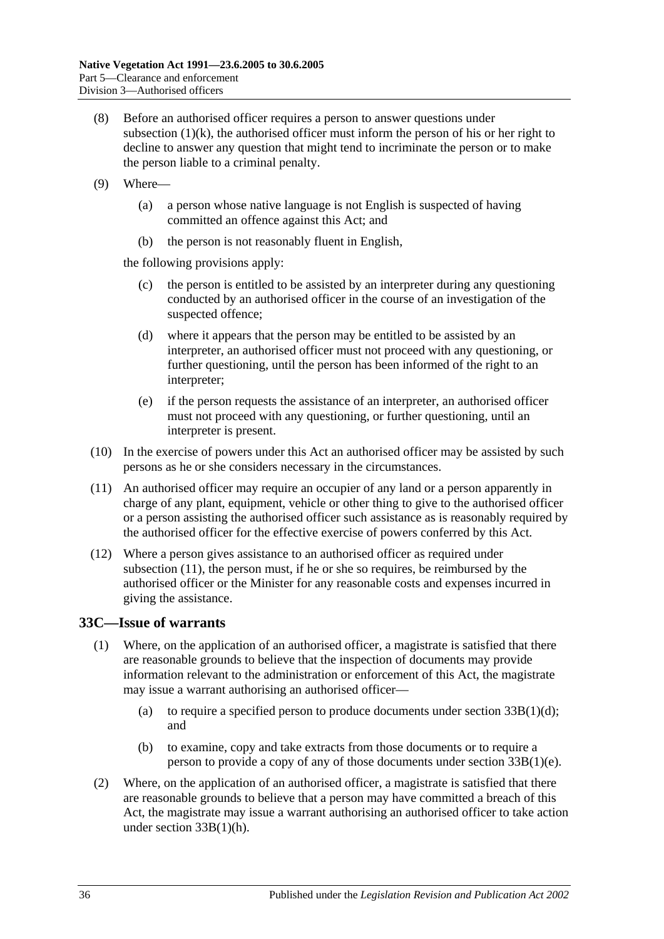- (8) Before an authorised officer requires a person to answer questions under [subsection](#page-34-2)  $(1)(k)$ , the authorised officer must inform the person of his or her right to decline to answer any question that might tend to incriminate the person or to make the person liable to a criminal penalty.
- (9) Where—
	- (a) a person whose native language is not English is suspected of having committed an offence against this Act; and
	- (b) the person is not reasonably fluent in English,

the following provisions apply:

- (c) the person is entitled to be assisted by an interpreter during any questioning conducted by an authorised officer in the course of an investigation of the suspected offence;
- (d) where it appears that the person may be entitled to be assisted by an interpreter, an authorised officer must not proceed with any questioning, or further questioning, until the person has been informed of the right to an interpreter;
- (e) if the person requests the assistance of an interpreter, an authorised officer must not proceed with any questioning, or further questioning, until an interpreter is present.
- (10) In the exercise of powers under this Act an authorised officer may be assisted by such persons as he or she considers necessary in the circumstances.
- <span id="page-35-1"></span>(11) An authorised officer may require an occupier of any land or a person apparently in charge of any plant, equipment, vehicle or other thing to give to the authorised officer or a person assisting the authorised officer such assistance as is reasonably required by the authorised officer for the effective exercise of powers conferred by this Act.
- (12) Where a person gives assistance to an authorised officer as required under [subsection](#page-35-1) (11), the person must, if he or she so requires, be reimbursed by the authorised officer or the Minister for any reasonable costs and expenses incurred in giving the assistance.

## <span id="page-35-0"></span>**33C—Issue of warrants**

- (1) Where, on the application of an authorised officer, a magistrate is satisfied that there are reasonable grounds to believe that the inspection of documents may provide information relevant to the administration or enforcement of this Act, the magistrate may issue a warrant authorising an authorised officer—
	- (a) to require a specified person to produce documents under section  $33B(1)(d)$ ; and
	- (b) to examine, copy and take extracts from those documents or to require a person to provide a copy of any of those documents under section [33B\(1\)\(e\).](#page-33-5)
- (2) Where, on the application of an authorised officer, a magistrate is satisfied that there are reasonable grounds to believe that a person may have committed a breach of this Act, the magistrate may issue a warrant authorising an authorised officer to take action under section [33B\(1\)\(h\).](#page-34-3)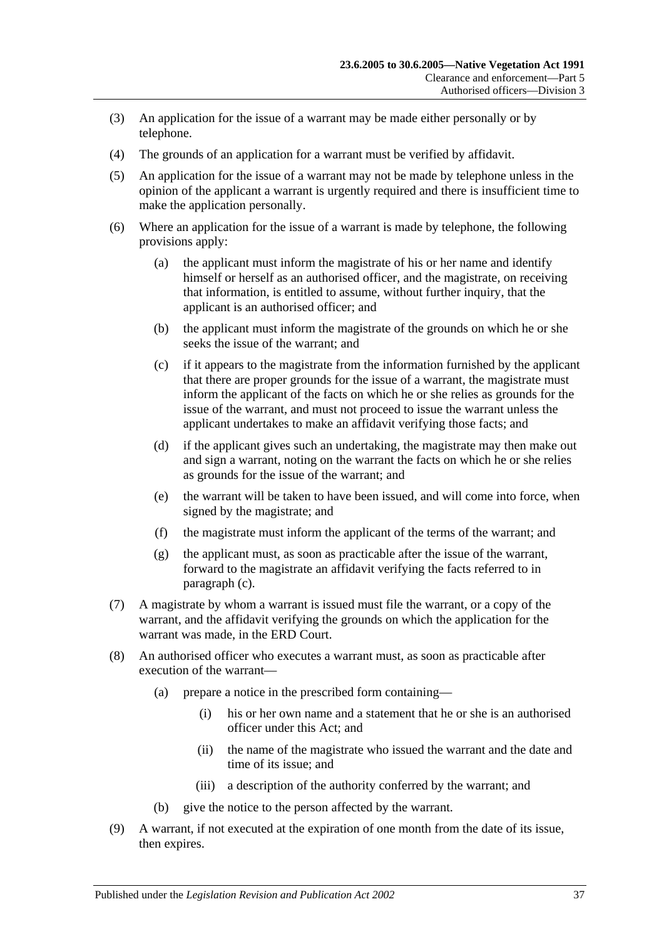- (3) An application for the issue of a warrant may be made either personally or by telephone.
- (4) The grounds of an application for a warrant must be verified by affidavit.
- (5) An application for the issue of a warrant may not be made by telephone unless in the opinion of the applicant a warrant is urgently required and there is insufficient time to make the application personally.
- <span id="page-36-0"></span>(6) Where an application for the issue of a warrant is made by telephone, the following provisions apply:
	- (a) the applicant must inform the magistrate of his or her name and identify himself or herself as an authorised officer, and the magistrate, on receiving that information, is entitled to assume, without further inquiry, that the applicant is an authorised officer; and
	- (b) the applicant must inform the magistrate of the grounds on which he or she seeks the issue of the warrant; and
	- (c) if it appears to the magistrate from the information furnished by the applicant that there are proper grounds for the issue of a warrant, the magistrate must inform the applicant of the facts on which he or she relies as grounds for the issue of the warrant, and must not proceed to issue the warrant unless the applicant undertakes to make an affidavit verifying those facts; and
	- (d) if the applicant gives such an undertaking, the magistrate may then make out and sign a warrant, noting on the warrant the facts on which he or she relies as grounds for the issue of the warrant; and
	- (e) the warrant will be taken to have been issued, and will come into force, when signed by the magistrate; and
	- (f) the magistrate must inform the applicant of the terms of the warrant; and
	- (g) the applicant must, as soon as practicable after the issue of the warrant, forward to the magistrate an affidavit verifying the facts referred to in [paragraph](#page-36-0) (c).
- (7) A magistrate by whom a warrant is issued must file the warrant, or a copy of the warrant, and the affidavit verifying the grounds on which the application for the warrant was made, in the ERD Court.
- (8) An authorised officer who executes a warrant must, as soon as practicable after execution of the warrant—
	- (a) prepare a notice in the prescribed form containing—
		- (i) his or her own name and a statement that he or she is an authorised officer under this Act; and
		- (ii) the name of the magistrate who issued the warrant and the date and time of its issue; and
		- (iii) a description of the authority conferred by the warrant; and
	- (b) give the notice to the person affected by the warrant.
- (9) A warrant, if not executed at the expiration of one month from the date of its issue, then expires.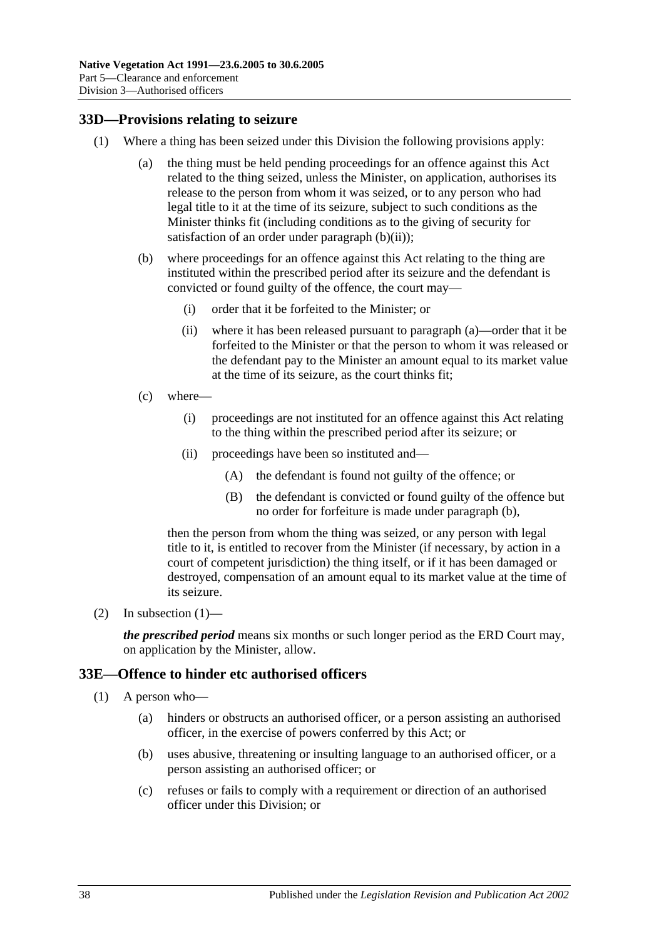#### <span id="page-37-5"></span><span id="page-37-0"></span>**33D—Provisions relating to seizure**

- <span id="page-37-4"></span><span id="page-37-3"></span><span id="page-37-2"></span>(1) Where a thing has been seized under this Division the following provisions apply:
	- (a) the thing must be held pending proceedings for an offence against this Act related to the thing seized, unless the Minister, on application, authorises its release to the person from whom it was seized, or to any person who had legal title to it at the time of its seizure, subject to such conditions as the Minister thinks fit (including conditions as to the giving of security for satisfaction of an order under [paragraph](#page-37-2)  $(b)(ii)$ ;
	- (b) where proceedings for an offence against this Act relating to the thing are instituted within the prescribed period after its seizure and the defendant is convicted or found guilty of the offence, the court may—
		- (i) order that it be forfeited to the Minister; or
		- (ii) where it has been released pursuant to [paragraph](#page-37-3) (a)—order that it be forfeited to the Minister or that the person to whom it was released or the defendant pay to the Minister an amount equal to its market value at the time of its seizure, as the court thinks fit;
	- (c) where—
		- (i) proceedings are not instituted for an offence against this Act relating to the thing within the prescribed period after its seizure; or
		- (ii) proceedings have been so instituted and—
			- (A) the defendant is found not guilty of the offence; or
			- (B) the defendant is convicted or found guilty of the offence but no order for forfeiture is made under [paragraph](#page-37-4) (b),

then the person from whom the thing was seized, or any person with legal title to it, is entitled to recover from the Minister (if necessary, by action in a court of competent jurisdiction) the thing itself, or if it has been damaged or destroyed, compensation of an amount equal to its market value at the time of its seizure.

(2) In [subsection](#page-37-5)  $(1)$ —

*the prescribed period* means six months or such longer period as the ERD Court may, on application by the Minister, allow.

#### <span id="page-37-1"></span>**33E—Offence to hinder etc authorised officers**

- (1) A person who—
	- (a) hinders or obstructs an authorised officer, or a person assisting an authorised officer, in the exercise of powers conferred by this Act; or
	- (b) uses abusive, threatening or insulting language to an authorised officer, or a person assisting an authorised officer; or
	- (c) refuses or fails to comply with a requirement or direction of an authorised officer under this Division; or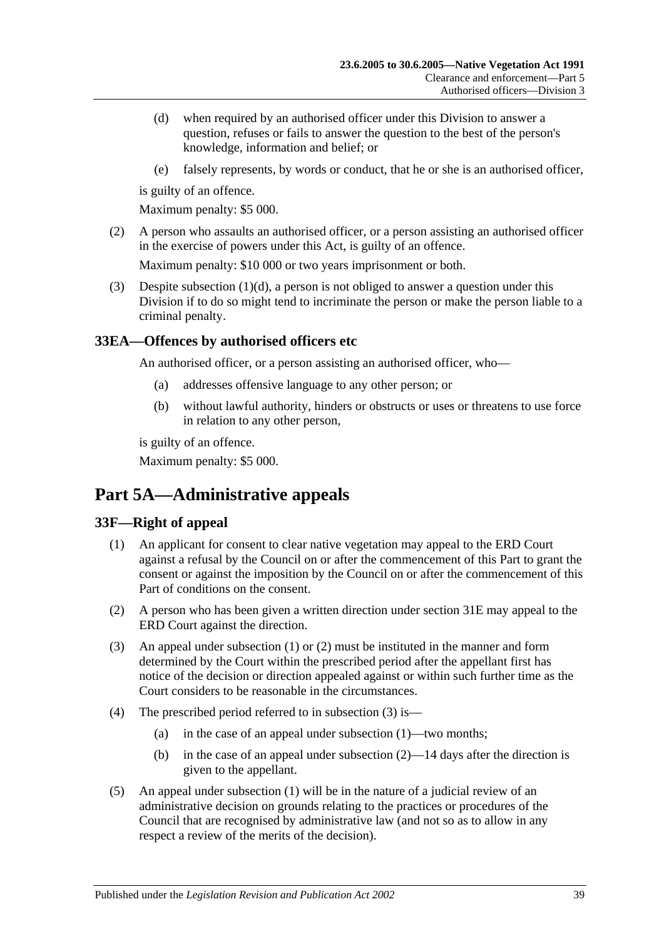- <span id="page-38-3"></span>(d) when required by an authorised officer under this Division to answer a question, refuses or fails to answer the question to the best of the person's knowledge, information and belief; or
- (e) falsely represents, by words or conduct, that he or she is an authorised officer,

is guilty of an offence.

Maximum penalty: \$5 000.

(2) A person who assaults an authorised officer, or a person assisting an authorised officer in the exercise of powers under this Act, is guilty of an offence.

Maximum penalty: \$10 000 or two years imprisonment or both.

(3) Despite [subsection](#page-38-3) (1)(d), a person is not obliged to answer a question under this Division if to do so might tend to incriminate the person or make the person liable to a criminal penalty.

## <span id="page-38-0"></span>**33EA—Offences by authorised officers etc**

An authorised officer, or a person assisting an authorised officer, who—

- (a) addresses offensive language to any other person; or
- (b) without lawful authority, hinders or obstructs or uses or threatens to use force in relation to any other person,

is guilty of an offence.

Maximum penalty: \$5 000.

# <span id="page-38-1"></span>**Part 5A—Administrative appeals**

## <span id="page-38-4"></span><span id="page-38-2"></span>**33F—Right of appeal**

- (1) An applicant for consent to clear native vegetation may appeal to the ERD Court against a refusal by the Council on or after the commencement of this Part to grant the consent or against the imposition by the Council on or after the commencement of this Part of conditions on the consent.
- <span id="page-38-5"></span>(2) A person who has been given a written direction under [section](#page-30-1) 31E may appeal to the ERD Court against the direction.
- <span id="page-38-6"></span>(3) An appeal under [subsection](#page-38-4) (1) or [\(2\)](#page-38-5) must be instituted in the manner and form determined by the Court within the prescribed period after the appellant first has notice of the decision or direction appealed against or within such further time as the Court considers to be reasonable in the circumstances.
- (4) The prescribed period referred to in [subsection](#page-38-6) (3) is—
	- (a) in the case of an appeal under [subsection](#page-38-4) (1)—two months;
	- (b) in the case of an appeal under [subsection](#page-38-5) (2)—14 days after the direction is given to the appellant.
- (5) An appeal under [subsection](#page-38-4) (1) will be in the nature of a judicial review of an administrative decision on grounds relating to the practices or procedures of the Council that are recognised by administrative law (and not so as to allow in any respect a review of the merits of the decision).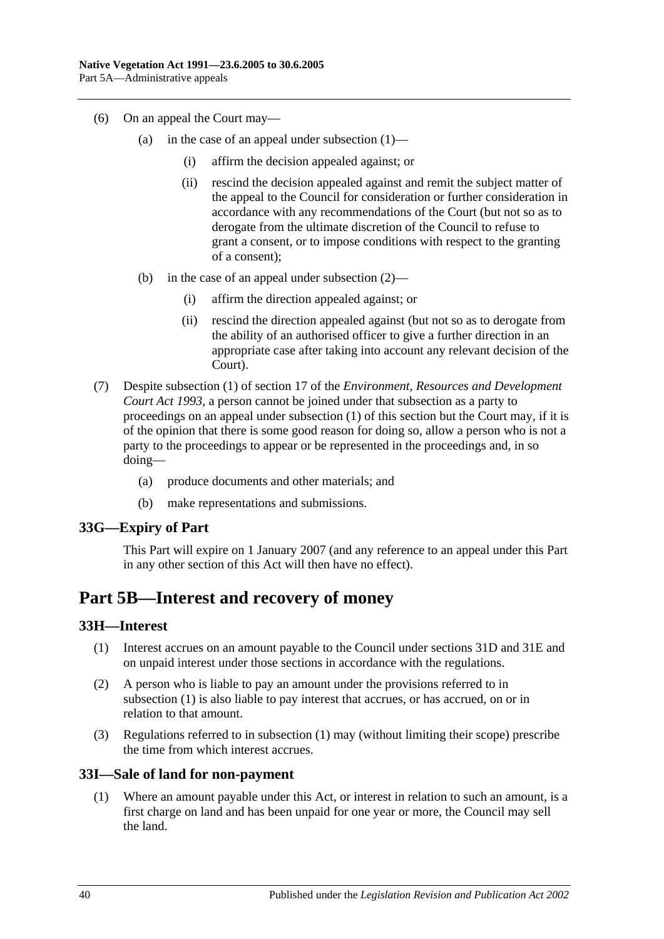- (6) On an appeal the Court may
	- (a) in the case of an appeal under [subsection](#page-38-4)  $(1)$ 
		- (i) affirm the decision appealed against; or
		- (ii) rescind the decision appealed against and remit the subject matter of the appeal to the Council for consideration or further consideration in accordance with any recommendations of the Court (but not so as to derogate from the ultimate discretion of the Council to refuse to grant a consent, or to impose conditions with respect to the granting of a consent);
	- (b) in the case of an appeal under [subsection](#page-38-5) (2)—
		- (i) affirm the direction appealed against; or
		- (ii) rescind the direction appealed against (but not so as to derogate from the ability of an authorised officer to give a further direction in an appropriate case after taking into account any relevant decision of the Court).
- (7) Despite subsection (1) of section 17 of the *[Environment, Resources and Development](http://www.legislation.sa.gov.au/index.aspx?action=legref&type=act&legtitle=Environment%20Resources%20and%20Development%20Court%20Act%201993)  [Court Act](http://www.legislation.sa.gov.au/index.aspx?action=legref&type=act&legtitle=Environment%20Resources%20and%20Development%20Court%20Act%201993) 1993*, a person cannot be joined under that subsection as a party to proceedings on an appeal under [subsection](#page-38-4) (1) of this section but the Court may, if it is of the opinion that there is some good reason for doing so, allow a person who is not a party to the proceedings to appear or be represented in the proceedings and, in so doing—
	- (a) produce documents and other materials; and
	- (b) make representations and submissions.

#### <span id="page-39-0"></span>**33G—Expiry of Part**

This Part will expire on 1 January 2007 (and any reference to an appeal under this Part in any other section of this Act will then have no effect).

# <span id="page-39-1"></span>**Part 5B—Interest and recovery of money**

#### <span id="page-39-4"></span><span id="page-39-2"></span>**33H—Interest**

- (1) Interest accrues on an amount payable to the Council under [sections](#page-30-0) 31D and [31E](#page-30-1) and on unpaid interest under those sections in accordance with the regulations.
- (2) A person who is liable to pay an amount under the provisions referred to in [subsection](#page-39-4) (1) is also liable to pay interest that accrues, or has accrued, on or in relation to that amount.
- (3) Regulations referred to in [subsection](#page-39-4) (1) may (without limiting their scope) prescribe the time from which interest accrues.

#### <span id="page-39-3"></span>**33I—Sale of land for non-payment**

(1) Where an amount payable under this Act, or interest in relation to such an amount, is a first charge on land and has been unpaid for one year or more, the Council may sell the land.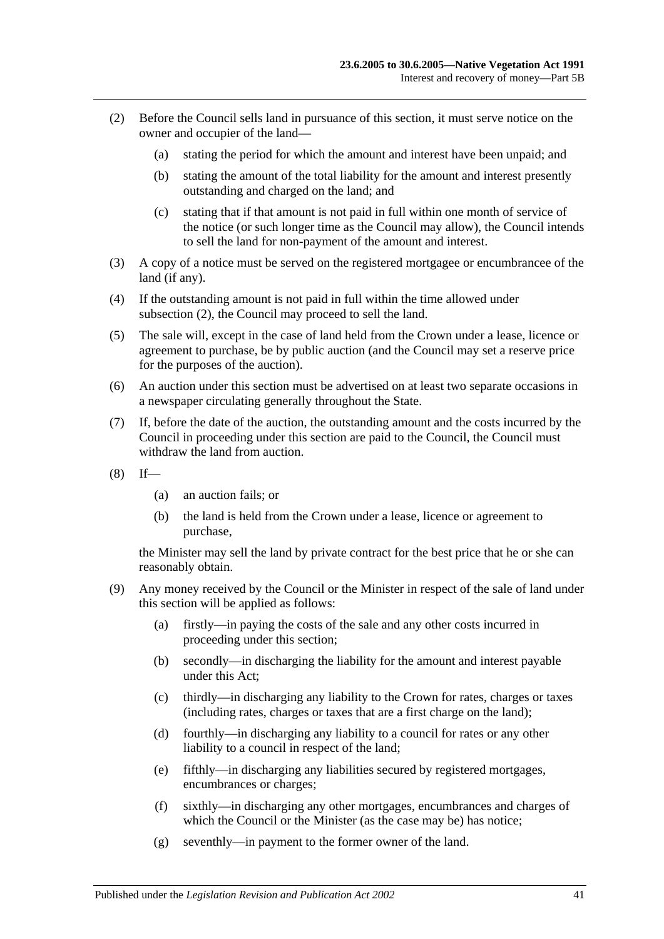- <span id="page-40-0"></span>(2) Before the Council sells land in pursuance of this section, it must serve notice on the owner and occupier of the land—
	- (a) stating the period for which the amount and interest have been unpaid; and
	- (b) stating the amount of the total liability for the amount and interest presently outstanding and charged on the land; and
	- (c) stating that if that amount is not paid in full within one month of service of the notice (or such longer time as the Council may allow), the Council intends to sell the land for non-payment of the amount and interest.
- (3) A copy of a notice must be served on the registered mortgagee or encumbrancee of the land (if any).
- (4) If the outstanding amount is not paid in full within the time allowed under [subsection](#page-40-0) (2), the Council may proceed to sell the land.
- (5) The sale will, except in the case of land held from the Crown under a lease, licence or agreement to purchase, be by public auction (and the Council may set a reserve price for the purposes of the auction).
- (6) An auction under this section must be advertised on at least two separate occasions in a newspaper circulating generally throughout the State.
- (7) If, before the date of the auction, the outstanding amount and the costs incurred by the Council in proceeding under this section are paid to the Council, the Council must withdraw the land from auction.
- $(8)$  If—
	- (a) an auction fails; or
	- (b) the land is held from the Crown under a lease, licence or agreement to purchase,

the Minister may sell the land by private contract for the best price that he or she can reasonably obtain.

- (9) Any money received by the Council or the Minister in respect of the sale of land under this section will be applied as follows:
	- (a) firstly—in paying the costs of the sale and any other costs incurred in proceeding under this section;
	- (b) secondly—in discharging the liability for the amount and interest payable under this Act;
	- (c) thirdly—in discharging any liability to the Crown for rates, charges or taxes (including rates, charges or taxes that are a first charge on the land);
	- (d) fourthly—in discharging any liability to a council for rates or any other liability to a council in respect of the land;
	- (e) fifthly—in discharging any liabilities secured by registered mortgages, encumbrances or charges;
	- (f) sixthly—in discharging any other mortgages, encumbrances and charges of which the Council or the Minister (as the case may be) has notice;
	- (g) seventhly—in payment to the former owner of the land.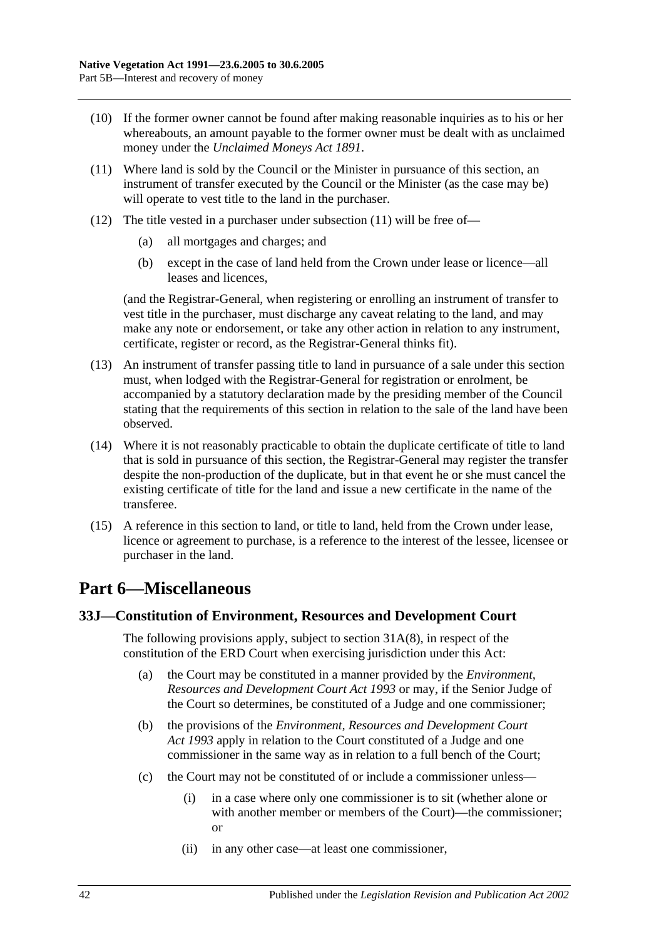- (10) If the former owner cannot be found after making reasonable inquiries as to his or her whereabouts, an amount payable to the former owner must be dealt with as unclaimed money under the *[Unclaimed Moneys Act](http://www.legislation.sa.gov.au/index.aspx?action=legref&type=act&legtitle=Unclaimed%20Moneys%20Act%201891) 1891*.
- <span id="page-41-2"></span>(11) Where land is sold by the Council or the Minister in pursuance of this section, an instrument of transfer executed by the Council or the Minister (as the case may be) will operate to vest title to the land in the purchaser.
- (12) The title vested in a purchaser under [subsection](#page-41-2) (11) will be free of—
	- (a) all mortgages and charges; and
	- (b) except in the case of land held from the Crown under lease or licence—all leases and licences,

(and the Registrar-General, when registering or enrolling an instrument of transfer to vest title in the purchaser, must discharge any caveat relating to the land, and may make any note or endorsement, or take any other action in relation to any instrument, certificate, register or record, as the Registrar-General thinks fit).

- (13) An instrument of transfer passing title to land in pursuance of a sale under this section must, when lodged with the Registrar-General for registration or enrolment, be accompanied by a statutory declaration made by the presiding member of the Council stating that the requirements of this section in relation to the sale of the land have been observed.
- (14) Where it is not reasonably practicable to obtain the duplicate certificate of title to land that is sold in pursuance of this section, the Registrar-General may register the transfer despite the non-production of the duplicate, but in that event he or she must cancel the existing certificate of title for the land and issue a new certificate in the name of the transferee.
- (15) A reference in this section to land, or title to land, held from the Crown under lease, licence or agreement to purchase, is a reference to the interest of the lessee, licensee or purchaser in the land.

# <span id="page-41-0"></span>**Part 6—Miscellaneous**

## <span id="page-41-1"></span>**33J—Constitution of Environment, Resources and Development Court**

The following provisions apply, subject to section [31A\(8\),](#page-28-4) in respect of the constitution of the ERD Court when exercising jurisdiction under this Act:

- (a) the Court may be constituted in a manner provided by the *[Environment,](http://www.legislation.sa.gov.au/index.aspx?action=legref&type=act&legtitle=Environment%20Resources%20and%20Development%20Court%20Act%201993)  [Resources and Development Court Act](http://www.legislation.sa.gov.au/index.aspx?action=legref&type=act&legtitle=Environment%20Resources%20and%20Development%20Court%20Act%201993) 1993* or may, if the Senior Judge of the Court so determines, be constituted of a Judge and one commissioner;
- (b) the provisions of the *[Environment, Resources and Development Court](http://www.legislation.sa.gov.au/index.aspx?action=legref&type=act&legtitle=Environment%20Resources%20and%20Development%20Court%20Act%201993)  Act [1993](http://www.legislation.sa.gov.au/index.aspx?action=legref&type=act&legtitle=Environment%20Resources%20and%20Development%20Court%20Act%201993)* apply in relation to the Court constituted of a Judge and one commissioner in the same way as in relation to a full bench of the Court;
- (c) the Court may not be constituted of or include a commissioner unless—
	- (i) in a case where only one commissioner is to sit (whether alone or with another member or members of the Court)—the commissioner; or
	- (ii) in any other case—at least one commissioner,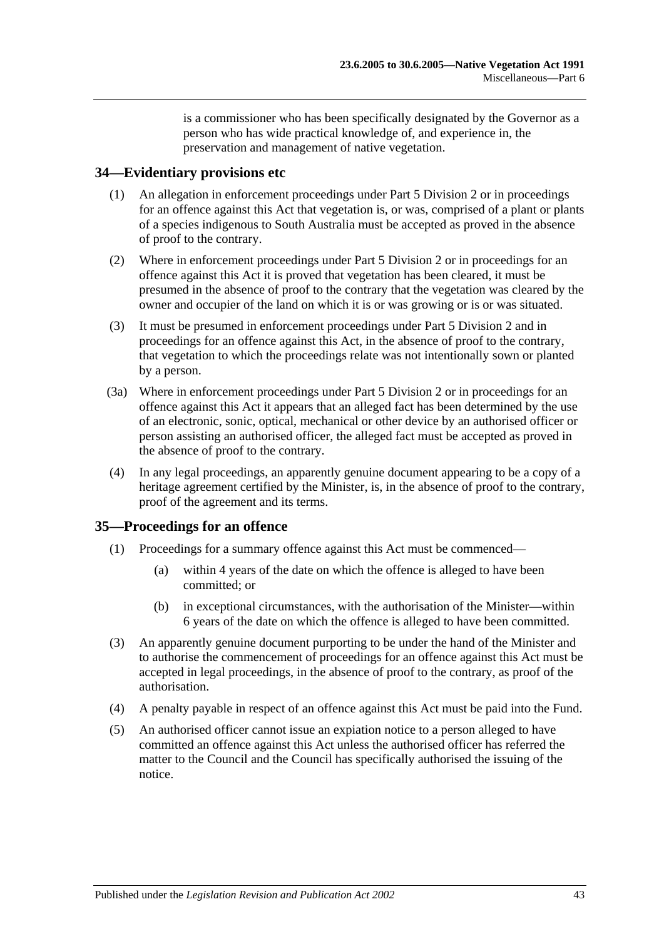is a commissioner who has been specifically designated by the Governor as a person who has wide practical knowledge of, and experience in, the preservation and management of native vegetation.

#### <span id="page-42-0"></span>**34—Evidentiary provisions etc**

- (1) An allegation in enforcement proceedings under [Part 5 Division 2](#page-26-1) or in proceedings for an offence against this Act that vegetation is, or was, comprised of a plant or plants of a species indigenous to South Australia must be accepted as proved in the absence of proof to the contrary.
- (2) Where in enforcement proceedings under [Part 5 Division 2](#page-26-1) or in proceedings for an offence against this Act it is proved that vegetation has been cleared, it must be presumed in the absence of proof to the contrary that the vegetation was cleared by the owner and occupier of the land on which it is or was growing or is or was situated.
- (3) It must be presumed in enforcement proceedings under [Part 5 Division 2](#page-26-1) and in proceedings for an offence against this Act, in the absence of proof to the contrary, that vegetation to which the proceedings relate was not intentionally sown or planted by a person.
- (3a) Where in enforcement proceedings under [Part 5 Division 2](#page-26-1) or in proceedings for an offence against this Act it appears that an alleged fact has been determined by the use of an electronic, sonic, optical, mechanical or other device by an authorised officer or person assisting an authorised officer, the alleged fact must be accepted as proved in the absence of proof to the contrary.
- (4) In any legal proceedings, an apparently genuine document appearing to be a copy of a heritage agreement certified by the Minister, is, in the absence of proof to the contrary, proof of the agreement and its terms.

## <span id="page-42-1"></span>**35—Proceedings for an offence**

- (1) Proceedings for a summary offence against this Act must be commenced—
	- (a) within 4 years of the date on which the offence is alleged to have been committed; or
	- (b) in exceptional circumstances, with the authorisation of the Minister—within 6 years of the date on which the offence is alleged to have been committed.
- (3) An apparently genuine document purporting to be under the hand of the Minister and to authorise the commencement of proceedings for an offence against this Act must be accepted in legal proceedings, in the absence of proof to the contrary, as proof of the authorisation.
- (4) A penalty payable in respect of an offence against this Act must be paid into the Fund.
- (5) An authorised officer cannot issue an expiation notice to a person alleged to have committed an offence against this Act unless the authorised officer has referred the matter to the Council and the Council has specifically authorised the issuing of the notice.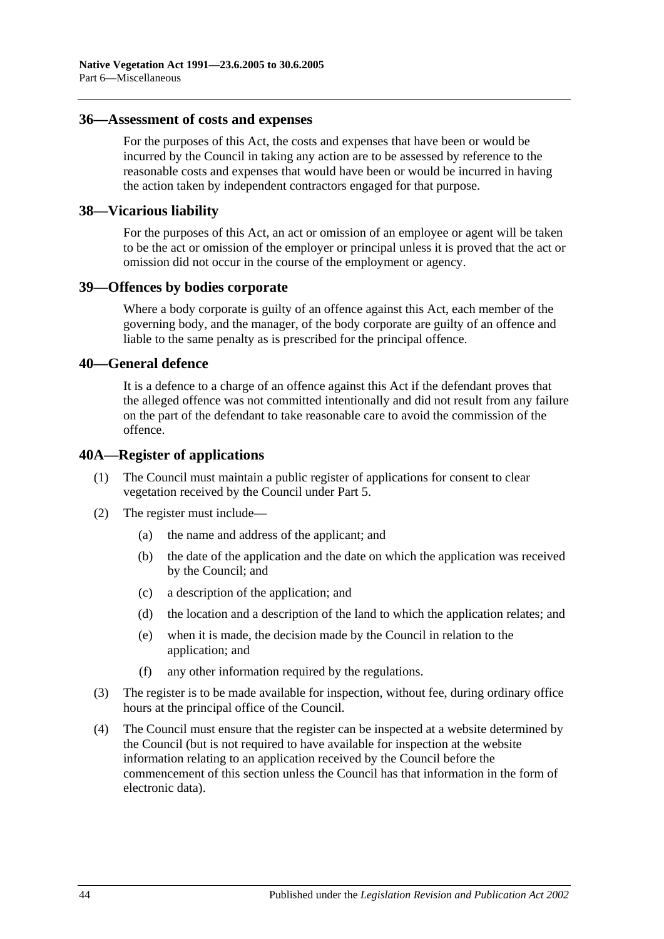#### <span id="page-43-0"></span>**36—Assessment of costs and expenses**

For the purposes of this Act, the costs and expenses that have been or would be incurred by the Council in taking any action are to be assessed by reference to the reasonable costs and expenses that would have been or would be incurred in having the action taken by independent contractors engaged for that purpose.

#### <span id="page-43-1"></span>**38—Vicarious liability**

For the purposes of this Act, an act or omission of an employee or agent will be taken to be the act or omission of the employer or principal unless it is proved that the act or omission did not occur in the course of the employment or agency.

#### <span id="page-43-2"></span>**39—Offences by bodies corporate**

Where a body corporate is guilty of an offence against this Act, each member of the governing body, and the manager, of the body corporate are guilty of an offence and liable to the same penalty as is prescribed for the principal offence.

#### <span id="page-43-3"></span>**40—General defence**

It is a defence to a charge of an offence against this Act if the defendant proves that the alleged offence was not committed intentionally and did not result from any failure on the part of the defendant to take reasonable care to avoid the commission of the offence.

#### <span id="page-43-4"></span>**40A—Register of applications**

- (1) The Council must maintain a public register of applications for consent to clear vegetation received by the Council under [Part 5.](#page-17-0)
- (2) The register must include—
	- (a) the name and address of the applicant; and
	- (b) the date of the application and the date on which the application was received by the Council; and
	- (c) a description of the application; and
	- (d) the location and a description of the land to which the application relates; and
	- (e) when it is made, the decision made by the Council in relation to the application; and
	- (f) any other information required by the regulations.
- (3) The register is to be made available for inspection, without fee, during ordinary office hours at the principal office of the Council.
- (4) The Council must ensure that the register can be inspected at a website determined by the Council (but is not required to have available for inspection at the website information relating to an application received by the Council before the commencement of this section unless the Council has that information in the form of electronic data).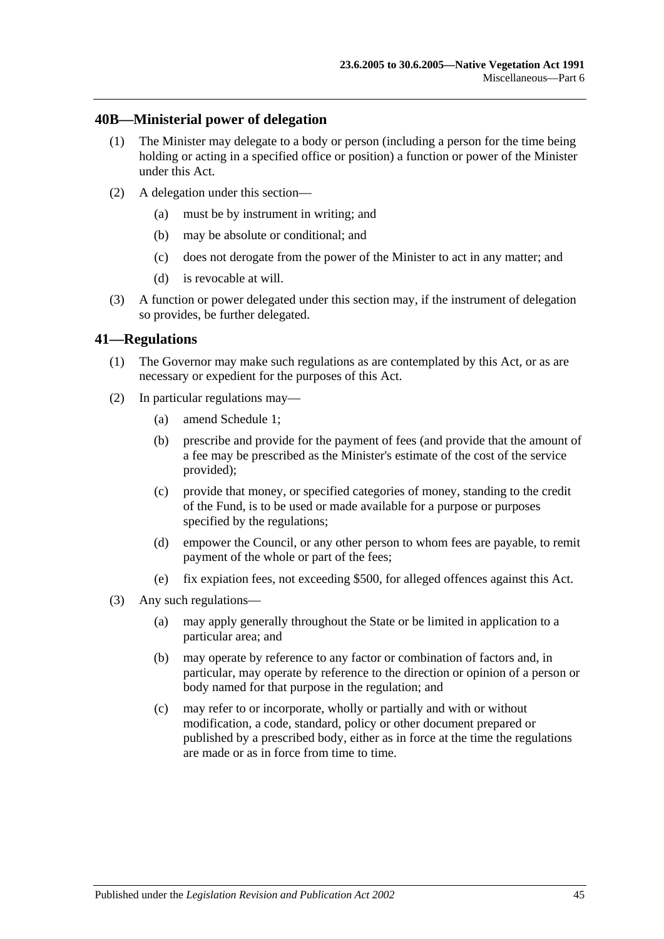#### <span id="page-44-0"></span>**40B—Ministerial power of delegation**

- (1) The Minister may delegate to a body or person (including a person for the time being holding or acting in a specified office or position) a function or power of the Minister under this Act.
- (2) A delegation under this section—
	- (a) must be by instrument in writing; and
	- (b) may be absolute or conditional; and
	- (c) does not derogate from the power of the Minister to act in any matter; and
	- (d) is revocable at will.
- (3) A function or power delegated under this section may, if the instrument of delegation so provides, be further delegated.

#### <span id="page-44-1"></span>**41—Regulations**

- (1) The Governor may make such regulations as are contemplated by this Act, or as are necessary or expedient for the purposes of this Act.
- (2) In particular regulations may—
	- (a) amend [Schedule 1;](#page-45-0)
	- (b) prescribe and provide for the payment of fees (and provide that the amount of a fee may be prescribed as the Minister's estimate of the cost of the service provided);
	- (c) provide that money, or specified categories of money, standing to the credit of the Fund, is to be used or made available for a purpose or purposes specified by the regulations;
	- (d) empower the Council, or any other person to whom fees are payable, to remit payment of the whole or part of the fees;
	- (e) fix expiation fees, not exceeding \$500, for alleged offences against this Act.
- (3) Any such regulations—
	- (a) may apply generally throughout the State or be limited in application to a particular area; and
	- (b) may operate by reference to any factor or combination of factors and, in particular, may operate by reference to the direction or opinion of a person or body named for that purpose in the regulation; and
	- (c) may refer to or incorporate, wholly or partially and with or without modification, a code, standard, policy or other document prepared or published by a prescribed body, either as in force at the time the regulations are made or as in force from time to time.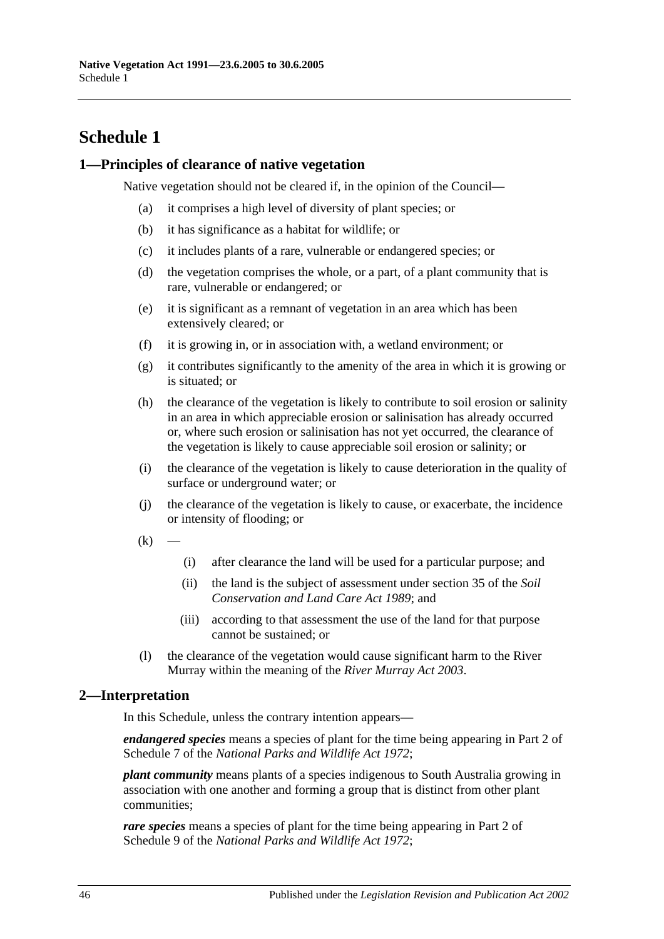# <span id="page-45-0"></span>**Schedule 1**

#### <span id="page-45-1"></span>**1—Principles of clearance of native vegetation**

Native vegetation should not be cleared if, in the opinion of the Council—

- (a) it comprises a high level of diversity of plant species; or
- (b) it has significance as a habitat for wildlife; or
- (c) it includes plants of a rare, vulnerable or endangered species; or
- (d) the vegetation comprises the whole, or a part, of a plant community that is rare, vulnerable or endangered; or
- (e) it is significant as a remnant of vegetation in an area which has been extensively cleared; or
- (f) it is growing in, or in association with, a wetland environment; or
- (g) it contributes significantly to the amenity of the area in which it is growing or is situated; or
- (h) the clearance of the vegetation is likely to contribute to soil erosion or salinity in an area in which appreciable erosion or salinisation has already occurred or, where such erosion or salinisation has not yet occurred, the clearance of the vegetation is likely to cause appreciable soil erosion or salinity; or
- (i) the clearance of the vegetation is likely to cause deterioration in the quality of surface or underground water; or
- (j) the clearance of the vegetation is likely to cause, or exacerbate, the incidence or intensity of flooding; or
- $(k)$
- (i) after clearance the land will be used for a particular purpose; and
- (ii) the land is the subject of assessment under section 35 of the *[Soil](http://www.legislation.sa.gov.au/index.aspx?action=legref&type=act&legtitle=Soil%20Conservation%20and%20Land%20Care%20Act%201989)  [Conservation and Land Care Act](http://www.legislation.sa.gov.au/index.aspx?action=legref&type=act&legtitle=Soil%20Conservation%20and%20Land%20Care%20Act%201989) 1989*; and
- (iii) according to that assessment the use of the land for that purpose cannot be sustained; or
- (l) the clearance of the vegetation would cause significant harm to the River Murray within the meaning of the *[River Murray Act](http://www.legislation.sa.gov.au/index.aspx?action=legref&type=act&legtitle=River%20Murray%20Act%202003) 2003*.

## <span id="page-45-2"></span>**2—Interpretation**

In this Schedule, unless the contrary intention appears—

*endangered species* means a species of plant for the time being appearing in Part 2 of Schedule 7 of the *[National Parks and Wildlife Act](http://www.legislation.sa.gov.au/index.aspx?action=legref&type=act&legtitle=National%20Parks%20and%20Wildlife%20Act%201972) 1972*;

*plant community* means plants of a species indigenous to South Australia growing in association with one another and forming a group that is distinct from other plant communities;

*rare species* means a species of plant for the time being appearing in Part 2 of Schedule 9 of the *[National Parks and Wildlife Act](http://www.legislation.sa.gov.au/index.aspx?action=legref&type=act&legtitle=National%20Parks%20and%20Wildlife%20Act%201972) 1972*;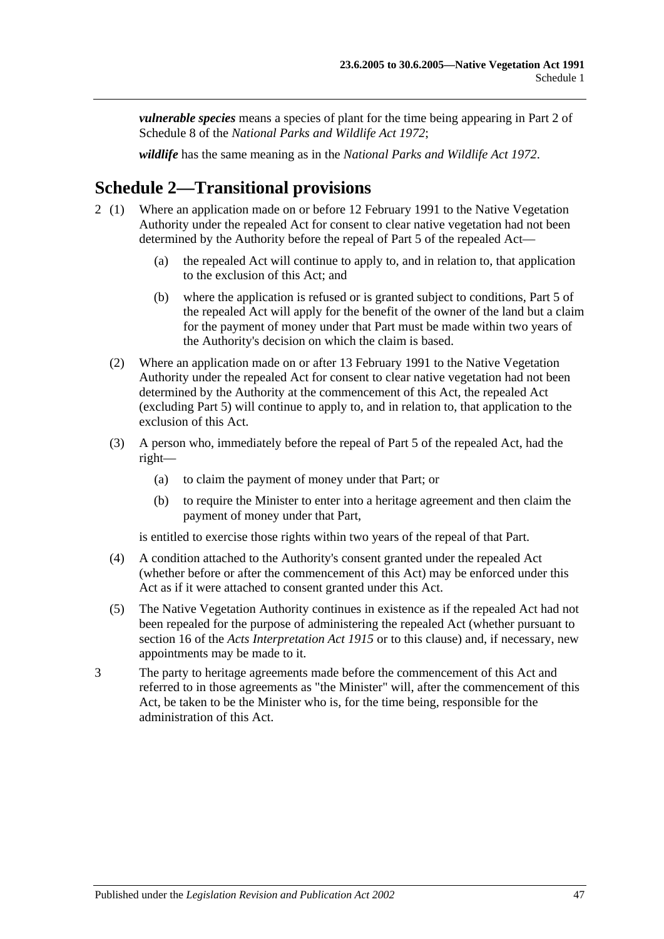*vulnerable species* means a species of plant for the time being appearing in Part 2 of Schedule 8 of the *[National Parks and Wildlife Act](http://www.legislation.sa.gov.au/index.aspx?action=legref&type=act&legtitle=National%20Parks%20and%20Wildlife%20Act%201972) 1972*;

*wildlife* has the same meaning as in the *[National Parks and Wildlife Act](http://www.legislation.sa.gov.au/index.aspx?action=legref&type=act&legtitle=National%20Parks%20and%20Wildlife%20Act%201972) 1972*.

# <span id="page-46-0"></span>**Schedule 2—Transitional provisions**

- 2 (1) Where an application made on or before 12 February 1991 to the Native Vegetation Authority under the repealed Act for consent to clear native vegetation had not been determined by the Authority before the repeal of Part 5 of the repealed Act—
	- (a) the repealed Act will continue to apply to, and in relation to, that application to the exclusion of this Act; and
	- (b) where the application is refused or is granted subject to conditions, Part 5 of the repealed Act will apply for the benefit of the owner of the land but a claim for the payment of money under that Part must be made within two years of the Authority's decision on which the claim is based.
	- (2) Where an application made on or after 13 February 1991 to the Native Vegetation Authority under the repealed Act for consent to clear native vegetation had not been determined by the Authority at the commencement of this Act, the repealed Act (excluding Part 5) will continue to apply to, and in relation to, that application to the exclusion of this Act.
	- (3) A person who, immediately before the repeal of Part 5 of the repealed Act, had the right—
		- (a) to claim the payment of money under that Part; or
		- (b) to require the Minister to enter into a heritage agreement and then claim the payment of money under that Part,

is entitled to exercise those rights within two years of the repeal of that Part.

- (4) A condition attached to the Authority's consent granted under the repealed Act (whether before or after the commencement of this Act) may be enforced under this Act as if it were attached to consent granted under this Act.
- (5) The Native Vegetation Authority continues in existence as if the repealed Act had not been repealed for the purpose of administering the repealed Act (whether pursuant to section 16 of the *[Acts Interpretation Act](http://www.legislation.sa.gov.au/index.aspx?action=legref&type=act&legtitle=Acts%20Interpretation%20Act%201915) 1915* or to this clause) and, if necessary, new appointments may be made to it.
- 3 The party to heritage agreements made before the commencement of this Act and referred to in those agreements as "the Minister" will, after the commencement of this Act, be taken to be the Minister who is, for the time being, responsible for the administration of this Act.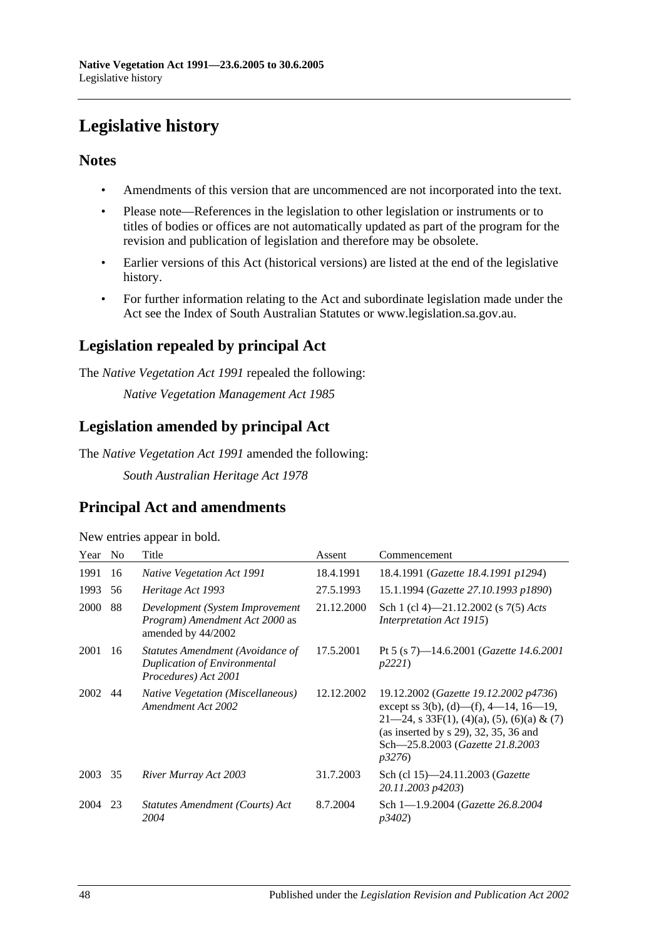# <span id="page-47-0"></span>**Legislative history**

## **Notes**

- Amendments of this version that are uncommenced are not incorporated into the text.
- Please note—References in the legislation to other legislation or instruments or to titles of bodies or offices are not automatically updated as part of the program for the revision and publication of legislation and therefore may be obsolete.
- Earlier versions of this Act (historical versions) are listed at the end of the legislative history.
- For further information relating to the Act and subordinate legislation made under the Act see the Index of South Australian Statutes or www.legislation.sa.gov.au.

# **Legislation repealed by principal Act**

The *Native Vegetation Act 1991* repealed the following:

*Native Vegetation Management Act 1985*

## **Legislation amended by principal Act**

The *Native Vegetation Act 1991* amended the following:

*South Australian Heritage Act 1978*

## **Principal Act and amendments**

| New entries appear in bold. |  |  |
|-----------------------------|--|--|
|                             |  |  |

| Year        | N <sub>0</sub> | Title                                                                                           | Assent     | Commencement                                                                                                                                                                                                                     |
|-------------|----------------|-------------------------------------------------------------------------------------------------|------------|----------------------------------------------------------------------------------------------------------------------------------------------------------------------------------------------------------------------------------|
| 1991        | 16             | <b>Native Vegetation Act 1991</b>                                                               | 18.4.1991  | 18.4.1991 (Gazette 18.4.1991 p1294)                                                                                                                                                                                              |
| 1993        | 56             | Heritage Act 1993                                                                               | 27.5.1993  | 15.1.1994 (Gazette 27.10.1993 p1890)                                                                                                                                                                                             |
| <b>2000</b> | 88             | Development (System Improvement<br><i>Program</i> ) Amendment Act 2000 as<br>amended by 44/2002 | 21.12.2000 | Sch 1 (cl 4)—21.12.2002 (s $7(5)$ Acts<br>Interpretation Act 1915)                                                                                                                                                               |
| 2001        | 16             | Statutes Amendment (Avoidance of<br>Duplication of Environmental<br>Procedures) Act 2001        | 17.5.2001  | Pt 5 (s 7)—14.6.2001 ( <i>Gazette 14.6.2001</i><br>p2221                                                                                                                                                                         |
| 2002        | 44             | <i>Native Vegetation (Miscellaneous)</i><br>Amendment Act 2002                                  | 12.12.2002 | 19.12.2002 (Gazette 19.12.2002 p4736)<br>except ss 3(b), (d)—(f), 4—14, 16—19,<br>$21-24$ , s 33F(1), (4)(a), (5), (6)(a) & (7)<br>(as inserted by $s$ 29), 32, 35, 36 and<br>Sch-25.8.2003 (Gazette 21.8.2003<br><i>p</i> 3276) |
| 2003        | 35             | River Murray Act 2003                                                                           | 31.7.2003  | Sch (cl 15)-24.11.2003 (Gazette<br>20.11.2003 p4203)                                                                                                                                                                             |
| 2004        | 23             | Statutes Amendment (Courts) Act<br>2004                                                         | 8.7.2004   | Sch 1-1.9.2004 (Gazette 26.8.2004)<br>p3402)                                                                                                                                                                                     |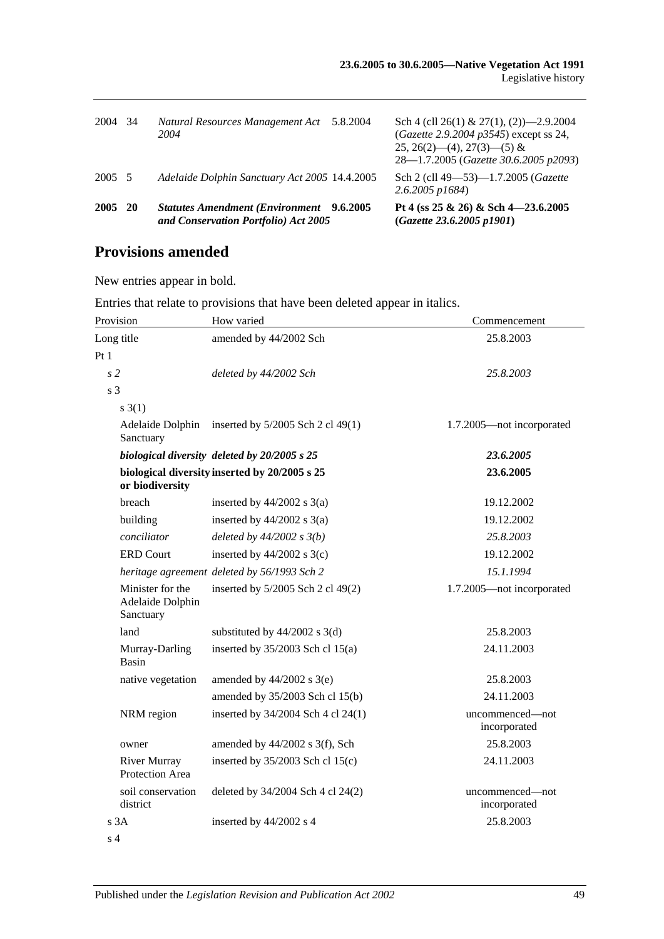| 2004   | -34 | Natural Resources Management Act<br>2004                                                | 5.8.2004 | Sch 4 (cll 26(1) & 27(1), (2) $-2.9.2004$<br>$(Gazette 2.9.2004 p3545)$ except ss 24,<br>$25, 26(2)$ (4), $27(3)$ (5) &<br>28—1.7.2005 (Gazette 30.6.2005 p2093) |
|--------|-----|-----------------------------------------------------------------------------------------|----------|------------------------------------------------------------------------------------------------------------------------------------------------------------------|
| 2005 5 |     | Adelaide Dolphin Sanctuary Act 2005 14.4.2005                                           |          | Sch 2 (cll 49–53)–1.7.2005 (Gazette<br>$2.6.2005$ p1684)                                                                                                         |
| 2005   | -20 | <b>Statutes Amendment (Environment</b> 9.6.2005<br>and Conservation Portfolio) Act 2005 |          | Pt 4 (ss $25 \& 26$ ) & Sch 4-23.6.2005<br>(Gazette 23.6.2005 p1901)                                                                                             |

# **Provisions amended**

New entries appear in bold.

Entries that relate to provisions that have been deleted appear in italics.

| Provision                                         | How varied                                         | Commencement                    |
|---------------------------------------------------|----------------------------------------------------|---------------------------------|
| Long title                                        | amended by 44/2002 Sch                             | 25.8.2003                       |
| Pt1                                               |                                                    |                                 |
| s2                                                | deleted by 44/2002 Sch                             | 25.8.2003                       |
| s <sub>3</sub>                                    |                                                    |                                 |
| $s \; 3(1)$                                       |                                                    |                                 |
| Sanctuary                                         | Adelaide Dolphin inserted by 5/2005 Sch 2 cl 49(1) | 1.7.2005-not incorporated       |
|                                                   | biological diversity deleted by 20/2005 s 25       | 23.6.2005                       |
| or biodiversity                                   | biological diversity inserted by 20/2005 s 25      | 23.6.2005                       |
| breach                                            | inserted by $44/2002$ s $3(a)$                     | 19.12.2002                      |
| building                                          | inserted by $44/2002$ s $3(a)$                     | 19.12.2002                      |
| conciliator                                       | deleted by $44/2002 s 3(b)$                        | 25.8.2003                       |
| <b>ERD Court</b>                                  | inserted by $44/2002$ s 3(c)                       | 19.12.2002                      |
|                                                   | heritage agreement deleted by 56/1993 Sch 2        | 15.1.1994                       |
| Minister for the<br>Adelaide Dolphin<br>Sanctuary | inserted by 5/2005 Sch 2 cl 49(2)                  | 1.7.2005-not incorporated       |
| land                                              | substituted by $44/2002$ s 3(d)                    | 25.8.2003                       |
| Murray-Darling<br><b>Basin</b>                    | inserted by $35/2003$ Sch cl $15(a)$               | 24.11.2003                      |
| native vegetation                                 | amended by $44/2002$ s $3(e)$                      | 25.8.2003                       |
|                                                   | amended by 35/2003 Sch cl 15(b)                    | 24.11.2003                      |
| NRM region                                        | inserted by 34/2004 Sch 4 cl 24(1)                 | uncommenced-not<br>incorporated |
| owner                                             | amended by 44/2002 s 3(f), Sch                     | 25.8.2003                       |
| <b>River Murray</b><br>Protection Area            | inserted by $35/2003$ Sch cl $15(c)$               | 24.11.2003                      |
| soil conservation<br>district                     | deleted by 34/2004 Sch 4 cl 24(2)                  | uncommenced-not<br>incorporated |
| s3A                                               | inserted by 44/2002 s 4                            | 25.8.2003                       |
| s <sub>4</sub>                                    |                                                    |                                 |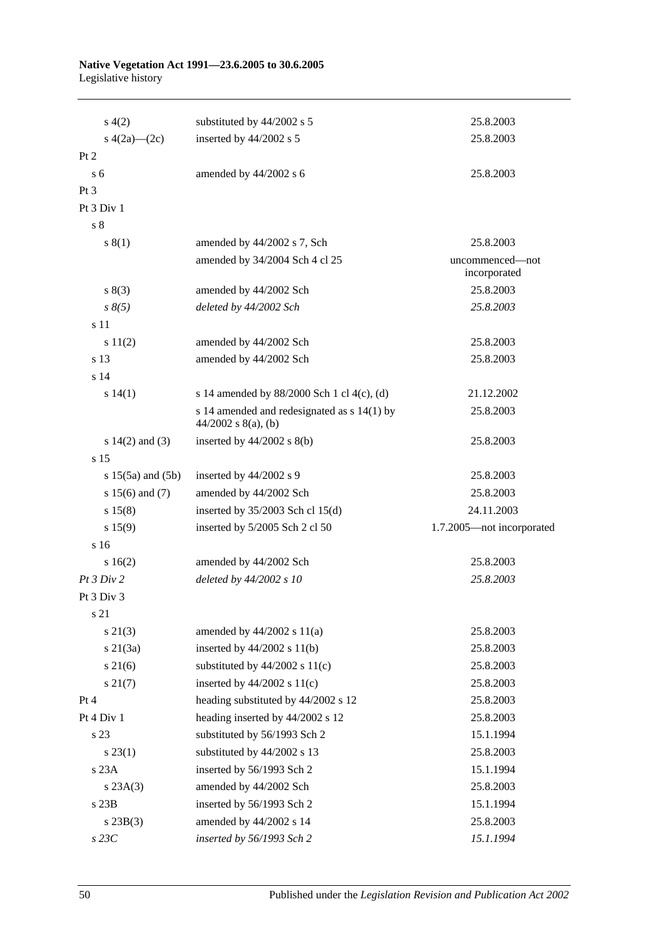#### **Native Vegetation Act 1991—23.6.2005 to 30.6.2005** Legislative history

| s(4(2))               | substituted by 44/2002 s 5                                             | 25.8.2003                       |
|-----------------------|------------------------------------------------------------------------|---------------------------------|
| s $4(2a)$ - $(2c)$    | inserted by 44/2002 s 5                                                | 25.8.2003                       |
| Pt 2                  |                                                                        |                                 |
| $\rm{s}$ 6            | amended by 44/2002 s 6                                                 | 25.8.2003                       |
| Pt 3                  |                                                                        |                                 |
| Pt $3$ Div $1$        |                                                                        |                                 |
| s <sub>8</sub>        |                                                                        |                                 |
| s(1)                  | amended by 44/2002 s 7, Sch                                            | 25.8.2003                       |
|                       | amended by 34/2004 Sch 4 cl 25                                         | uncommenced—not<br>incorporated |
| s(3)                  | amended by 44/2002 Sch                                                 | 25.8.2003                       |
| $s \, 8(5)$           | deleted by 44/2002 Sch                                                 | 25.8.2003                       |
| s 11                  |                                                                        |                                 |
| s 11(2)               | amended by 44/2002 Sch                                                 | 25.8.2003                       |
| s 13                  | amended by 44/2002 Sch                                                 | 25.8.2003                       |
| s <sub>14</sub>       |                                                                        |                                 |
| s 14(1)               | s 14 amended by 88/2000 Sch 1 cl 4(c), (d)                             | 21.12.2002                      |
|                       | s 14 amended and redesignated as $s$ 14(1) by<br>$44/2002$ s 8(a), (b) | 25.8.2003                       |
| s $14(2)$ and $(3)$   | inserted by $44/2002$ s $8(b)$                                         | 25.8.2003                       |
| s 15                  |                                                                        |                                 |
| s $15(5a)$ and $(5b)$ | inserted by 44/2002 s 9                                                | 25.8.2003                       |
| s $15(6)$ and $(7)$   | amended by 44/2002 Sch                                                 | 25.8.2003                       |
| s 15(8)               | inserted by $35/2003$ Sch cl 15(d)                                     | 24.11.2003                      |
| s 15(9)               | inserted by 5/2005 Sch 2 cl 50                                         | 1.7.2005—not incorporated       |
| s <sub>16</sub>       |                                                                        |                                 |
| s16(2)                | amended by 44/2002 Sch                                                 | 25.8.2003                       |
| Pt 3 Div 2            | deleted by 44/2002 s 10                                                | 25.8.2003                       |
| Pt 3 Div 3            |                                                                        |                                 |
| s 21                  |                                                                        |                                 |
| $s\ 21(3)$            | amended by $44/2002$ s $11(a)$                                         | 25.8.2003                       |
| $s \, 21(3a)$         | inserted by $44/2002$ s $11(b)$                                        | 25.8.2003                       |
| $s \, 21(6)$          | substituted by $44/2002$ s $11(c)$                                     | 25.8.2003                       |
| $s \, 21(7)$          | inserted by $44/2002$ s $11(c)$                                        | 25.8.2003                       |
| Pt 4                  | heading substituted by 44/2002 s 12                                    | 25.8.2003                       |
| Pt 4 Div 1            | heading inserted by 44/2002 s 12                                       | 25.8.2003                       |
| s 23                  | substituted by 56/1993 Sch 2                                           | 15.1.1994                       |
| $s\,23(1)$            | substituted by 44/2002 s 13                                            | 25.8.2003                       |
| s 23A                 | inserted by 56/1993 Sch 2                                              | 15.1.1994                       |
| s 23A(3)              | amended by 44/2002 Sch                                                 | 25.8.2003                       |
| $s$ 23 $B$            | inserted by 56/1993 Sch 2                                              | 15.1.1994                       |
| $s\,23B(3)$           | amended by 44/2002 s 14                                                | 25.8.2003                       |
| $s$ 23 $C$            | inserted by 56/1993 Sch 2                                              | 15.1.1994                       |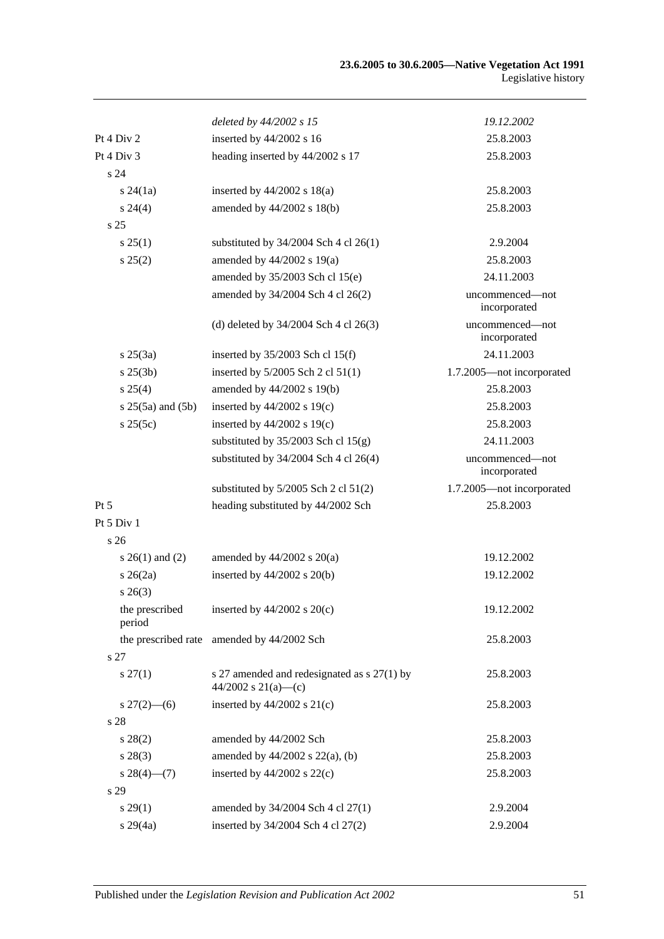|                       | deleted by 44/2002 s 15                                            | 19.12.2002                      |
|-----------------------|--------------------------------------------------------------------|---------------------------------|
| Pt 4 Div 2            | inserted by 44/2002 s 16                                           | 25.8.2003                       |
| Pt 4 Div 3            | heading inserted by 44/2002 s 17                                   | 25.8.2003                       |
| s 24                  |                                                                    |                                 |
| $s\,24(1a)$           | inserted by $44/2002$ s $18(a)$                                    | 25.8.2003                       |
| $s\,24(4)$            | amended by $44/2002$ s $18(b)$                                     | 25.8.2003                       |
| s <sub>25</sub>       |                                                                    |                                 |
| s 25(1)               | substituted by $34/2004$ Sch 4 cl 26(1)                            | 2.9.2004                        |
| s 25(2)               | amended by $44/2002$ s 19(a)                                       | 25.8.2003                       |
|                       | amended by 35/2003 Sch cl 15(e)                                    | 24.11.2003                      |
|                       | amended by 34/2004 Sch 4 cl 26(2)                                  | uncommenced-not<br>incorporated |
|                       | (d) deleted by $34/2004$ Sch 4 cl $26(3)$                          | uncommenced-not<br>incorporated |
| $s \, 25(3a)$         | inserted by $35/2003$ Sch cl 15(f)                                 | 24.11.2003                      |
| $s \, 25(3b)$         | inserted by 5/2005 Sch 2 cl 51(1)                                  | 1.7.2005-not incorporated       |
| s 25(4)               | amended by 44/2002 s 19(b)                                         | 25.8.2003                       |
| $s 25(5a)$ and $(5b)$ | inserted by $44/2002$ s $19(c)$                                    | 25.8.2003                       |
| s 25(5c)              | inserted by $44/2002$ s $19(c)$                                    | 25.8.2003                       |
|                       | substituted by $35/2003$ Sch cl $15(g)$                            | 24.11.2003                      |
|                       | substituted by $34/2004$ Sch 4 cl 26(4)                            | uncommenced-not<br>incorporated |
|                       | substituted by $5/2005$ Sch 2 cl $51(2)$                           | 1.7.2005-not incorporated       |
| $Pt\,5$               | heading substituted by 44/2002 Sch                                 | 25.8.2003                       |
| Pt 5 Div 1            |                                                                    |                                 |
| s <sub>26</sub>       |                                                                    |                                 |
| $s \; 26(1)$ and (2)  | amended by $44/2002$ s $20(a)$                                     | 19.12.2002                      |
| $s\,26(2a)$           | inserted by $44/2002$ s $20(b)$                                    | 19.12.2002                      |
| $s \; 26(3)$          |                                                                    |                                 |
| period                | the prescribed inserted by $44/2002$ s $20(c)$                     | 19.12.2002                      |
| s 27                  | the prescribed rate amended by 44/2002 Sch                         | 25.8.2003                       |
| $s \, 27(1)$          | s 27 amended and redesignated as s 27(1) by<br>44/2002 s 21(a)-(c) | 25.8.2003                       |
| $s\,27(2)$ —(6)       | inserted by 44/2002 s 21(c)                                        | 25.8.2003                       |
| s 28                  |                                                                    |                                 |
| $s\,28(2)$            | amended by 44/2002 Sch                                             | 25.8.2003                       |
| $s\,28(3)$            | amended by $44/2002$ s $22(a)$ , (b)                               | 25.8.2003                       |
| $s\,28(4)$ (7)        | inserted by $44/2002$ s $22(c)$                                    | 25.8.2003                       |
| s 29                  |                                                                    |                                 |
| $s\,29(1)$            | amended by 34/2004 Sch 4 cl 27(1)                                  | 2.9.2004                        |
| $s\,29(4a)$           | inserted by 34/2004 Sch 4 cl 27(2)                                 | 2.9.2004                        |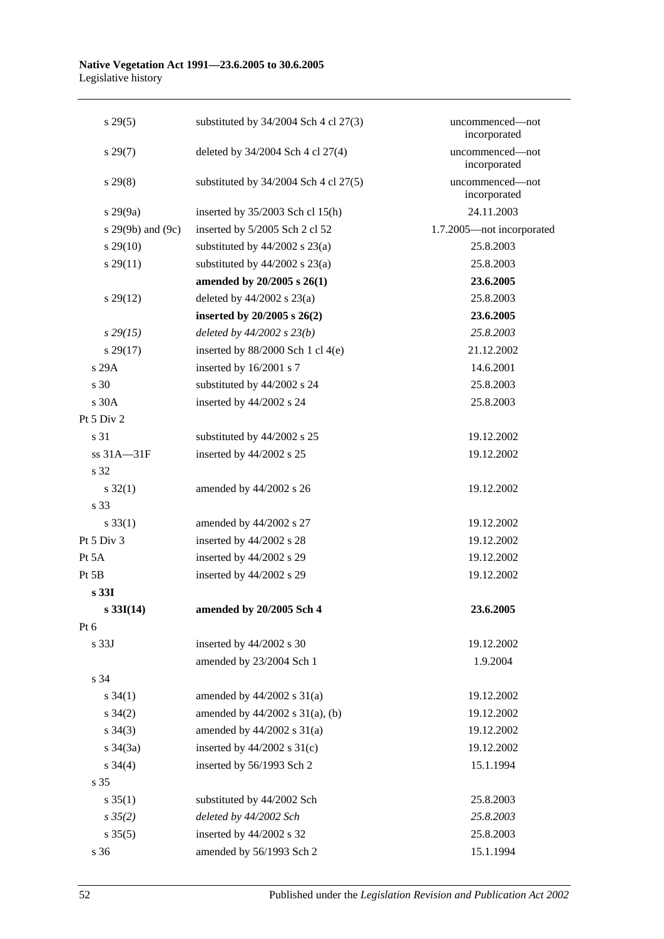#### **Native Vegetation Act 1991—23.6.2005 to 30.6.2005** Legislative history

| $s\,29(5)$            | substituted by $34/2004$ Sch 4 cl $27(3)$ | uncommenced-not<br>incorporated |
|-----------------------|-------------------------------------------|---------------------------------|
| $s\,29(7)$            | deleted by 34/2004 Sch 4 cl 27(4)         | uncommenced-not<br>incorporated |
| $s\,29(8)$            | substituted by $34/2004$ Sch 4 cl $27(5)$ | uncommenced-not<br>incorporated |
| $s\,29(9a)$           | inserted by $35/2003$ Sch cl 15(h)        | 24.11.2003                      |
| s $29(9b)$ and $(9c)$ | inserted by 5/2005 Sch 2 cl 52            | 1.7.2005-not incorporated       |
| $s\,29(10)$           | substituted by $44/2002$ s $23(a)$        | 25.8.2003                       |
| $s\,29(11)$           | substituted by $44/2002$ s $23(a)$        | 25.8.2003                       |
|                       | amended by 20/2005 s 26(1)                | 23.6.2005                       |
| $s\,29(12)$           | deleted by $44/2002$ s $23(a)$            | 25.8.2003                       |
|                       | inserted by $20/2005$ s $26(2)$           | 23.6.2005                       |
| $s\,29(15)$           | deleted by $44/2002 s 23(b)$              | 25.8.2003                       |
| $s\,29(17)$           | inserted by 88/2000 Sch 1 cl 4(e)         | 21.12.2002                      |
| s 29A                 | inserted by 16/2001 s 7                   | 14.6.2001                       |
| s 30                  | substituted by 44/2002 s 24               | 25.8.2003                       |
| s 30A                 | inserted by 44/2002 s 24                  | 25.8.2003                       |
| Pt 5 Div 2            |                                           |                                 |
| s 31                  | substituted by 44/2002 s 25               | 19.12.2002                      |
| ss 31A-31F            | inserted by 44/2002 s 25                  | 19.12.2002                      |
| s 32                  |                                           |                                 |
| $s \, 32(1)$          | amended by 44/2002 s 26                   | 19.12.2002                      |
| s 33                  |                                           |                                 |
| $s \, 33(1)$          | amended by 44/2002 s 27                   | 19.12.2002                      |
| Pt 5 Div 3            | inserted by 44/2002 s 28                  | 19.12.2002                      |
| Pt 5A                 | inserted by 44/2002 s 29                  | 19.12.2002                      |
| Pt 5B                 | inserted by 44/2002 s 29                  | 19.12.2002                      |
| s 331                 |                                           |                                 |
| $s \, 33I(14)$        | amended by 20/2005 Sch 4                  | 23.6.2005                       |
| Pt 6                  |                                           |                                 |
| s 33J                 | inserted by 44/2002 s 30                  | 19.12.2002                      |
|                       | amended by 23/2004 Sch 1                  | 1.9.2004                        |
| s 34                  |                                           |                                 |
| $s \; 34(1)$          | amended by $44/2002$ s $31(a)$            | 19.12.2002                      |
| $s \; 34(2)$          | amended by $44/2002$ s $31(a)$ , (b)      | 19.12.2002                      |
| $s \; 34(3)$          | amended by $44/2002$ s $31(a)$            | 19.12.2002                      |
| $s \; 34(3a)$         | inserted by $44/2002$ s $31(c)$           | 19.12.2002                      |
| $s \; 34(4)$          | inserted by 56/1993 Sch 2                 | 15.1.1994                       |
| s 35                  |                                           |                                 |
| $s \, 35(1)$          | substituted by 44/2002 Sch                | 25.8.2003                       |
| $s \frac{35(2)}{2}$   | deleted by 44/2002 Sch                    | 25.8.2003                       |
| $s \; 35(5)$          | inserted by 44/2002 s 32                  | 25.8.2003                       |
| s 36                  | amended by 56/1993 Sch 2                  | 15.1.1994                       |
|                       |                                           |                                 |